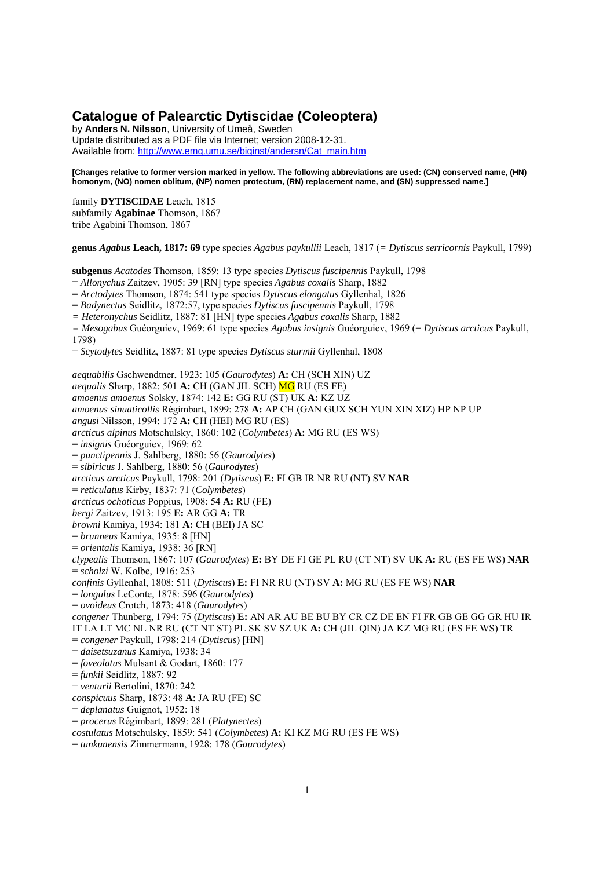# **Catalogue of Palearctic Dytiscidae (Coleoptera)**

by **Anders N. Nilsson**, University of Umeå, Sweden Update distributed as a PDF file via Internet; version 2008-12-31. Available from: http://www.emg.umu.se/biginst/andersn/Cat\_main.htm

**[Changes relative to former version marked in yellow. The following abbreviations are used: (CN) conserved name, (HN) homonym, (NO) nomen oblitum, (NP) nomen protectum, (RN) replacement name, and (SN) suppressed name.]** 

family **DYTISCIDAE** Leach, 1815 subfamily **Agabinae** Thomson, 1867 tribe Agabini Thomson, 1867

**genus** *Agabus* **Leach, 1817: 69** type species *Agabus paykullii* Leach, 1817 (*= Dytiscus serricornis* Paykull, 1799)

**subgenus** *Acatodes* Thomson, 1859: 13 type species *Dytiscus fuscipennis* Paykull, 1798

= *Allonychus* Zaitzev, 1905: 39 [RN] type species *Agabus coxalis* Sharp, 1882

= *Arctodytes* Thomson, 1874: 541 type species *Dytiscus elongatus* Gyllenhal, 1826

= *Badynectus* Seidlitz, 1872:57, type species *Dytiscus fuscipennis* Paykull, 1798

*= Heteronychus* Seidlitz, 1887: 81 [HN] type species *Agabus coxalis* Sharp, 1882

*= Mesogabus* Guéorguiev, 1969: 61 type species *Agabus insignis* Guéorguiev, 1969 (= *Dytiscus arcticus* Paykull, 1798)

= *Scytodytes* Seidlitz, 1887: 81 type species *Dytiscus sturmii* Gyllenhal, 1808

*aequabilis* Gschwendtner, 1923: 105 (*Gaurodytes*) **A:** CH (SCH XIN) UZ *aequalis* Sharp, 1882: 501 **A:** CH (GAN JIL SCH) MG RU (ES FE) *amoenus amoenus* Solsky, 1874: 142 **E:** GG RU (ST) UK **A:** KZ UZ *amoenus sinuaticollis* Régimbart, 1899: 278 **A:** AP CH (GAN GUX SCH YUN XIN XIZ) HP NP UP *angusi* Nilsson, 1994: 172 **A:** CH (HEI) MG RU (ES) *arcticus alpinus* Motschulsky, 1860: 102 (*Colymbetes*) **A:** MG RU (ES WS) = *insignis* Guéorguiev, 1969: 62 = *punctipennis* J. Sahlberg, 1880: 56 (*Gaurodytes*) = *sibiricus* J. Sahlberg, 1880: 56 (*Gaurodytes*) *arcticus arcticus* Paykull, 1798: 201 (*Dytiscus*) **E:** FI GB IR NR RU (NT) SV **NAR** = *reticulatus* Kirby, 1837: 71 (*Colymbetes*) *arcticus ochoticus* Poppius, 1908: 54 **A:** RU (FE) *bergi* Zaitzev, 1913: 195 **E:** AR GG **A:** TR *browni* Kamiya, 1934: 181 **A:** CH (BEI) JA SC = *brunneus* Kamiya, 1935: 8 [HN] = *orientalis* Kamiya, 1938: 36 [RN] *clypealis* Thomson, 1867: 107 (*Gaurodytes*) **E:** BY DE FI GE PL RU (CT NT) SV UK **A:** RU (ES FE WS) **NAR** = *scholzi* W. Kolbe, 1916: 253 *confinis* Gyllenhal, 1808: 511 (*Dytiscus*) **E:** FI NR RU (NT) SV **A:** MG RU (ES FE WS) **NAR** = *longulus* LeConte, 1878: 596 (*Gaurodytes*) = *ovoideus* Crotch, 1873: 418 (*Gaurodytes*) *congener* Thunberg, 1794: 75 (*Dytiscus*) **E:** AN AR AU BE BU BY CR CZ DE EN FI FR GB GE GG GR HU IR IT LA LT MC NL NR RU (CT NT ST) PL SK SV SZ UK **A:** CH (JIL QIN) JA KZ MG RU (ES FE WS) TR = *congener* Paykull, 1798: 214 (*Dytiscus*) [HN] = *daisetsuzanus* Kamiya, 1938: 34 = *foveolatus* Mulsant & Godart, 1860: 177 = *funkii* Seidlitz, 1887: 92 = *venturii* Bertolini, 1870: 242 *conspicuus* Sharp, 1873: 48 **A**: JA RU (FE) SC = *deplanatus* Guignot, 1952: 18 = *procerus* Régimbart, 1899: 281 (*Platynectes*) *costulatus* Motschulsky, 1859: 541 (*Colymbetes*) **A:** KI KZ MG RU (ES FE WS)

= *tunkunensis* Zimmermann, 1928: 178 (*Gaurodytes*)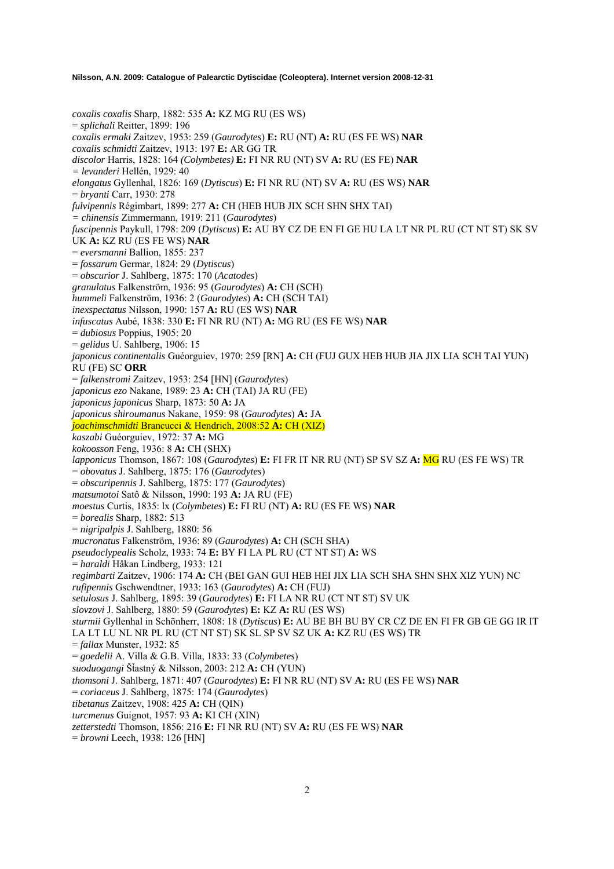*coxalis coxalis* Sharp, 1882: 535 **A:** KZ MG RU (ES WS) = *splichali* Reitter, 1899: 196 *coxalis ermaki* Zaitzev, 1953: 259 (*Gaurodytes*) **E:** RU (NT) **A:** RU (ES FE WS) **NAR** *coxalis schmidti* Zaitzev, 1913: 197 **E:** AR GG TR *discolor* Harris, 1828: 164 *(Colymbetes)* **E:** FI NR RU (NT) SV **A:** RU (ES FE) **NAR** *= levanderi* Hellén, 1929: 40 *elongatus* Gyllenhal, 1826: 169 (*Dytiscus*) **E:** FI NR RU (NT) SV **A:** RU (ES WS) **NAR** = *bryanti* Carr, 1930: 278 *fulvipennis* Régimbart, 1899: 277 **A:** CH (HEB HUB JIX SCH SHN SHX TAI) *= chinensis* Zimmermann, 1919: 211 (*Gaurodytes*) *fuscipennis* Paykull, 1798: 209 (*Dytiscus*) **E:** AU BY CZ DE EN FI GE HU LA LT NR PL RU (CT NT ST) SK SV UK **A:** KZ RU (ES FE WS) **NAR** = *eversmanni* Ballion, 1855: 237 = *fossarum* Germar, 1824: 29 (*Dytiscus*) = *obscurior* J. Sahlberg, 1875: 170 (*Acatodes*) *granulatus* Falkenström, 1936: 95 (*Gaurodytes*) **A:** CH (SCH) *hummeli* Falkenström, 1936: 2 (*Gaurodytes*) **A:** CH (SCH TAI) *inexspectatus* Nilsson, 1990: 157 **A:** RU (ES WS) **NAR** *infuscatus* Aubé, 1838: 330 **E:** FI NR RU (NT) **A:** MG RU (ES FE WS) **NAR** = *dubiosus* Poppius, 1905: 20 = *gelidus* U. Sahlberg, 1906: 15 *japonicus continentalis* Guéorguiev, 1970: 259 [RN] **A:** CH (FUJ GUX HEB HUB JIA JIX LIA SCH TAI YUN) RU (FE) SC **ORR** = *falkenstromi* Zaitzev, 1953: 254 [HN] (*Gaurodytes*) *japonicus ezo* Nakane, 1989: 23 **A:** CH (TAI) JA RU (FE) *japonicus japonicus* Sharp, 1873: 50 **A:** JA *japonicus shiroumanus* Nakane, 1959: 98 (*Gaurodytes*) **A:** JA *joachimschmidti* Brancucci & Hendrich, 2008:52 **A:** CH (XIZ) *kaszabi* Guéorguiev, 1972: 37 **A:** MG *kokoosson* Feng, 1936: 8 **A:** CH (SHX) *lapponicus* Thomson, 1867: 108 (*Gaurodytes*) **E:** FI FR IT NR RU (NT) SP SV SZ **A:** MG RU (ES FE WS) TR = *obovatus* J. Sahlberg, 1875: 176 (*Gaurodytes*) = *obscuripennis* J. Sahlberg, 1875: 177 (*Gaurodytes*) *matsumotoi* Satô & Nilsson, 1990: 193 **A:** JA RU (FE) *moestus* Curtis, 1835: lx (*Colymbetes*) **E:** FI RU (NT) **A:** RU (ES FE WS) **NAR** = *borealis* Sharp, 1882: 513 = *nigripalpis* J. Sahlberg, 1880: 56 *mucronatus* Falkenström, 1936: 89 (*Gaurodytes*) **A:** CH (SCH SHA) *pseudoclypealis* Scholz, 1933: 74 **E:** BY FI LA PL RU (CT NT ST) **A:** WS = *haraldi* Håkan Lindberg, 1933: 121 *regimbarti* Zaitzev, 1906: 174 **A:** CH (BEI GAN GUI HEB HEI JIX LIA SCH SHA SHN SHX XIZ YUN) NC *rufipennis* Gschwendtner, 1933: 163 (*Gaurodytes*) **A:** CH (FUJ) *setulosus* J. Sahlberg, 1895: 39 (*Gaurodytes*) **E:** FI LA NR RU (CT NT ST) SV UK *slovzovi* J. Sahlberg, 1880: 59 (*Gaurodytes*) **E:** KZ **A:** RU (ES WS) *sturmii* Gyllenhal in Schönherr, 1808: 18 (*Dytiscus*) **E:** AU BE BH BU BY CR CZ DE EN FI FR GB GE GG IR IT LA LT LU NL NR PL RU (CT NT ST) SK SL SP SV SZ UK **A:** KZ RU (ES WS) TR = *fallax* Munster, 1932: 85 = *goedelii* A. Villa & G.B. Villa, 1833: 33 (*Colymbetes*) *suoduogangi* ŠÄastný & Nilsson, 2003: 212 **A:** CH (YUN) *thomsoni* J. Sahlberg, 1871: 407 (*Gaurodytes*) **E:** FI NR RU (NT) SV **A:** RU (ES FE WS) **NAR**  = *coriaceus* J. Sahlberg, 1875: 174 (*Gaurodytes*) *tibetanus* Zaitzev, 1908: 425 **A:** CH (QIN) *turcmenus* Guignot, 1957: 93 **A:** KI CH (XIN) *zetterstedti* Thomson, 1856: 216 **E:** FI NR RU (NT) SV **A:** RU (ES FE WS) **NAR**

= *browni* Leech, 1938: 126 [HN]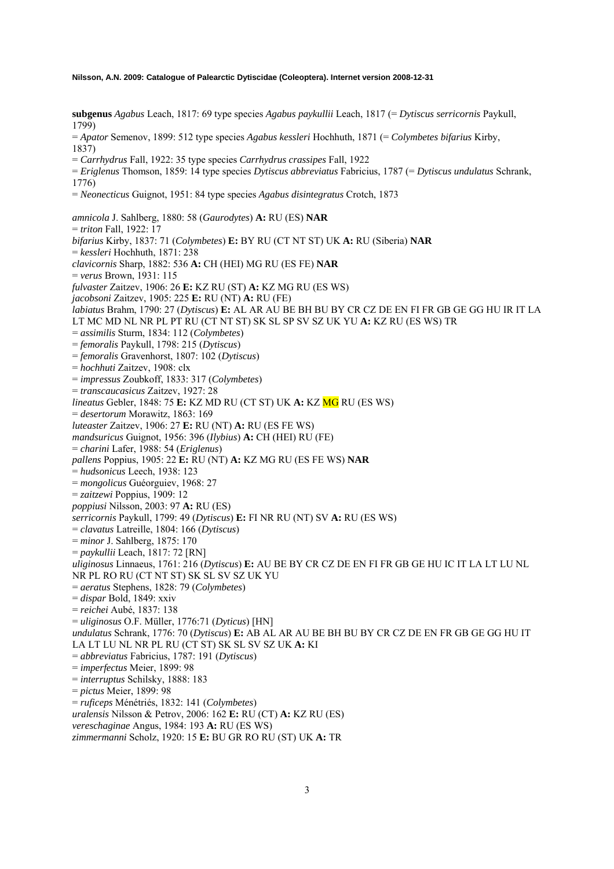**subgenus** *Agabus* Leach, 1817: 69 type species *Agabus paykullii* Leach, 1817 (= *Dytiscus serricornis* Paykull, 1799) = *Apator* Semenov, 1899: 512 type species *Agabus kessleri* Hochhuth, 1871 (= *Colymbetes bifarius* Kirby, 1837) = *Carrhydrus* Fall, 1922: 35 type species *Carrhydrus crassipes* Fall, 1922 = *Eriglenus* Thomson, 1859: 14 type species *Dytiscus abbreviatus* Fabricius, 1787 (= *Dytiscus undulatus* Schrank, 1776) = *Neonecticus* Guignot, 1951: 84 type species *Agabus disintegratus* Crotch, 1873 *amnicola* J. Sahlberg, 1880: 58 (*Gaurodytes*) **A:** RU (ES) **NAR**  = *triton* Fall, 1922: 17 *bifarius* Kirby, 1837: 71 (*Colymbetes*) **E:** BY RU (CT NT ST) UK **A:** RU (Siberia) **NAR**  = *kessleri* Hochhuth, 1871: 238 *clavicornis* Sharp, 1882: 536 **A:** CH (HEI) MG RU (ES FE) **NAR**  = *verus* Brown, 1931: 115 *fulvaster* Zaitzev, 1906: 26 **E:** KZ RU (ST) **A:** KZ MG RU (ES WS) *jacobsoni* Zaitzev, 1905: 225 **E:** RU (NT) **A:** RU (FE) *labiatus* Brahm, 1790: 27 (*Dytiscus*) **E:** AL AR AU BE BH BU BY CR CZ DE EN FI FR GB GE GG HU IR IT LA LT MC MD NL NR PL PT RU (CT NT ST) SK SL SP SV SZ UK YU **A:** KZ RU (ES WS) TR = *assimilis* Sturm, 1834: 112 (*Colymbetes*) = *femoralis* Paykull, 1798: 215 (*Dytiscus*) = *femoralis* Gravenhorst, 1807: 102 (*Dytiscus*) = *hochhuti* Zaitzev, 1908: clx = *impressus* Zoubkoff, 1833: 317 (*Colymbetes*) = *transcaucasicus* Zaitzev, 1927: 28 *lineatus* Gebler, 1848: 75 **E:** KZ MD RU (CT ST) UK **A:** KZ MG RU (ES WS) = *desertorum* Morawitz, 1863: 169 *luteaster* Zaitzev, 1906: 27 **E:** RU (NT) **A:** RU (ES FE WS) *mandsuricus* Guignot, 1956: 396 (*Ilybius*) **A:** CH (HEI) RU (FE) = *charini* Lafer, 1988: 54 (*Eriglenus*) *pallens* Poppius, 1905: 22 **E:** RU (NT) **A:** KZ MG RU (ES FE WS) **NAR**  = *hudsonicus* Leech, 1938: 123 = *mongolicus* Guéorguiev, 1968: 27 = *zaitzewi* Poppius, 1909: 12 *poppiusi* Nilsson, 2003: 97 **A:** RU (ES) *serricornis* Paykull, 1799: 49 (*Dytiscus*) **E:** FI NR RU (NT) SV **A:** RU (ES WS) = *clavatus* Latreille, 1804: 166 (*Dytiscus*) = *minor* J. Sahlberg, 1875: 170 = *paykullii* Leach, 1817: 72 [RN] *uliginosus* Linnaeus, 1761: 216 (*Dytiscus*) **E:** AU BE BY CR CZ DE EN FI FR GB GE HU IC IT LA LT LU NL NR PL RO RU (CT NT ST) SK SL SV SZ UK YU = *aeratus* Stephens, 1828: 79 (*Colymbetes*) = *dispar* Bold, 1849: xxiv = *reichei* Aubé, 1837: 138 = *uliginosus* O.F. Müller, 1776:71 (*Dyticus*) [HN] *undulatus* Schrank, 1776: 70 (*Dytiscus*) **E:** AB AL AR AU BE BH BU BY CR CZ DE EN FR GB GE GG HU IT LA LT LU NL NR PL RU (CT ST) SK SL SV SZ UK **A:** KI = *abbreviatus* Fabricius, 1787: 191 (*Dytiscus*) = *imperfectus* Meier, 1899: 98 = *interruptus* Schilsky, 1888: 183 = *pictus* Meier, 1899: 98 = *ruficeps* Ménétriés, 1832: 141 (*Colymbetes*) *uralensis* Nilsson & Petrov, 2006: 162 **E:** RU (CT) **A:** KZ RU (ES) *vereschaginae* Angus, 1984: 193 **A:** RU (ES WS) *zimmermanni* Scholz, 1920: 15 **E:** BU GR RO RU (ST) UK **A:** TR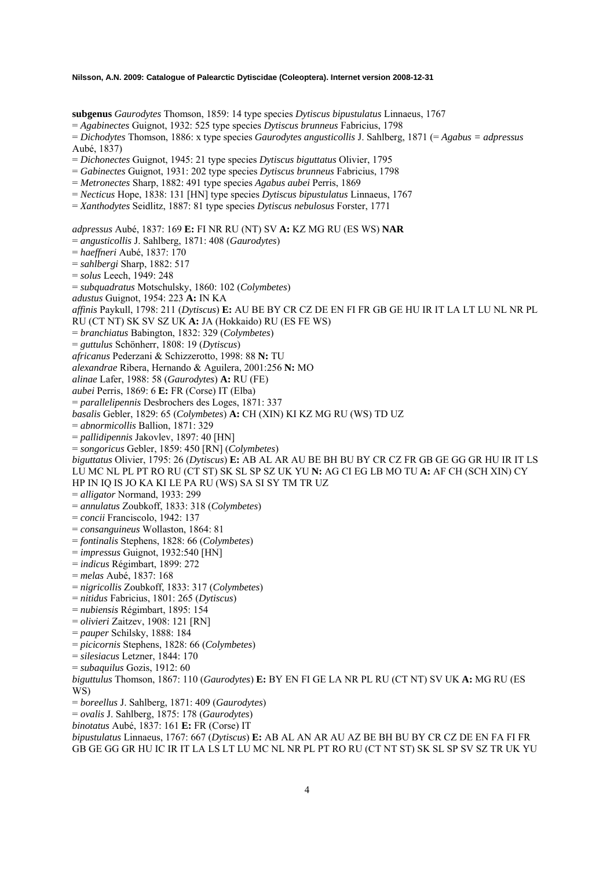**subgenus** *Gaurodytes* Thomson, 1859: 14 type species *Dytiscus bipustulatus* Linnaeus, 1767

= *Agabinectes* Guignot, 1932: 525 type species *Dytiscus brunneus* Fabricius, 1798

= *Dichodytes* Thomson, 1886: x type species *Gaurodytes angusticollis* J. Sahlberg, 1871 (= *Agabus = adpressus* Aubé, 1837)

= *Dichonectes* Guignot, 1945: 21 type species *Dytiscus biguttatus* Olivier, 1795

= *Gabinectes* Guignot, 1931: 202 type species *Dytiscus brunneus* Fabricius, 1798

= *Metronectes* Sharp, 1882: 491 type species *Agabus aubei* Perris, 1869

= *Necticus* Hope, 1838: 131 [HN] type species *Dytiscus bipustulatus* Linnaeus, 1767

= *Xanthodytes* Seidlitz, 1887: 81 type species *Dytiscus nebulosus* Forster, 1771

*adpressus* Aubé, 1837: 169 **E:** FI NR RU (NT) SV **A:** KZ MG RU (ES WS) **NAR** 

= *angusticollis* J. Sahlberg, 1871: 408 (*Gaurodytes*)

= *haeffneri* Aubé, 1837: 170

= *sahlbergi* Sharp, 1882: 517

= *solus* Leech, 1949: 248

= *subquadratus* Motschulsky, 1860: 102 (*Colymbetes*)

*adustus* Guignot, 1954: 223 **A:** IN KA

*affinis* Paykull, 1798: 211 (*Dytiscus*) **E:** AU BE BY CR CZ DE EN FI FR GB GE HU IR IT LA LT LU NL NR PL

RU (CT NT) SK SV SZ UK **A:** JA (Hokkaido) RU (ES FE WS)

= *branchiatus* Babington, 1832: 329 (*Colymbetes*)

= *guttulus* Schönherr, 1808: 19 (*Dytiscus*)

*africanus* Pederzani & Schizzerotto, 1998: 88 **N:** TU

*alexandrae* Ribera, Hernando & Aguilera, 2001:256 **N:** MO

*alinae* Lafer, 1988: 58 (*Gaurodytes*) **A:** RU (FE)

*aubei* Perris, 1869: 6 **E:** FR (Corse) IT (Elba)

= *parallelipennis* Desbrochers des Loges, 1871: 337

*basalis* Gebler, 1829: 65 (*Colymbetes*) **A:** CH (XIN) KI KZ MG RU (WS) TD UZ

= *abnormicollis* Ballion, 1871: 329

= *pallidipennis* Jakovlev, 1897: 40 [HN]

= *songoricus* Gebler, 1859: 450 [RN] (*Colymbetes*)

*biguttatus* Olivier, 1795: 26 (*Dytiscus*) **E:** AB AL AR AU BE BH BU BY CR CZ FR GB GE GG GR HU IR IT LS LU MC NL PL PT RO RU (CT ST) SK SL SP SZ UK YU **N:** AG CI EG LB MO TU **A:** AF CH (SCH XIN) CY

HP IN IQ IS JO KA KI LE PA RU (WS) SA SI SY TM TR UZ

- = *alligator* Normand, 1933: 299
- = *annulatus* Zoubkoff, 1833: 318 (*Colymbetes*)
- = *concii* Franciscolo, 1942: 137

= *consanguineus* Wollaston, 1864: 81

= *fontinalis* Stephens, 1828: 66 (*Colymbetes*)

= *impressus* Guignot, 1932:540 [HN]

= *indicus* Régimbart, 1899: 272

= *melas* Aubé, 1837: 168

= *nigricollis* Zoubkoff, 1833: 317 (*Colymbetes*)

= *nitidus* Fabricius, 1801: 265 (*Dytiscus*)

= *nubiensis* Régimbart, 1895: 154

= *olivieri* Zaitzev, 1908: 121 [RN]

= *pauper* Schilsky, 1888: 184

= *picicornis* Stephens, 1828: 66 (*Colymbetes*)

= *silesiacus* Letzner, 1844: 170

= *subaquilus* Gozis, 1912: 60

*biguttulus* Thomson, 1867: 110 (*Gaurodytes*) **E:** BY EN FI GE LA NR PL RU (CT NT) SV UK **A:** MG RU (ES WS)

= *boreellus* J. Sahlberg, 1871: 409 (*Gaurodytes*)

= *ovalis* J. Sahlberg, 1875: 178 (*Gaurodytes*)

*binotatus* Aubé, 1837: 161 **E:** FR (Corse) IT

*bipustulatus* Linnaeus, 1767: 667 (*Dytiscus*) **E:** AB AL AN AR AU AZ BE BH BU BY CR CZ DE EN FA FI FR GB GE GG GR HU IC IR IT LA LS LT LU MC NL NR PL PT RO RU (CT NT ST) SK SL SP SV SZ TR UK YU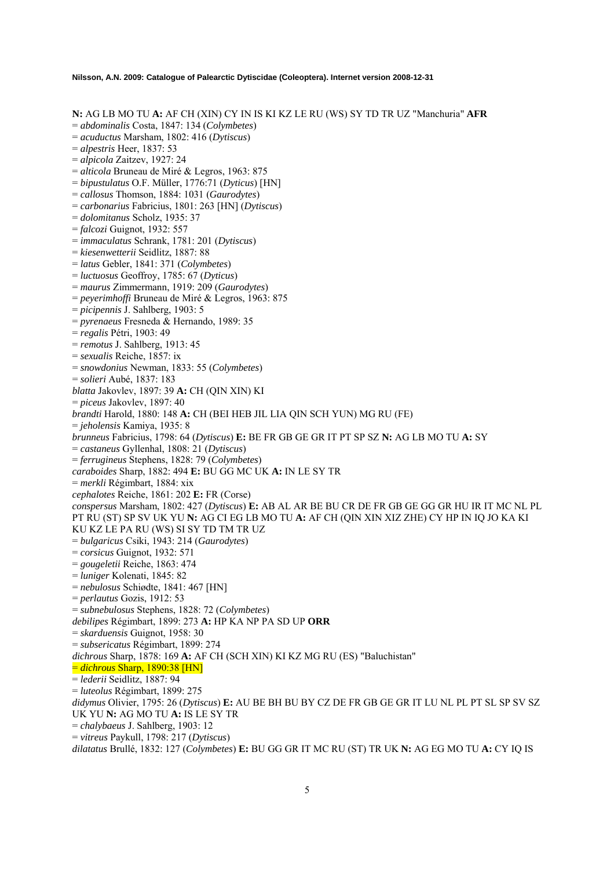**N:** AG LB MO TU **A:** AF CH (XIN) CY IN IS KI KZ LE RU (WS) SY TD TR UZ "Manchuria" **AFR** 

= *abdominalis* Costa, 1847: 134 (*Colymbetes*)

- = *acuductus* Marsham, 1802: 416 (*Dytiscus*)
- = *alpestris* Heer, 1837: 53
- = *alpicola* Zaitzev, 1927: 24
- = *alticola* Bruneau de Miré & Legros, 1963: 875
- = *bipustulatus* O.F. Müller, 1776:71 (*Dyticus*) [HN]
- = *callosus* Thomson, 1884: 1031 (*Gaurodytes*)
- = *carbonarius* Fabricius, 1801: 263 [HN] (*Dytiscus*)
- = *dolomitanus* Scholz, 1935: 37
- = *falcozi* Guignot, 1932: 557
- = *immaculatus* Schrank, 1781: 201 (*Dytiscus*)
- = *kiesenwetterii* Seidlitz, 1887: 88
- = *latus* Gebler, 1841: 371 (*Colymbetes*)
- = *luctuosus* Geoffroy, 1785: 67 (*Dyticus*)
- = *maurus* Zimmermann, 1919: 209 (*Gaurodytes*)
- = *peyerimhoffi* Bruneau de Miré & Legros, 1963: 875
- = *picipennis* J. Sahlberg, 1903: 5
- = *pyrenaeus* Fresneda & Hernando, 1989: 35
- = *regalis* Pétri, 1903: 49
- = *remotus* J. Sahlberg, 1913: 45
- = *sexualis* Reiche, 1857: ix
- = *snowdonius* Newman, 1833: 55 (*Colymbetes*)
- = *solieri* Aubé, 1837: 183
- *blatta* Jakovlev, 1897: 39 **A:** CH (QIN XIN) KI
- = *piceus* Jakovlev, 1897: 40
- *brandti* Harold, 1880: 148 **A:** CH (BEI HEB JIL LIA QIN SCH YUN) MG RU (FE)
- = *jeholensis* Kamiya, 1935: 8
- *brunneus* Fabricius, 1798: 64 (*Dytiscus*) **E:** BE FR GB GE GR IT PT SP SZ **N:** AG LB MO TU **A:** SY
- = *castaneus* Gyllenhal, 1808: 21 (*Dytiscus*)
- = *ferrugineus* Stephens, 1828: 79 (*Colymbetes*)
- *caraboides* Sharp, 1882: 494 **E:** BU GG MC UK **A:** IN LE SY TR
- = *merkli* Régimbart, 1884: xix
- *cephalotes* Reiche, 1861: 202 **E:** FR (Corse)

*conspersus* Marsham, 1802: 427 (*Dytiscus*) **E:** AB AL AR BE BU CR DE FR GB GE GG GR HU IR IT MC NL PL PT RU (ST) SP SV UK YU **N:** AG CI EG LB MO TU **A:** AF CH (QIN XIN XIZ ZHE) CY HP IN IQ JO KA KI KU KZ LE PA RU (WS) SI SY TD TM TR UZ

- = *bulgaricus* Csiki, 1943: 214 (*Gaurodytes*)
- = *corsicus* Guignot, 1932: 571
- = *gougeletii* Reiche, 1863: 474
- = *luniger* Kolenati, 1845: 82
- = *nebulosus* Schiødte, 1841: 467 [HN]
- = *perlautus* Gozis, 1912: 53

= *subnebulosus* Stephens, 1828: 72 (*Colymbetes*)

*debilipes* Régimbart, 1899: 273 **A:** HP KA NP PA SD UP **ORR** 

- = *skarduensis* Guignot, 1958: 30
- = *subsericatus* Régimbart, 1899: 274
- *dichrous* Sharp, 1878: 169 **A:** AF CH (SCH XIN) KI KZ MG RU (ES) "Baluchistan"

= *dichrous* Sharp, 1890:38 [HN]

- = *lederii* Seidlitz, 1887: 94
- = *luteolus* Régimbart, 1899: 275
- *didymus* Olivier, 1795: 26 (*Dytiscus*) **E:** AU BE BH BU BY CZ DE FR GB GE GR IT LU NL PL PT SL SP SV SZ UK YU **N:** AG MO TU **A:** IS LE SY TR
- = *chalybaeus* J. Sahlberg, 1903: 12
- = *vitreus* Paykull, 1798: 217 (*Dytiscus*)

*dilatatus* Brullé, 1832: 127 (*Colymbetes*) **E:** BU GG GR IT MC RU (ST) TR UK **N:** AG EG MO TU **A:** CY IQ IS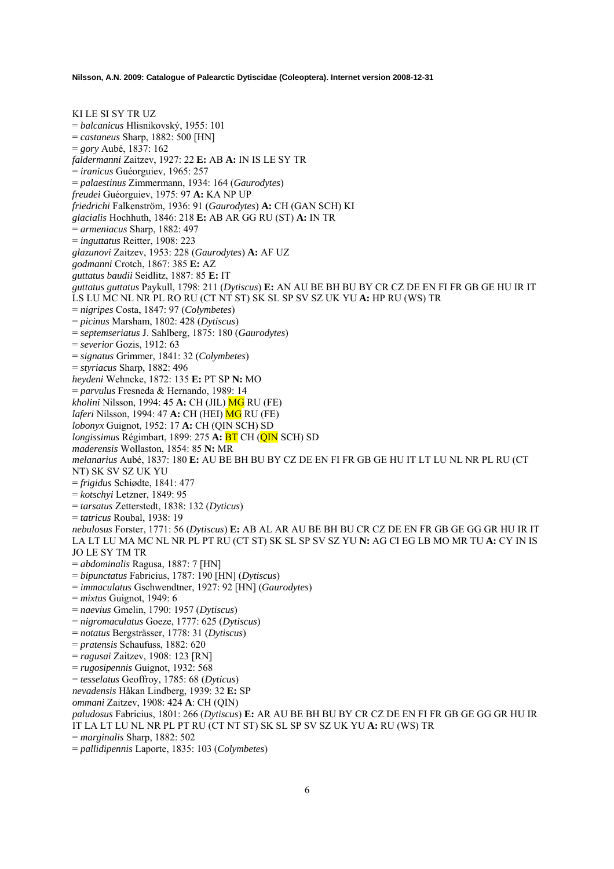KI LE SI SY TR UZ = *balcanicus* Hlisnikovský, 1955: 101 = *castaneus* Sharp, 1882: 500 [HN] = *gory* Aubé, 1837: 162 *faldermanni* Zaitzev, 1927: 22 **E:** AB **A:** IN IS LE SY TR = *iranicus* Guéorguiev, 1965: 257 = *palaestinus* Zimmermann, 1934: 164 (*Gaurodytes*) *freudei* Guéorguiev, 1975: 97 **A:** KA NP UP *friedrichi* Falkenström, 1936: 91 (*Gaurodytes*) **A:** CH (GAN SCH) KI *glacialis* Hochhuth, 1846: 218 **E:** AB AR GG RU (ST) **A:** IN TR = *armeniacus* Sharp, 1882: 497 = *inguttatus* Reitter, 1908: 223 *glazunovi* Zaitzev, 1953: 228 (*Gaurodytes*) **A:** AF UZ *godmanni* Crotch, 1867: 385 **E:** AZ *guttatus baudii* Seidlitz, 1887: 85 **E:** IT *guttatus guttatus* Paykull, 1798: 211 (*Dytiscus*) **E:** AN AU BE BH BU BY CR CZ DE EN FI FR GB GE HU IR IT LS LU MC NL NR PL RO RU (CT NT ST) SK SL SP SV SZ UK YU **A:** HP RU (WS) TR = *nigripes* Costa, 1847: 97 (*Colymbetes*) = *picinus* Marsham, 1802: 428 (*Dytiscus*) = *septemseriatus* J. Sahlberg, 1875: 180 (*Gaurodytes*) = *severior* Gozis, 1912: 63 = *signatus* Grimmer, 1841: 32 (*Colymbetes*) = *styriacus* Sharp, 1882: 496 *heydeni* Wehncke, 1872: 135 **E:** PT SP **N:** MO = *parvulus* Fresneda & Hernando, 1989: 14 *kholini* Nilsson, 1994: 45 **A:** CH (JIL) MG RU (FE) *laferi* Nilsson, 1994: 47 **A:** CH (HEI) MG RU (FE) *lobonyx* Guignot, 1952: 17 **A:** CH (QIN SCH) SD *longissimus* Régimbart, 1899: 275 **A:** BT CH (QIN SCH) SD *maderensis* Wollaston, 1854: 85 **N:** MR *melanarius* Aubé, 1837: 180 **E:** AU BE BH BU BY CZ DE EN FI FR GB GE HU IT LT LU NL NR PL RU (CT NT) SK SV SZ UK YU = *frigidus* Schiødte, 1841: 477 = *kotschyi* Letzner, 1849: 95 = *tarsatus* Zetterstedt, 1838: 132 (*Dyticus*) = *tatricus* Roubal, 1938: 19 *nebulosus* Forster, 1771: 56 (*Dytiscus*) **E:** AB AL AR AU BE BH BU CR CZ DE EN FR GB GE GG GR HU IR IT LA LT LU MA MC NL NR PL PT RU (CT ST) SK SL SP SV SZ YU **N:** AG CI EG LB MO MR TU **A:** CY IN IS JO LE SY TM TR = *abdominalis* Ragusa, 1887: 7 [HN] = *bipunctatus* Fabricius, 1787: 190 [HN] (*Dytiscus*) = *immaculatus* Gschwendtner, 1927: 92 [HN] (*Gaurodytes*) = *mixtus* Guignot, 1949: 6 = *naevius* Gmelin, 1790: 1957 (*Dytiscus*) = *nigromaculatus* Goeze, 1777: 625 (*Dytiscus*) = *notatus* Bergsträsser, 1778: 31 (*Dytiscus*) = *pratensis* Schaufuss, 1882: 620 = *ragusai* Zaitzev, 1908: 123 [RN] = *rugosipennis* Guignot, 1932: 568 = *tesselatus* Geoffroy, 1785: 68 (*Dyticus*) *nevadensis* Håkan Lindberg, 1939: 32 **E:** SP *ommani* Zaitzev, 1908: 424 **A**: CH (QIN) *paludosus* Fabricius, 1801: 266 (*Dytiscus*) **E:** AR AU BE BH BU BY CR CZ DE EN FI FR GB GE GG GR HU IR IT LA LT LU NL NR PL PT RU (CT NT ST) SK SL SP SV SZ UK YU **A:** RU (WS) TR = *marginalis* Sharp, 1882: 502 = *pallidipennis* Laporte, 1835: 103 (*Colymbetes*)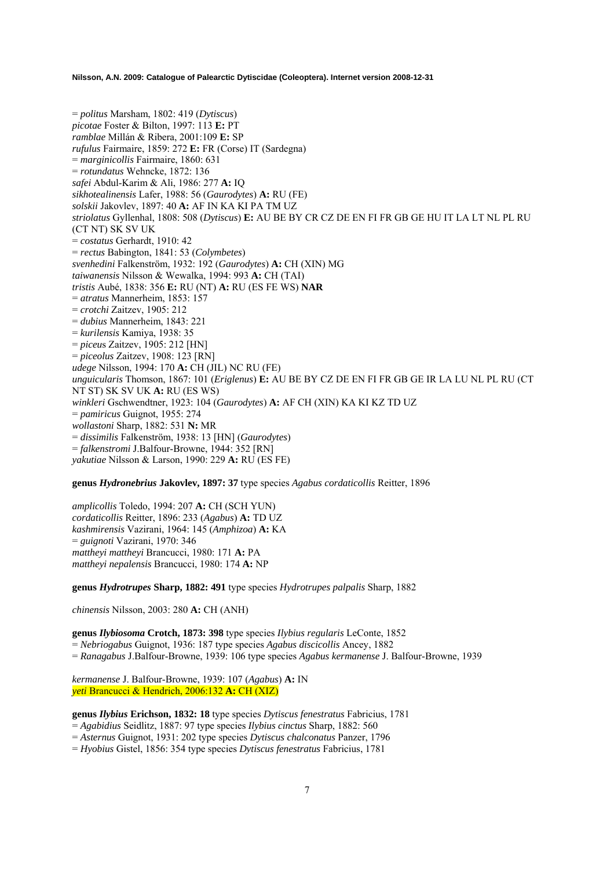= *politus* Marsham, 1802: 419 (*Dytiscus*) *picotae* Foster & Bilton, 1997: 113 **E:** PT *ramblae* Millán & Ribera, 2001:109 **E:** SP *rufulus* Fairmaire, 1859: 272 **E:** FR (Corse) IT (Sardegna) = *marginicollis* Fairmaire, 1860: 631 = *rotundatus* Wehncke, 1872: 136 *safei* Abdul-Karim & Ali, 1986: 277 **A:** IQ *sikhotealinensis* Lafer, 1988: 56 (*Gaurodytes*) **A:** RU (FE) *solskii* Jakovlev, 1897: 40 **A:** AF IN KA KI PA TM UZ *striolatus* Gyllenhal, 1808: 508 (*Dytiscus*) **E:** AU BE BY CR CZ DE EN FI FR GB GE HU IT LA LT NL PL RU (CT NT) SK SV UK = *costatus* Gerhardt, 1910: 42 = *rectus* Babington, 1841: 53 (*Colymbetes*) *svenhedini* Falkenström, 1932: 192 (*Gaurodytes*) **A:** CH (XIN) MG *taiwanensis* Nilsson & Wewalka, 1994: 993 **A:** CH (TAI) *tristis* Aubé, 1838: 356 **E:** RU (NT) **A:** RU (ES FE WS) **NAR**  = *atratus* Mannerheim, 1853: 157 = *crotchi* Zaitzev, 1905: 212 = *dubius* Mannerheim, 1843: 221 = *kurilensis* Kamiya, 1938: 35 = *piceu*s Zaitzev, 1905: 212 [HN] = *piceolus* Zaitzev, 1908: 123 [RN] *udege* Nilsson, 1994: 170 **A:** CH (JIL) NC RU (FE) *unguicularis* Thomson, 1867: 101 (*Eriglenus*) **E:** AU BE BY CZ DE EN FI FR GB GE IR LA LU NL PL RU (CT NT ST) SK SV UK **A:** RU (ES WS) *winkleri* Gschwendtner, 1923: 104 (*Gaurodytes*) **A:** AF CH (XIN) KA KI KZ TD UZ = *pamiricus* Guignot, 1955: 274 *wollastoni* Sharp, 1882: 531 **N:** MR = *dissimilis* Falkenström, 1938: 13 [HN] (*Gaurodytes*) = *falkenstromi* J.Balfour-Browne, 1944: 352 [RN] *yakutiae* Nilsson & Larson, 1990: 229 **A:** RU (ES FE)

**genus** *Hydronebrius* **Jakovlev, 1897: 37** type species *Agabus cordaticollis* Reitter, 1896

*amplicollis* Toledo, 1994: 207 **A:** CH (SCH YUN) *cordaticollis* Reitter, 1896: 233 (*Agabus*) **A:** TD UZ *kashmirensis* Vazirani, 1964: 145 (*Amphizoa*) **A:** KA = *guignoti* Vazirani, 1970: 346 *mattheyi mattheyi* Brancucci, 1980: 171 **A:** PA *mattheyi nepalensis* Brancucci, 1980: 174 **A:** NP

**genus** *Hydrotrupes* **Sharp, 1882: 491** type species *Hydrotrupes palpalis* Sharp, 1882

*chinensis* Nilsson, 2003: 280 **A:** CH (ANH)

**genus** *Ilybiosoma* **Crotch, 1873: 398** type species *Ilybius regularis* LeConte, 1852 = *Nebriogabus* Guignot, 1936: 187 type species *Agabus discicollis* Ancey, 1882 = *Ranagabus* J.Balfour-Browne, 1939: 106 type species *Agabus kermanense* J. Balfour-Browne, 1939

*kermanense* J. Balfour-Browne, 1939: 107 (*Agabus*) **A:** IN *yeti* Brancucci & Hendrich, 2006:132 **A:** CH (XIZ)

**genus** *Ilybius* **Erichson, 1832: 18** type species *Dytiscus fenestratus* Fabricius, 1781

= *Agabidius* Seidlitz, 1887: 97 type species *Ilybius cinctus* Sharp, 1882: 560

= *Asternus* Guignot, 1931: 202 type species *Dytiscus chalconatus* Panzer, 1796

= *Hyobius* Gistel, 1856: 354 type species *Dytiscus fenestratus* Fabricius, 1781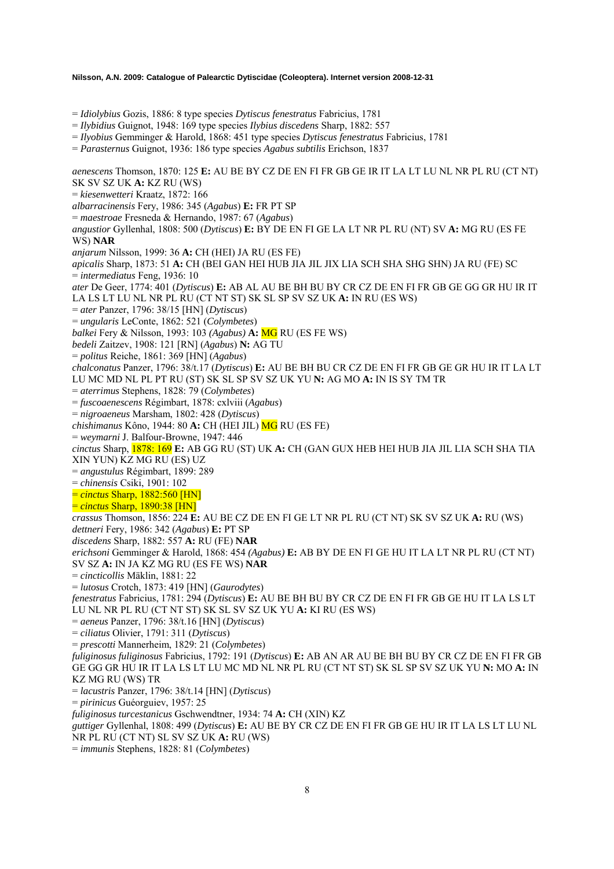= *Idiolybius* Gozis, 1886: 8 type species *Dytiscus fenestratus* Fabricius, 1781

= *Ilybidius* Guignot, 1948: 169 type species *Ilybius discedens* Sharp, 1882: 557

= *Ilyobius* Gemminger & Harold, 1868: 451 type species *Dytiscus fenestratus* Fabricius, 1781

= *Parasternus* Guignot, 1936: 186 type species *Agabus subtilis* Erichson, 1837

*aenescens* Thomson, 1870: 125 **E:** AU BE BY CZ DE EN FI FR GB GE IR IT LA LT LU NL NR PL RU (CT NT) SK SV SZ UK **A:** KZ RU (WS) = *kiesenwetteri* Kraatz, 1872: 166 *albarracinensis* Fery, 1986: 345 (*Agabus*) **E:** FR PT SP = *maestroae* Fresneda & Hernando, 1987: 67 (*Agabus*) *angustior* Gyllenhal, 1808: 500 (*Dytiscus*) **E:** BY DE EN FI GE LA LT NR PL RU (NT) SV **A:** MG RU (ES FE WS) **NAR**  *anjarum* Nilsson, 1999: 36 **A:** CH (HEI) JA RU (ES FE) *apicalis* Sharp, 1873: 51 **A:** CH (BEI GAN HEI HUB JIA JIL JIX LIA SCH SHA SHG SHN) JA RU (FE) SC = *intermediatus* Feng, 1936: 10 *ater* De Geer, 1774: 401 (*Dytiscus*) **E:** AB AL AU BE BH BU BY CR CZ DE EN FI FR GB GE GG GR HU IR IT LA LS LT LU NL NR PL RU (CT NT ST) SK SL SP SV SZ UK **A:** IN RU (ES WS) = *ater* Panzer, 1796: 38/15 [HN] (*Dytiscus*) = *ungularis* LeConte, 1862: 521 (*Colymbetes*) *balkei* Fery & Nilsson, 1993: 103 *(Agabus)* **A:** MG RU (ES FE WS) *bedeli* Zaitzev, 1908: 121 [RN] (*Agabus*) **N:** AG TU = *politus* Reiche, 1861: 369 [HN] (*Agabus*) *chalconatus* Panzer, 1796: 38/t.17 (*Dytiscus*) **E:** AU BE BH BU CR CZ DE EN FI FR GB GE GR HU IR IT LA LT LU MC MD NL PL PT RU (ST) SK SL SP SV SZ UK YU **N:** AG MO **A:** IN IS SY TM TR = *aterrimus* Stephens, 1828: 79 (*Colymbetes*) = *fuscoaenescens* Régimbart, 1878: cxlviii (*Agabus*) = *nigroaeneus* Marsham, 1802: 428 (*Dytiscus*) *chishimanus* Kôno, 1944: 80 **A:** CH (HEI JIL) MG RU (ES FE) = *weymarni* J. Balfour-Browne, 1947: 446 *cinctus* Sharp, 1878: 169 **E:** AB GG RU (ST) UK **A:** CH (GAN GUX HEB HEI HUB JIA JIL LIA SCH SHA TIA XIN YUN) KZ MG RU (ES) UZ = *angustulus* Régimbart, 1899: 289 = *chinensis* Csiki, 1901: 102 = *cinctus* Sharp, 1882:560 [HN] = *cinctus* Sharp, 1890:38 [HN] *crassus* Thomson, 1856: 224 **E:** AU BE CZ DE EN FI GE LT NR PL RU (CT NT) SK SV SZ UK **A:** RU (WS) *dettneri* Fery, 1986: 342 (*Agabus*) **E:** PT SP *discedens* Sharp, 1882: 557 **A:** RU (FE) **NAR**  *erichsoni* Gemminger & Harold, 1868: 454 *(Agabus)* **E:** AB BY DE EN FI GE HU IT LA LT NR PL RU (CT NT) SV SZ **A:** IN JA KZ MG RU (ES FE WS) **NAR**  = *cincticollis* Mäklin, 1881: 22 = *lutosus* Crotch, 1873: 419 [HN] (*Gaurodytes*) *fenestratus* Fabricius, 1781: 294 (*Dytiscus*) **E:** AU BE BH BU BY CR CZ DE EN FI FR GB GE HU IT LA LS LT LU NL NR PL RU (CT NT ST) SK SL SV SZ UK YU **A:** KI RU (ES WS) = *aeneus* Panzer, 1796: 38/t.16 [HN] (*Dytiscus*) = *ciliatus* Olivier, 1791: 311 (*Dytiscus*) = *prescotti* Mannerheim, 1829: 21 (*Colymbetes*) *fuliginosus fuliginosus* Fabricius, 1792: 191 (*Dytiscus*) **E:** AB AN AR AU BE BH BU BY CR CZ DE EN FI FR GB GE GG GR HU IR IT LA LS LT LU MC MD NL NR PL RU (CT NT ST) SK SL SP SV SZ UK YU **N:** MO **A:** IN KZ MG RU (WS) TR = *lacustris* Panzer, 1796: 38/t.14 [HN] (*Dytiscus*) = *pirinicus* Guéorguiev, 1957: 25 *fuliginosus turcestanicus* Gschwendtner, 1934: 74 **A:** CH (XIN) KZ *guttiger* Gyllenhal, 1808: 499 (*Dytiscus*) **E:** AU BE BY CR CZ DE EN FI FR GB GE HU IR IT LA LS LT LU NL NR PL RU (CT NT) SL SV SZ UK **A:** RU (WS) = *immunis* Stephens, 1828: 81 (*Colymbetes*)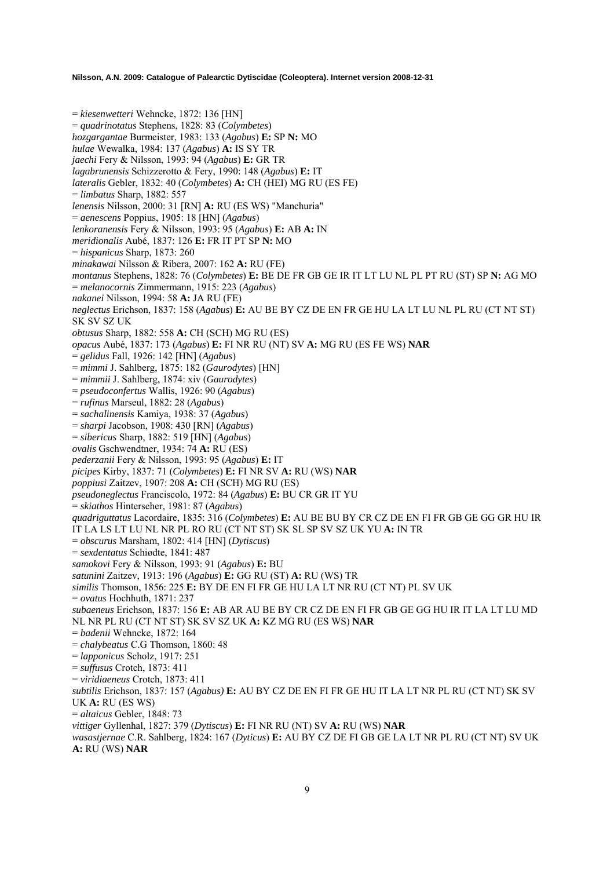= *kiesenwetteri* Wehncke, 1872: 136 [HN] = *quadrinotatus* Stephens, 1828: 83 (*Colymbetes*) *hozgargantae* Burmeister, 1983: 133 (*Agabus*) **E:** SP **N:** MO *hulae* Wewalka, 1984: 137 (*Agabus*) **A:** IS SY TR *jaechi* Fery & Nilsson, 1993: 94 (*Agabus*) **E:** GR TR *lagabrunensis* Schizzerotto & Fery, 1990: 148 (*Agabus*) **E:** IT *lateralis* Gebler, 1832: 40 (*Colymbetes*) **A:** CH (HEI) MG RU (ES FE) = *limbatus* Sharp, 1882: 557 *lenensis* Nilsson, 2000: 31 [RN] **A:** RU (ES WS) "Manchuria" = *aenescens* Poppius, 1905: 18 [HN] (*Agabus*) *lenkoranensis* Fery & Nilsson, 1993: 95 (*Agabus*) **E:** AB **A:** IN *meridionalis* Aubé, 1837: 126 **E:** FR IT PT SP **N:** MO = *hispanicus* Sharp, 1873: 260 *minakawai* Nilsson & Ribera, 2007: 162 **A:** RU (FE) *montanus* Stephens, 1828: 76 (*Colymbetes*) **E:** BE DE FR GB GE IR IT LT LU NL PL PT RU (ST) SP **N:** AG MO = *melanocornis* Zimmermann, 1915: 223 (*Agabus*) *nakanei* Nilsson, 1994: 58 **A:** JA RU (FE) *neglectus* Erichson, 1837: 158 (*Agabus*) **E:** AU BE BY CZ DE EN FR GE HU LA LT LU NL PL RU (CT NT ST) SK SV SZ UK *obtusus* Sharp, 1882: 558 **A:** CH (SCH) MG RU (ES) *opacus* Aubé, 1837: 173 (*Agabus*) **E:** FI NR RU (NT) SV **A:** MG RU (ES FE WS) **NAR** = *gelidus* Fall, 1926: 142 [HN] (*Agabus*) = *mimmi* J. Sahlberg, 1875: 182 (*Gaurodytes*) [HN] = *mimmii* J. Sahlberg, 1874: xiv (*Gaurodytes*) = *pseudoconfertus* Wallis, 1926: 90 (*Agabus*) = *rufinus* Marseul, 1882: 28 (*Agabus*) = *sachalinensis* Kamiya, 1938: 37 (*Agabus*) = *sharpi* Jacobson, 1908: 430 [RN] (*Agabus*) = *sibericus* Sharp, 1882: 519 [HN] (*Agabus*) *ovalis* Gschwendtner, 1934: 74 **A:** RU (ES) *pederzanii* Fery & Nilsson, 1993: 95 (*Agabus*) **E:** IT *picipes* Kirby, 1837: 71 (*Colymbetes*) **E:** FI NR SV **A:** RU (WS) **NAR**  *poppiusi* Zaitzev, 1907: 208 **A:** CH (SCH) MG RU (ES) *pseudoneglectus* Franciscolo, 1972: 84 (*Agabus*) **E:** BU CR GR IT YU = *skiathos* Hinterseher, 1981: 87 (*Agabus*) *quadriguttatus* Lacordaire, 1835: 316 (*Colymbetes*) **E:** AU BE BU BY CR CZ DE EN FI FR GB GE GG GR HU IR IT LA LS LT LU NL NR PL RO RU (CT NT ST) SK SL SP SV SZ UK YU **A:** IN TR = *obscurus* Marsham, 1802: 414 [HN] (*Dytiscus*) = *sexdentatus* Schiødte, 1841: 487 *samokovi* Fery & Nilsson, 1993: 91 (*Agabus*) **E:** BU *satunini* Zaitzev, 1913: 196 (*Agabus*) **E:** GG RU (ST) **A:** RU (WS) TR *similis* Thomson, 1856: 225 **E:** BY DE EN FI FR GE HU LA LT NR RU (CT NT) PL SV UK = *ovatus* Hochhuth, 1871: 237 *subaeneus* Erichson, 1837: 156 **E:** AB AR AU BE BY CR CZ DE EN FI FR GB GE GG HU IR IT LA LT LU MD NL NR PL RU (CT NT ST) SK SV SZ UK **A:** KZ MG RU (ES WS) **NAR**  = *badenii* Wehncke, 1872: 164 = *chalybeatus* C.G Thomson, 1860: 48 = *lapponicus* Scholz, 1917: 251 = *suffusus* Crotch, 1873: 411 = *viridiaeneus* Crotch, 1873: 411 *subtilis* Erichson, 1837: 157 (*Agabus)* **E:** AU BY CZ DE EN FI FR GE HU IT LA LT NR PL RU (CT NT) SK SV UK **A:** RU (ES WS) = *altaicus* Gebler, 1848: 73 *vittiger* Gyllenhal, 1827: 379 (*Dytiscus*) **E:** FI NR RU (NT) SV **A:** RU (WS) **NAR**  *wasastjernae* C.R. Sahlberg, 1824: 167 (*Dyticus*) **E:** AU BY CZ DE FI GB GE LA LT NR PL RU (CT NT) SV UK **A:** RU (WS) **NAR**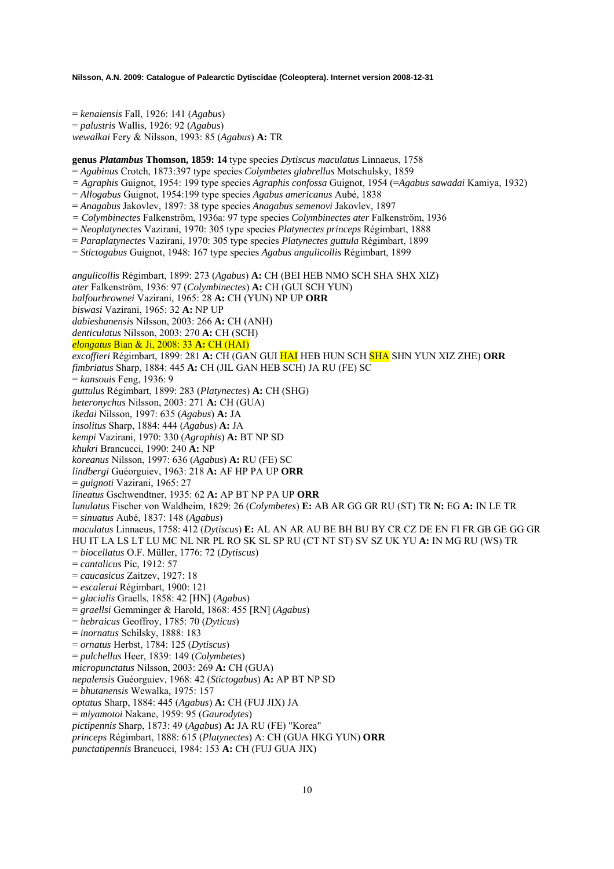= *kenaiensis* Fall, 1926: 141 (*Agabus*) = *palustris* Wallis, 1926: 92 (*Agabus*) *wewalkai* Fery & Nilsson, 1993: 85 (*Agabus*) **A:** TR

**genus** *Platambus* **Thomson, 1859: 14** type species *Dytiscus maculatus* Linnaeus, 1758

- = *Agabinus* Crotch, 1873:397 type species *Colymbetes glabrellus* Motschulsky, 1859
- *= Agraphis* Guignot, 1954: 199 type species *Agraphis confossa* Guignot, 1954 (=*Agabus sawadai* Kamiya, 1932)
- = *Allogabus* Guignot, 1954:199 type species *Agabus americanus* Aubé, 1838
- = *Anagabus* Jakovlev, 1897: 38 type species *Anagabus semenovi* Jakovlev, 1897
- *= Colymbinectes* Falkenström, 1936a: 97 type species *Colymbinectes ater* Falkenström, 1936
- = *Neoplatynectes* Vazirani, 1970: 305 type species *Platynectes princeps* Régimbart, 1888
- = *Paraplatynectes* Vazirani, 1970: 305 type species *Platynectes guttula* Régimbart, 1899
- = *Stictogabus* Guignot, 1948: 167 type species *Agabus angulicollis* Régimbart, 1899

*angulicollis* Régimbart, 1899: 273 (*Agabus*) **A:** CH (BEI HEB NMO SCH SHA SHX XIZ) *ater* Falkenström, 1936: 97 (*Colymbinectes*) **A:** CH (GUI SCH YUN) *balfourbrownei* Vazirani, 1965: 28 **A:** CH (YUN) NP UP **ORR**  *biswasi* Vazirani, 1965: 32 **A:** NP UP *dabieshanensis* Nilsson, 2003: 266 **A:** CH (ANH) *denticulatus* Nilsson, 2003: 270 **A:** CH (SCH) *elongatus* Bian & Ji, 2008: 33 **A:** CH (HAI) *excoffieri* Régimbart, 1899: 281 **A:** CH (GAN GUI HAI HEB HUN SCH SHA SHN YUN XIZ ZHE) **ORR**  *fimbriatus* Sharp, 1884: 445 **A:** CH (JIL GAN HEB SCH) JA RU (FE) SC = *kansouis* Feng, 1936: 9 *guttulus* Régimbart, 1899: 283 (*Platynectes*) **A:** CH (SHG) *heteronychus* Nilsson, 2003: 271 **A:** CH (GUA) *ikedai* Nilsson, 1997: 635 (*Agabus*) **A:** JA *insolitus* Sharp, 1884: 444 (*Agabus*) **A:** JA *kempi* Vazirani, 1970: 330 (*Agraphis*) **A:** BT NP SD *khukri* Brancucci, 1990: 240 **A:** NP *koreanus* Nilsson, 1997: 636 (*Agabus*) **A:** RU (FE) SC *lindbergi* Guéorguiev, 1963: 218 **A:** AF HP PA UP **ORR**  = *guignoti* Vazirani, 1965: 27 *lineatus* Gschwendtner, 1935: 62 **A:** AP BT NP PA UP **ORR** *lunulatus* Fischer von Waldheim, 1829: 26 (*Colymbetes*) **E:** AB AR GG GR RU (ST) TR **N:** EG **A:** IN LE TR = *sinuatus* Aubé, 1837: 148 (*Agabus*) *maculatus* Linnaeus, 1758: 412 (*Dytiscus*) **E:** AL AN AR AU BE BH BU BY CR CZ DE EN FI FR GB GE GG GR HU IT LA LS LT LU MC NL NR PL RO SK SL SP RU (CT NT ST) SV SZ UK YU **A:** IN MG RU (WS) TR = *biocellatus* O.F. Müller, 1776: 72 (*Dytiscus*) = *cantalicus* Pic, 1912: 57 = *caucasicus* Zaitzev, 1927: 18 = *escalerai* Régimbart, 1900: 121 = *glacialis* Graells, 1858: 42 [HN] (*Agabus*) = *graellsi* Gemminger & Harold, 1868: 455 [RN] (*Agabus*) = *hebraicus* Geoffroy, 1785: 70 (*Dyticus*) = *inornatus* Schilsky, 1888: 183 = *ornatus* Herbst, 1784: 125 (*Dytiscus*) = *pulchellus* Heer, 1839: 149 (*Colymbetes*) *micropunctatus* Nilsson, 2003: 269 **A:** CH (GUA) *nepalensis* Guéorguiev, 1968: 42 (*Stictogabus*) **A:** AP BT NP SD = *bhutanensis* Wewalka, 1975: 157 *optatus* Sharp, 1884: 445 (*Agabus*) **A:** CH (FUJ JIX) JA = *miyamotoi* Nakane, 1959: 95 (*Gaurodytes*) *pictipennis* Sharp, 1873: 49 (*Agabus*) **A:** JA RU (FE) "Korea" *princeps* Régimbart, 1888: 615 (*Platynectes*) A: CH (GUA HKG YUN) **ORR**  *punctatipennis* Brancucci, 1984: 153 **A:** CH (FUJ GUA JIX)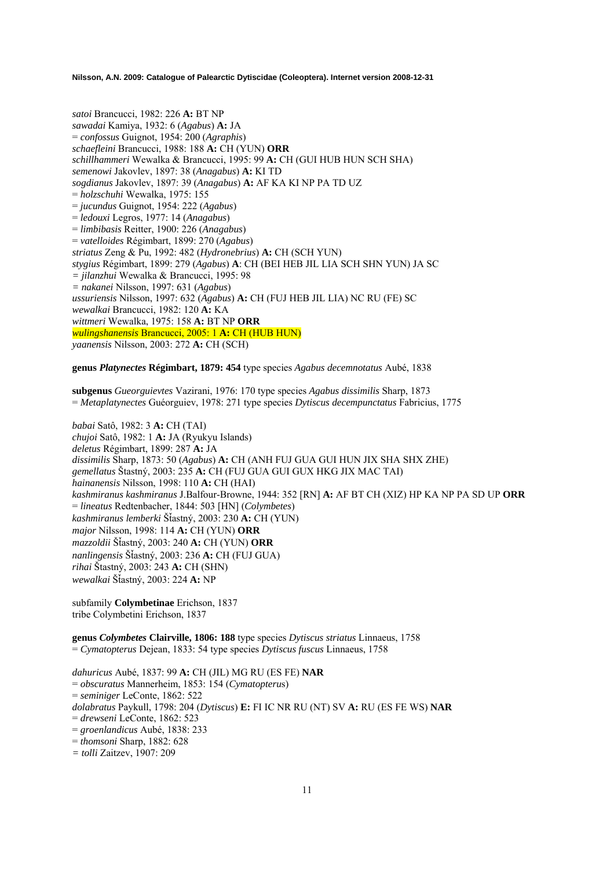*satoi* Brancucci, 1982: 226 **A:** BT NP *sawadai* Kamiya, 1932: 6 (*Agabus*) **A:** JA = *confossus* Guignot, 1954: 200 (*Agraphis*) *schaefleini* Brancucci, 1988: 188 **A:** CH (YUN) **ORR**  *schillhammeri* Wewalka & Brancucci, 1995: 99 **A:** CH (GUI HUB HUN SCH SHA) *semenowi* Jakovlev, 1897: 38 (*Anagabus*) **A:** KI TD *sogdianus* Jakovlev, 1897: 39 (*Anagabus*) **A:** AF KA KI NP PA TD UZ = *holzschuhi* Wewalka, 1975: 155 = *jucundus* Guignot, 1954: 222 (*Agabus*) = *ledouxi* Legros, 1977: 14 (*Anagabus*) = *limbibasis* Reitter, 1900: 226 (*Anagabus*) = *vatelloides* Régimbart, 1899: 270 (*Agabus*) *striatus* Zeng & Pu, 1992: 482 (*Hydronebrius*) **A:** CH (SCH YUN) *stygius* Régimbart, 1899: 279 (*Agabus*) **A**: CH (BEI HEB JIL LIA SCH SHN YUN) JA SC *= jilanzhui* Wewalka & Brancucci, 1995: 98 *= nakanei* Nilsson, 1997: 631 (*Agabus*) *ussuriensis* Nilsson, 1997: 632 (*Agabus*) **A:** CH (FUJ HEB JIL LIA) NC RU (FE) SC *wewalkai* Brancucci, 1982: 120 **A:** KA *wittmeri* Wewalka, 1975: 158 **A:** BT NP **ORR**  *wulingshanensis* Brancucci, 2005: 1 **A:** CH (HUB HUN) *yaanensis* Nilsson, 2003: 272 **A:** CH (SCH)

**genus** *Platynectes* **Régimbart, 1879: 454** type species *Agabus decemnotatus* Aubé, 1838

**subgenus** *Gueorguievtes* Vazirani, 1976: 170 type species *Agabus dissimilis* Sharp, 1873 = *Metaplatynectes* Guéorguiev, 1978: 271 type species *Dytiscus decempunctatus* Fabricius, 1775

*babai* Satô, 1982: 3 **A:** CH (TAI) *chujoi* Satô, 1982: 1 **A:** JA (Ryukyu Islands) *deletus* Régimbart, 1899: 287 **A:** JA *dissimilis* Sharp, 1873: 50 (*Agabus*) **A:** CH (ANH FUJ GUA GUI HUN JIX SHA SHX ZHE) *gemellatus* Štastný, 2003: 235 **A:** CH (FUJ GUA GUI GUX HKG JIX MAC TAI) *hainanensis* Nilsson, 1998: 110 **A:** CH (HAI) *kashmiranus kashmiranus* J.Balfour-Browne, 1944: 352 [RN] **A:** AF BT CH (XIZ) HP KA NP PA SD UP **ORR** = *lineatus* Redtenbacher, 1844: 503 [HN] (*Colymbetes*) *kashmiranus lemberki* ŠÄastný, 2003: 230 **A:** CH (YUN) *major* Nilsson, 1998: 114 **A:** CH (YUN) **ORR**  *mazzoldii* ŠÄastný, 2003: 240 **A:** CH (YUN) **ORR** *nanlingensis* ŠÄastný, 2003: 236 **A:** CH (FUJ GUA) *rihai* Štastný, 2003: 243 **A:** CH (SHN) *wewalkai* ŠÄastný, 2003: 224 **A:** NP

subfamily **Colymbetinae** Erichson, 1837 tribe Colymbetini Erichson, 1837

**genus** *Colymbetes* **Clairville, 1806: 188** type species *Dytiscus striatus* Linnaeus, 1758 = *Cymatopterus* Dejean, 1833: 54 type species *Dytiscus fuscus* Linnaeus, 1758

*dahuricus* Aubé, 1837: 99 **A:** CH (JIL) MG RU (ES FE) **NAR** = *obscuratus* Mannerheim, 1853: 154 (*Cymatopteru*s) = *seminiger* LeConte, 1862: 522 *dolabratus* Paykull, 1798: 204 (*Dytiscus*) **E:** FI IC NR RU (NT) SV **A:** RU (ES FE WS) **NAR**  = *drewseni* LeConte, 1862: 523 = *groenlandicus* Aubé, 1838: 233 = *thomsoni* Sharp, 1882: 628 *= tolli* Zaitzev, 1907: 209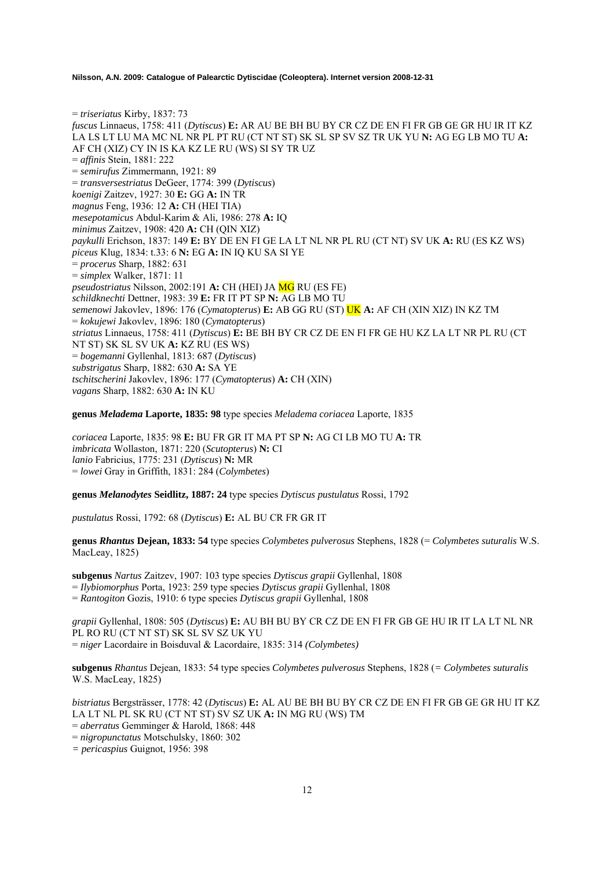= *triseriatus* Kirby, 1837: 73 *fuscus* Linnaeus, 1758: 411 (*Dytiscus*) **E:** AR AU BE BH BU BY CR CZ DE EN FI FR GB GE GR HU IR IT KZ LA LS LT LU MA MC NL NR PL PT RU (CT NT ST) SK SL SP SV SZ TR UK YU **N:** AG EG LB MO TU **A:**  AF CH (XIZ) CY IN IS KA KZ LE RU (WS) SI SY TR UZ = *affinis* Stein, 1881: 222 = *semirufus* Zimmermann, 1921: 89 = *transversestriatus* DeGeer, 1774: 399 (*Dytiscus*) *koenigi* Zaitzev, 1927: 30 **E:** GG **A:** IN TR *magnus* Feng, 1936: 12 **A:** CH (HEI TIA) *mesepotamicus* Abdul-Karim & Ali, 1986: 278 **A:** IQ *minimus* Zaitzev, 1908: 420 **A:** CH (QIN XIZ) *paykulli* Erichson, 1837: 149 **E:** BY DE EN FI GE LA LT NL NR PL RU (CT NT) SV UK **A:** RU (ES KZ WS) *piceus* Klug, 1834: t.33: 6 **N:** EG **A:** IN IQ KU SA SI YE = *procerus* Sharp, 1882: 631 = *simplex* Walker, 1871: 11 *pseudostriatus* Nilsson, 2002:191 **A:** CH (HEI) JA MG RU (ES FE) *schildknechti* Dettner, 1983: 39 **E:** FR IT PT SP **N:** AG LB MO TU *semenowi* Jakovlev, 1896: 176 (*Cymatopterus*) **E:** AB GG RU (ST) UK **A:** AF CH (XIN XIZ) IN KZ TM = *kokujewi* Jakovlev, 1896: 180 (*Cymatopterus*) *striatus* Linnaeus, 1758: 411 (*Dytiscus*) **E:** BE BH BY CR CZ DE EN FI FR GE HU KZ LA LT NR PL RU (CT NT ST) SK SL SV UK **A:** KZ RU (ES WS) = *bogemanni* Gyllenhal, 1813: 687 (*Dytiscus*) *substrigatus* Sharp, 1882: 630 **A:** SA YE *tschitscherini* Jakovlev, 1896: 177 (*Cymatopterus*) **A:** CH (XIN) *vagans* Sharp, 1882: 630 **A:** IN KU

**genus** *Meladema* **Laporte, 1835: 98** type species *Meladema coriacea* Laporte, 1835

*coriacea* Laporte, 1835: 98 **E:** BU FR GR IT MA PT SP **N:** AG CI LB MO TU **A:** TR *imbricata* Wollaston, 1871: 220 (*Scutopterus*) **N:** CI *lanio* Fabricius, 1775: 231 (*Dytiscus*) **N:** MR = *lowei* Gray in Griffith, 1831: 284 (*Colymbetes*)

**genus** *Melanodytes* **Seidlitz, 1887: 24** type species *Dytiscus pustulatus* Rossi, 1792

*pustulatus* Rossi, 1792: 68 (*Dytiscus*) **E:** AL BU CR FR GR IT

**genus** *Rhantus* **Dejean, 1833: 54** type species *Colymbetes pulverosus* Stephens, 1828 (= *Colymbetes suturalis* W.S. MacLeay, 1825)

**subgenus** *Nartus* Zaitzev, 1907: 103 type species *Dytiscus grapii* Gyllenhal, 1808 = *Ilybiomorphus* Porta, 1923: 259 type species *Dytiscus grapii* Gyllenhal, 1808 = *Rantogiton* Gozis, 1910: 6 type species *Dytiscus grapii* Gyllenhal, 1808

*grapii* Gyllenhal, 1808: 505 (*Dytiscus*) **E:** AU BH BU BY CR CZ DE EN FI FR GB GE HU IR IT LA LT NL NR PL RO RU (CT NT ST) SK SL SV SZ UK YU = *niger* Lacordaire in Boisduval & Lacordaire, 1835: 314 *(Colymbetes)* 

**subgenus** *Rhantus* Dejean, 1833: 54 type species *Colymbetes pulverosus* Stephens, 1828 (*= Colymbetes suturalis* W.S. MacLeay, 1825)

*bistriatus* Bergsträsser, 1778: 42 (*Dytiscus*) **E:** AL AU BE BH BU BY CR CZ DE EN FI FR GB GE GR HU IT KZ LA LT NL PL SK RU (CT NT ST) SV SZ UK **A:** IN MG RU (WS) TM

= *aberratus* Gemminger & Harold, 1868: 448

= *nigropunctatus* Motschulsky, 1860: 302

*= pericaspius* Guignot, 1956: 398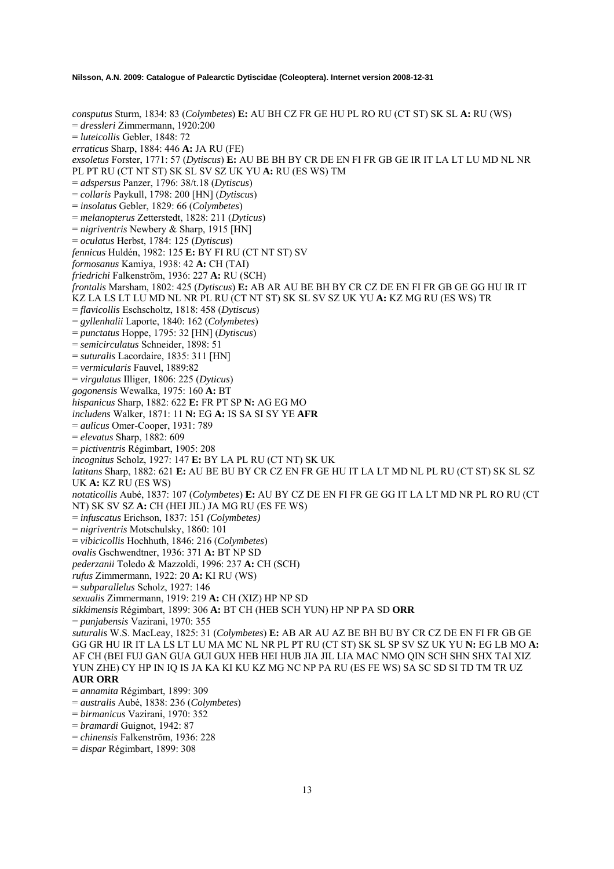*consputus* Sturm, 1834: 83 (*Colymbetes*) **E:** AU BH CZ FR GE HU PL RO RU (CT ST) SK SL **A:** RU (WS) = *dressleri* Zimmermann, 1920:200 = *luteicollis* Gebler, 1848: 72 *erraticus* Sharp, 1884: 446 **A:** JA RU (FE) *exsoletus* Forster, 1771: 57 (*Dytiscus*) **E:** AU BE BH BY CR DE EN FI FR GB GE IR IT LA LT LU MD NL NR PL PT RU (CT NT ST) SK SL SV SZ UK YU **A:** RU (ES WS) TM = *adspersus* Panzer, 1796: 38/t.18 (*Dytiscus*) = *collaris* Paykull, 1798: 200 [HN] (*Dytiscus*) = *insolatus* Gebler, 1829: 66 (*Colymbetes*) = *melanopterus* Zetterstedt, 1828: 211 (*Dyticus*) = *nigriventris* Newbery & Sharp, 1915 [HN] = *oculatus* Herbst, 1784: 125 (*Dytiscus*) *fennicus* Huldén, 1982: 125 **E:** BY FI RU (CT NT ST) SV *formosanus* Kamiya, 1938: 42 **A:** CH (TAI) *friedrichi* Falkenström, 1936: 227 **A:** RU (SCH) *frontalis* Marsham, 1802: 425 (*Dytiscus*) **E:** AB AR AU BE BH BY CR CZ DE EN FI FR GB GE GG HU IR IT KZ LA LS LT LU MD NL NR PL RU (CT NT ST) SK SL SV SZ UK YU **A:** KZ MG RU (ES WS) TR = *flavicollis* Eschscholtz, 1818: 458 (*Dytiscus*) = *gyllenhalii* Laporte, 1840: 162 (*Colymbetes*) = *punctatus* Hoppe, 1795: 32 [HN] (*Dytiscus*) = *semicirculatus* Schneider, 1898: 51 = *suturalis* Lacordaire, 1835: 311 [HN] = *vermicularis* Fauvel, 1889:82 = *virgulatus* Illiger, 1806: 225 (*Dyticus*) *gogonensis* Wewalka, 1975: 160 **A:** BT *hispanicus* Sharp, 1882: 622 **E:** FR PT SP **N:** AG EG MO *includens* Walker, 1871: 11 **N:** EG **A:** IS SA SI SY YE **AFR**  = *aulicus* Omer-Cooper, 1931: 789 = *elevatus* Sharp, 1882: 609 = *pictiventris* Régimbart, 1905: 208 *incognitus* Scholz, 1927: 147 **E:** BY LA PL RU (CT NT) SK UK *latitans* Sharp, 1882: 621 **E:** AU BE BU BY CR CZ EN FR GE HU IT LA LT MD NL PL RU (CT ST) SK SL SZ UK **A:** KZ RU (ES WS) *notaticollis* Aubé, 1837: 107 (*Colymbetes*) **E:** AU BY CZ DE EN FI FR GE GG IT LA LT MD NR PL RO RU (CT NT) SK SV SZ **A:** CH (HEI JIL) JA MG RU (ES FE WS) = *infuscatus* Erichson, 1837: 151 *(Colymbetes)*  = *nigriventris* Motschulsky, 1860: 101 = *vibicicollis* Hochhuth, 1846: 216 (*Colymbetes*) *ovalis* Gschwendtner, 1936: 371 **A:** BT NP SD *pederzanii* Toledo & Mazzoldi, 1996: 237 **A:** CH (SCH) *rufus* Zimmermann, 1922: 20 **A:** KI RU (WS) = *subparallelus* Scholz, 1927: 146 *sexualis* Zimmermann, 1919: 219 **A:** CH (XIZ) HP NP SD *sikkimensis* Régimbart, 1899: 306 **A:** BT CH (HEB SCH YUN) HP NP PA SD **ORR**  = *punjabensis* Vazirani, 1970: 355 *suturalis* W.S. MacLeay, 1825: 31 (*Colymbetes*) **E:** AB AR AU AZ BE BH BU BY CR CZ DE EN FI FR GB GE GG GR HU IR IT LA LS LT LU MA MC NL NR PL PT RU (CT ST) SK SL SP SV SZ UK YU **N:** EG LB MO **A:** AF CH (BEI FUJ GAN GUA GUI GUX HEB HEI HUB JIA JIL LIA MAC NMO QIN SCH SHN SHX TAI XIZ YUN ZHE) CY HP IN IQ IS JA KA KI KU KZ MG NC NP PA RU (ES FE WS) SA SC SD SI TD TM TR UZ **AUR ORR**  = *annamita* Régimbart, 1899: 309 = *australis* Aubé, 1838: 236 (*Colymbetes*) = *birmanicus* Vazirani, 1970: 352 = *bramardi* Guignot, 1942: 87 = *chinensis* Falkenström, 1936: 228

= *dispar* Régimbart, 1899: 308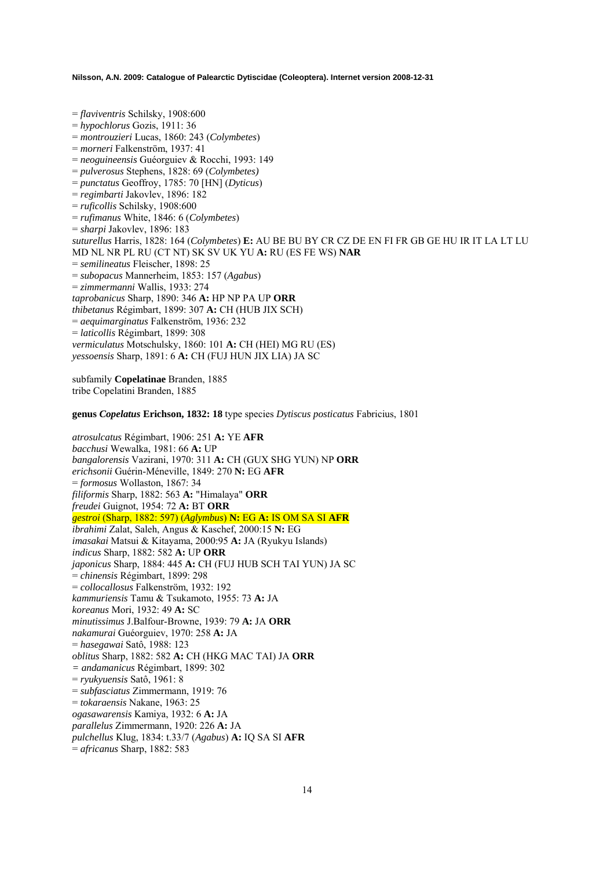= *flaviventris* Schilsky, 1908:600 = *hypochlorus* Gozis, 1911: 36 = *montrouzieri* Lucas, 1860: 243 (*Colymbetes*) = *morneri* Falkenström, 1937: 41 = *neoguineensis* Guéorguiev & Rocchi, 1993: 149 = *pulverosus* Stephens, 1828: 69 (*Colymbetes)* = *punctatus* Geoffroy, 1785: 70 [HN] (*Dyticus*) = *regimbarti* Jakovlev, 1896: 182 = *ruficollis* Schilsky, 1908:600 = *rufimanus* White, 1846: 6 (*Colymbetes*) = *sharpi* Jakovlev, 1896: 183 *suturellus* Harris, 1828: 164 (*Colymbetes*) **E:** AU BE BU BY CR CZ DE EN FI FR GB GE HU IR IT LA LT LU MD NL NR PL RU (CT NT) SK SV UK YU **A:** RU (ES FE WS) **NAR**  = *semilineatus* Fleischer, 1898: 25 = *subopacus* Mannerheim, 1853: 157 (*Agabus*) = *zimmermanni* Wallis, 1933: 274 *taprobanicus* Sharp, 1890: 346 **A:** HP NP PA UP **ORR**  *thibetanus* Régimbart, 1899: 307 **A:** CH (HUB JIX SCH) = *aequimarginatus* Falkenström, 1936: 232 = *laticollis* Régimbart, 1899: 308 *vermiculatus* Motschulsky, 1860: 101 **A:** CH (HEI) MG RU (ES) *yessoensis* Sharp, 1891: 6 **A:** CH (FUJ HUN JIX LIA) JA SC

subfamily **Copelatinae** Branden, 1885 tribe Copelatini Branden, 1885

**genus** *Copelatus* **Erichson, 1832: 18** type species *Dytiscus posticatus* Fabricius, 1801

*atrosulcatus* Régimbart, 1906: 251 **A:** YE **AFR**  *bacchusi* Wewalka, 1981: 66 **A:** UP *bangalorensis* Vazirani, 1970: 311 **A:** CH (GUX SHG YUN) NP **ORR**  *erichsonii* Guérin-Méneville, 1849: 270 **N:** EG **AFR**  = *formosus* Wollaston, 1867: 34 *filiformis* Sharp, 1882: 563 **A:** "Himalaya" **ORR**  *freudei* Guignot, 1954: 72 **A:** BT **ORR**  *gestroi* (Sharp, 1882: 597) (*Aglymbus*) **N:** EG **A:** IS OM SA SI **AFR**  *ibrahimi* Zalat, Saleh, Angus & Kaschef, 2000:15 **N:** EG *imasakai* Matsui & Kitayama, 2000:95 **A:** JA (Ryukyu Islands) *indicus* Sharp, 1882: 582 **A:** UP **ORR**  *japonicus* Sharp, 1884: 445 **A:** CH (FUJ HUB SCH TAI YUN) JA SC = *chinensis* Régimbart, 1899: 298 = *collocallosus* Falkenström, 1932: 192 *kammuriensis* Tamu & Tsukamoto, 1955: 73 **A:** JA *koreanus* Mori, 1932: 49 **A:** SC *minutissimus* J.Balfour-Browne, 1939: 79 **A:** JA **ORR**  *nakamurai* Guéorguiev, 1970: 258 **A:** JA = *hasegawai* Satô, 1988: 123 *oblitus* Sharp, 1882: 582 **A:** CH (HKG MAC TAI) JA **ORR** *= andamanicus* Régimbart, 1899: 302 = *ryukyuensis* Satô, 1961: 8 = *subfasciatus* Zimmermann, 1919: 76 = *tokaraensis* Nakane, 1963: 25 *ogasawarensis* Kamiya, 1932: 6 **A:** JA *parallelus* Zimmermann, 1920: 226 **A:** JA *pulchellus* Klug, 1834: t.33/7 (*Agabus*) **A:** IQ SA SI **AFR**  = *africanus* Sharp, 1882: 583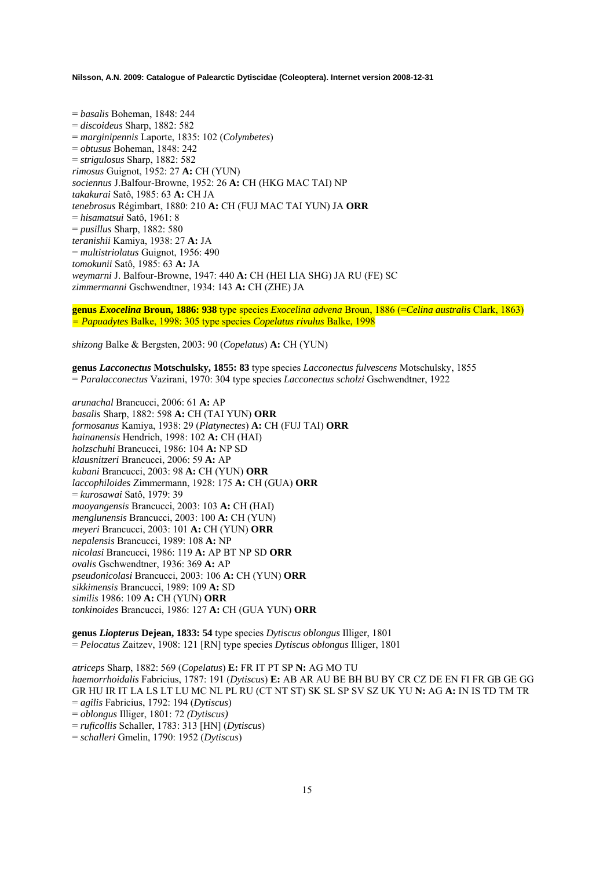= *basalis* Boheman, 1848: 244 = *discoideus* Sharp, 1882: 582 = *marginipennis* Laporte, 1835: 102 (*Colymbetes*) = *obtusus* Boheman, 1848: 242 = *strigulosus* Sharp, 1882: 582 *rimosus* Guignot, 1952: 27 **A:** CH (YUN) *sociennus* J.Balfour-Browne, 1952: 26 **A:** CH (HKG MAC TAI) NP *takakurai* Satô, 1985: 63 **A:** CH JA *tenebrosus* Régimbart, 1880: 210 **A:** CH (FUJ MAC TAI YUN) JA **ORR**  = *hisamatsui* Satô, 1961: 8 = *pusillus* Sharp, 1882: 580 *teranishii* Kamiya, 1938: 27 **A:** JA = *multistriolatus* Guignot, 1956: 490 *tomokunii* Satô, 1985: 63 **A:** JA *weymarni* J. Balfour-Browne, 1947: 440 **A:** CH (HEI LIA SHG) JA RU (FE) SC *zimmermanni* Gschwendtner, 1934: 143 **A:** CH (ZHE) JA

**genus** *Exocelina* **Broun, 1886: 938** type species *Exocelina advena* Broun, 1886 (=*Celina australis* Clark, 1863) *= Papuadytes* Balke, 1998: 305 type species *Copelatus rivulus* Balke, 1998

*shizong* Balke & Bergsten, 2003: 90 (*Copelatus*) **A:** CH (YUN)

**genus** *Lacconectus* **Motschulsky, 1855: 83** type species *Lacconectus fulvescens* Motschulsky, 1855 = *Paralacconectus* Vazirani, 1970: 304 type species *Lacconectus scholzi* Gschwendtner, 1922

*arunachal* Brancucci, 2006: 61 **A:** AP *basalis* Sharp, 1882: 598 **A:** CH (TAI YUN) **ORR**  *formosanus* Kamiya, 1938: 29 (*Platynectes*) **A:** CH (FUJ TAI) **ORR** *hainanensis* Hendrich, 1998: 102 **A:** CH (HAI) *holzschuhi* Brancucci, 1986: 104 **A:** NP SD *klausnitzeri* Brancucci, 2006: 59 **A:** AP *kubani* Brancucci, 2003: 98 **A:** CH (YUN) **ORR** *laccophiloides* Zimmermann, 1928: 175 **A:** CH (GUA) **ORR**  = *kurosawai* Satô, 1979: 39 *maoyangensis* Brancucci, 2003: 103 **A:** CH (HAI) *menglunensis* Brancucci, 2003: 100 **A:** CH (YUN) *meyeri* Brancucci, 2003: 101 **A:** CH (YUN) **ORR** *nepalensis* Brancucci, 1989: 108 **A:** NP *nicolasi* Brancucci, 1986: 119 **A:** AP BT NP SD **ORR**  *ovalis* Gschwendtner, 1936: 369 **A:** AP *pseudonicolasi* Brancucci, 2003: 106 **A:** CH (YUN) **ORR** *sikkimensis* Brancucci, 1989: 109 **A:** SD *similis* 1986: 109 **A:** CH (YUN) **ORR** *tonkinoides* Brancucci, 1986: 127 **A:** CH (GUA YUN) **ORR**

**genus** *Liopterus* **Dejean, 1833: 54** type species *Dytiscus oblongus* Illiger, 1801 = *Pelocatus* Zaitzev, 1908: 121 [RN] type species *Dytiscus oblongus* Illiger, 1801

*atriceps* Sharp, 1882: 569 (*Copelatus*) **E:** FR IT PT SP **N:** AG MO TU *haemorrhoidalis* Fabricius, 1787: 191 (*Dytiscus*) **E:** AB AR AU BE BH BU BY CR CZ DE EN FI FR GB GE GG GR HU IR IT LA LS LT LU MC NL PL RU (CT NT ST) SK SL SP SV SZ UK YU **N:** AG **A:** IN IS TD TM TR = *agilis* Fabricius, 1792: 194 (*Dytiscus*) = *oblongus* Illiger, 1801: 72 *(Dytiscus)*  = *ruficollis* Schaller, 1783: 313 [HN] (*Dytiscus*) = *schalleri* Gmelin, 1790: 1952 (*Dytiscus*)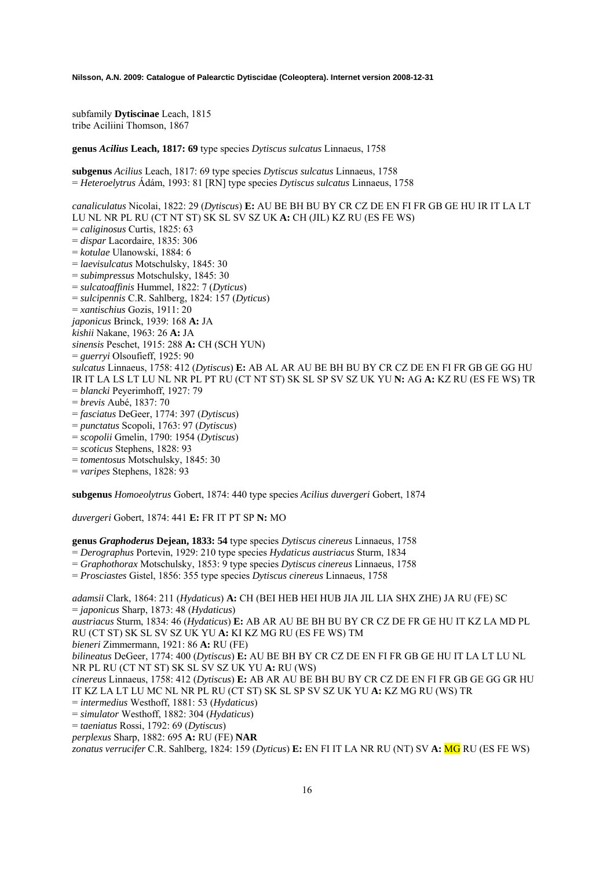subfamily **Dytiscinae** Leach, 1815 tribe Aciliini Thomson, 1867

**genus** *Acilius* **Leach, 1817: 69** type species *Dytiscus sulcatus* Linnaeus, 1758

**subgenus** *Acilius* Leach, 1817: 69 type species *Dytiscus sulcatus* Linnaeus, 1758 = *Heteroelytrus* Ádám, 1993: 81 [RN] type species *Dytiscus sulcatus* Linnaeus, 1758

*canaliculatus* Nicolai, 1822: 29 (*Dytiscus*) **E:** AU BE BH BU BY CR CZ DE EN FI FR GB GE HU IR IT LA LT LU NL NR PL RU (CT NT ST) SK SL SV SZ UK **A:** CH (JIL) KZ RU (ES FE WS) = *caliginosus* Curtis, 1825: 63 = *dispar* Lacordaire, 1835: 306 = *kotulae* Ulanowski, 1884: 6 = *laevisulcatus* Motschulsky, 1845: 30 = *subimpressus* Motschulsky, 1845: 30 = *sulcatoaffinis* Hummel, 1822: 7 (*Dyticus*) = *sulcipennis* C.R. Sahlberg, 1824: 157 (*Dyticus*) = *xantischius* Gozis, 1911: 20 *japonicus* Brinck, 1939: 168 **A:** JA *kishii* Nakane, 1963: 26 **A:** JA *sinensis* Peschet, 1915: 288 **A:** CH (SCH YUN) = *guerryi* Olsoufieff, 1925: 90 *sulcatus* Linnaeus, 1758: 412 (*Dytiscus*) **E:** AB AL AR AU BE BH BU BY CR CZ DE EN FI FR GB GE GG HU IR IT LA LS LT LU NL NR PL PT RU (CT NT ST) SK SL SP SV SZ UK YU **N:** AG **A:** KZ RU (ES FE WS) TR = *blancki* Peyerimhoff, 1927: 79 = *brevis* Aubé, 1837: 70 = *fasciatus* DeGeer, 1774: 397 (*Dytiscus*) = *punctatus* Scopoli, 1763: 97 (*Dytiscus*) = *scopolii* Gmelin, 1790: 1954 (*Dytiscus*) = *scoticus* Stephens, 1828: 93 = *tomentosus* Motschulsky, 1845: 30

= *varipes* Stephens, 1828: 93

**subgenus** *Homoeolytrus* Gobert, 1874: 440 type species *Acilius duvergeri* Gobert, 1874

*duvergeri* Gobert, 1874: 441 **E:** FR IT PT SP **N:** MO

**genus** *Graphoderus* **Dejean, 1833: 54** type species *Dytiscus cinereus* Linnaeus, 1758

= *Derographus* Portevin, 1929: 210 type species *Hydaticus austriacus* Sturm, 1834

= *Graphothorax* Motschulsky, 1853: 9 type species *Dytiscus cinereus* Linnaeus, 1758

= *Prosciastes* Gistel, 1856: 355 type species *Dytiscus cinereus* Linnaeus, 1758

*adamsii* Clark, 1864: 211 (*Hydaticus*) **A:** CH (BEI HEB HEI HUB JIA JIL LIA SHX ZHE) JA RU (FE) SC = *japonicus* Sharp, 1873: 48 (*Hydaticus*)

*austriacus* Sturm, 1834: 46 (*Hydaticus*) **E:** AB AR AU BE BH BU BY CR CZ DE FR GE HU IT KZ LA MD PL RU (CT ST) SK SL SV SZ UK YU **A:** KI KZ MG RU (ES FE WS) TM

*bieneri* Zimmermann, 1921: 86 **A:** RU (FE)

*bilineatus* DeGeer, 1774: 400 (*Dytiscus*) **E:** AU BE BH BY CR CZ DE EN FI FR GB GE HU IT LA LT LU NL NR PL RU (CT NT ST) SK SL SV SZ UK YU **A:** RU (WS)

*cinereus* Linnaeus, 1758: 412 (*Dytiscus*) **E:** AB AR AU BE BH BU BY CR CZ DE EN FI FR GB GE GG GR HU IT KZ LA LT LU MC NL NR PL RU (CT ST) SK SL SP SV SZ UK YU **A:** KZ MG RU (WS) TR

= *intermedius* Westhoff, 1881: 53 (*Hydaticus*)

= *simulator* Westhoff, 1882: 304 (*Hydaticus*)

= *taeniatus* Rossi, 1792: 69 (*Dytiscus*)

*perplexus* Sharp, 1882: 695 **A:** RU (FE) **NAR**

*zonatus verrucifer* C.R. Sahlberg, 1824: 159 (*Dyticus*) **E:** EN FI IT LA NR RU (NT) SV **A:** MG RU (ES FE WS)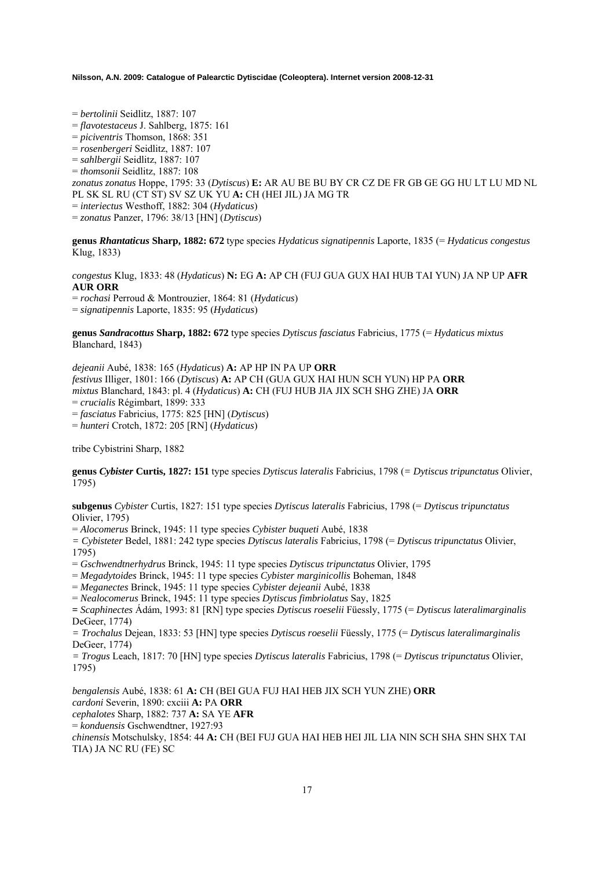= *bertolinii* Seidlitz, 1887: 107

= *flavotestaceus* J. Sahlberg, 1875: 161

= *piciventris* Thomson, 1868: 351

= *rosenbergeri* Seidlitz, 1887: 107

= *sahlbergii* Seidlitz, 1887: 107

= *thomsonii* Seidlitz, 1887: 108

*zonatus zonatus* Hoppe, 1795: 33 (*Dytiscus*) **E:** AR AU BE BU BY CR CZ DE FR GB GE GG HU LT LU MD NL PL SK SL RU (CT ST) SV SZ UK YU **A:** CH (HEI JIL) JA MG TR = *interiectus* Westhoff, 1882: 304 (*Hydaticus*)

= *zonatus* Panzer, 1796: 38/13 [HN] (*Dytiscus*)

**genus** *Rhantaticus* **Sharp, 1882: 672** type species *Hydaticus signatipennis* Laporte, 1835 (= *Hydaticus congestus*  Klug, 1833)

*congestus* Klug, 1833: 48 (*Hydaticus*) **N:** EG **A:** AP CH (FUJ GUA GUX HAI HUB TAI YUN) JA NP UP **AFR AUR ORR**

= *rochasi* Perroud & Montrouzier, 1864: 81 (*Hydaticus*)

= *signatipennis* Laporte, 1835: 95 (*Hydaticus*)

**genus** *Sandracottus* **Sharp, 1882: 672** type species *Dytiscus fasciatus* Fabricius, 1775 (= *Hydaticus mixtus* Blanchard, 1843)

*dejeanii* Aubé, 1838: 165 (*Hydaticus*) **A:** AP HP IN PA UP **ORR**  *festivus* Illiger, 1801: 166 (*Dytiscus*) **A:** AP CH (GUA GUX HAI HUN SCH YUN) HP PA **ORR**  *mixtus* Blanchard, 1843: pl. 4 (*Hydaticus*) **A:** CH (FUJ HUB JIA JIX SCH SHG ZHE) JA **ORR**  = *crucialis* Régimbart, 1899: 333 = *fasciatus* Fabricius, 1775: 825 [HN] (*Dytiscus*) = *hunteri* Crotch, 1872: 205 [RN] (*Hydaticus*)

tribe Cybistrini Sharp, 1882

**genus** *Cybister* **Curtis, 1827: 151** type species *Dytiscus lateralis* Fabricius, 1798 (*= Dytiscus tripunctatus* Olivier, 1795)

**subgenus** *Cybister* Curtis, 1827: 151 type species *Dytiscus lateralis* Fabricius, 1798 (= *Dytiscus tripunctatus* Olivier, 1795)

= *Alocomerus* Brinck, 1945: 11 type species *Cybister buqueti* Aubé, 1838

*= Cybisteter* Bedel, 1881: 242 type species *Dytiscus lateralis* Fabricius, 1798 (= *Dytiscus tripunctatus* Olivier, 1795)

= *Gschwendtnerhydrus* Brinck, 1945: 11 type species *Dytiscus tripunctatus* Olivier, 1795

= *Megadytoides* Brinck, 1945: 11 type species *Cybister marginicollis* Boheman, 1848

= *Meganectes* Brinck, 1945: 11 type species *Cybister dejeanii* Aubé, 1838

= *Nealocomerus* Brinck, 1945: 11 type species *Dytiscus fimbriolatus* Say, 1825

**=** *Scaphinectes* Ádám, 1993: 81 [RN] type species *Dytiscus roeselii* Füessly, 1775 (= *Dytiscus lateralimarginalis* DeGeer, 1774)

*= Trochalus* Dejean, 1833: 53 [HN] type species *Dytiscus roeselii* Füessly, 1775 (= *Dytiscus lateralimarginalis* DeGeer, 1774)

*= Trogus* Leach, 1817: 70 [HN] type species *Dytiscus lateralis* Fabricius, 1798 (= *Dytiscus tripunctatus* Olivier, 1795)

*bengalensis* Aubé, 1838: 61 **A:** CH (BEI GUA FUJ HAI HEB JIX SCH YUN ZHE) **ORR**  *cardoni* Severin, 1890: cxciii **A:** PA **ORR**  *cephalotes* Sharp, 1882: 737 **A:** SA YE **AFR**  = *konduensis* Gschwendtner, 1927:93 *chinensis* Motschulsky, 1854: 44 **A:** CH (BEI FUJ GUA HAI HEB HEI JIL LIA NIN SCH SHA SHN SHX TAI TIA) JA NC RU (FE) SC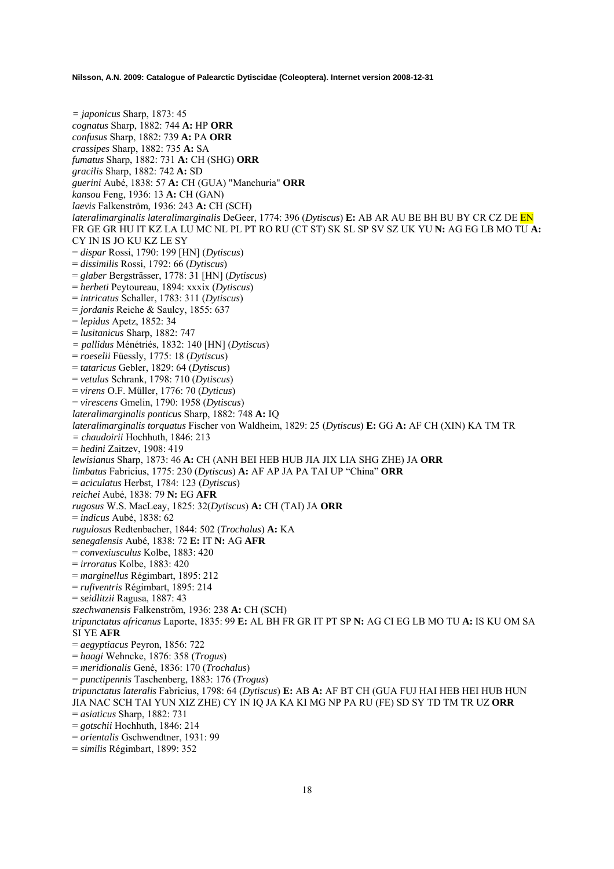*= japonicus* Sharp, 1873: 45 *cognatus* Sharp, 1882: 744 **A:** HP **ORR**  *confusus* Sharp, 1882: 739 **A:** PA **ORR**  *crassipes* Sharp, 1882: 735 **A:** SA *fumatus* Sharp, 1882: 731 **A:** CH (SHG) **ORR**  *gracilis* Sharp, 1882: 742 **A:** SD *guerini* Aubé, 1838: 57 **A:** CH (GUA) "Manchuria" **ORR**  *kansou* Feng, 1936: 13 **A:** CH (GAN) *laevis* Falkenström, 1936: 243 **A:** CH (SCH) *lateralimarginalis lateralimarginalis* DeGeer, 1774: 396 (*Dytiscus*) **E:** AB AR AU BE BH BU BY CR CZ DE EN FR GE GR HU IT KZ LA LU MC NL PL PT RO RU (CT ST) SK SL SP SV SZ UK YU **N:** AG EG LB MO TU **A:**  CY IN IS JO KU KZ LE SY = *dispar* Rossi, 1790: 199 [HN] (*Dytiscus*) = *dissimilis* Rossi, 1792: 66 (*Dytiscus*) = *glaber* Bergsträsser, 1778: 31 [HN] (*Dytiscus*) = *herbeti* Peytoureau, 1894: xxxix (*Dytiscus*) = *intricatus* Schaller, 1783: 311 (*Dytiscus*) = *jordanis* Reiche & Saulcy, 1855: 637 = *lepidus* Apetz, 1852: 34 = *lusitanicus* Sharp, 1882: 747 *= pallidus* Ménétriés, 1832: 140 [HN] (*Dytiscus*) = *roeselii* Füessly, 1775: 18 (*Dytiscus*) = *tataricus* Gebler, 1829: 64 (*Dytiscus*) = *vetulus* Schrank, 1798: 710 (*Dytiscus*) = *virens* O.F. Müller, 1776: 70 (*Dyticus*) = *virescens* Gmelin, 1790: 1958 (*Dytiscus*) *lateralimarginalis ponticus* Sharp, 1882: 748 **A:** IQ *lateralimarginalis torquatus* Fischer von Waldheim, 1829: 25 (*Dytiscus*) **E:** GG **A:** AF CH (XIN) KA TM TR *= chaudoirii* Hochhuth, 1846: 213 = *hedini* Zaitzev, 1908: 419 *lewisianus* Sharp, 1873: 46 **A:** CH (ANH BEI HEB HUB JIA JIX LIA SHG ZHE) JA **ORR**  *limbatus* Fabricius, 1775: 230 (*Dytiscus*) **A:** AF AP JA PA TAI UP "China" **ORR**  = *aciculatus* Herbst, 1784: 123 (*Dytiscus*) *reichei* Aubé, 1838: 79 **N:** EG **AFR**  *rugosus* W.S. MacLeay, 1825: 32(*Dytiscus*) **A:** CH (TAI) JA **ORR**  = *indicus* Aubé, 1838: 62 *rugulosus* Redtenbacher, 1844: 502 (*Trochalus*) **A:** KA *senegalensis* Aubé, 1838: 72 **E:** IT **N:** AG **AFR**  = *convexiusculus* Kolbe, 1883: 420 = *irroratus* Kolbe, 1883: 420 = *marginellus* Régimbart, 1895: 212 = *rufiventris* Régimbart, 1895: 214 = *seidlitzii* Ragusa, 1887: 43 *szechwanensis* Falkenström, 1936: 238 **A:** CH (SCH) *tripunctatus africanus* Laporte, 1835: 99 **E:** AL BH FR GR IT PT SP **N:** AG CI EG LB MO TU **A:** IS KU OM SA SI YE **AFR**  = *aegyptiacus* Peyron, 1856: 722 = *haagi* Wehncke, 1876: 358 (*Trogus*) = *meridionalis* Gené, 1836: 170 (*Trochalus*) = *punctipennis* Taschenberg, 1883: 176 (*Trogus*) *tripunctatus lateralis* Fabricius, 1798: 64 (*Dytiscus*) **E:** AB **A:** AF BT CH (GUA FUJ HAI HEB HEI HUB HUN JIA NAC SCH TAI YUN XIZ ZHE) CY IN IQ JA KA KI MG NP PA RU (FE) SD SY TD TM TR UZ **ORR**  = *asiaticus* Sharp, 1882: 731 = *gotschii* Hochhuth, 1846: 214 = *orientalis* Gschwendtner, 1931: 99 = *similis* Régimbart, 1899: 352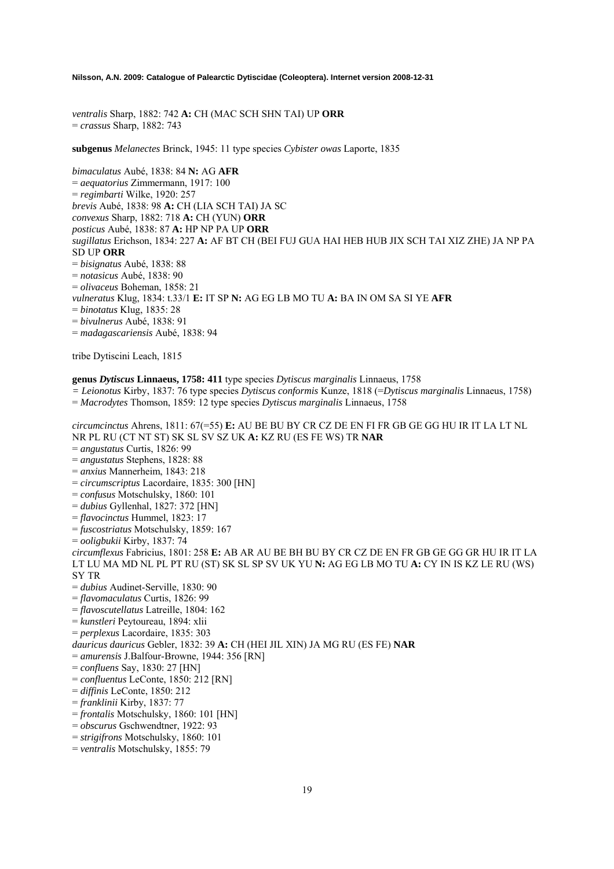*ventralis* Sharp, 1882: 742 **A:** CH (MAC SCH SHN TAI) UP **ORR**  = *crassus* Sharp, 1882: 743

**subgenus** *Melanectes* Brinck, 1945: 11 type species *Cybister owas* Laporte, 1835

*bimaculatus* Aubé, 1838: 84 **N:** AG **AFR**  = *aequatorius* Zimmermann, 1917: 100 = *regimbarti* Wilke, 1920: 257 *brevis* Aubé, 1838: 98 **A:** CH (LIA SCH TAI) JA SC *convexus* Sharp, 1882: 718 **A:** CH (YUN) **ORR**  *posticus* Aubé, 1838: 87 **A:** HP NP PA UP **ORR**  *sugillatus* Erichson, 1834: 227 **A:** AF BT CH (BEI FUJ GUA HAI HEB HUB JIX SCH TAI XIZ ZHE) JA NP PA SD UP **ORR**  = *bisignatus* Aubé, 1838: 88 = *notasicus* Aubé, 1838: 90 = *olivaceus* Boheman, 1858: 21 *vulneratus* Klug, 1834: t.33/1 **E:** IT SP **N:** AG EG LB MO TU **A:** BA IN OM SA SI YE **AFR**  = *binotatus* Klug, 1835: 28 = *bivulnerus* Aubé, 1838: 91 = *madagascariensis* Aubé, 1838: 94

tribe Dytiscini Leach, 1815

## **genus** *Dytiscus* **Linnaeus, 1758: 411** type species *Dytiscus marginalis* Linnaeus, 1758

*= Leionotus* Kirby, 1837: 76 type species *Dytiscus conformis* Kunze, 1818 (=*Dytiscus marginalis* Linnaeus, 1758) = *Macrodytes* Thomson, 1859: 12 type species *Dytiscus marginalis* Linnaeus, 1758

*circumcinctus* Ahrens, 1811: 67(=55) **E:** AU BE BU BY CR CZ DE EN FI FR GB GE GG HU IR IT LA LT NL NR PL RU (CT NT ST) SK SL SV SZ UK **A:** KZ RU (ES FE WS) TR **NAR**  = *angustatus* Curtis, 1826: 99 = *angustatus* Stephens, 1828: 88 = *anxius* Mannerheim, 1843: 218 = *circumscriptus* Lacordaire, 1835: 300 [HN] = *confusus* Motschulsky, 1860: 101 = *dubius* Gyllenhal, 1827: 372 [HN] = *flavocinctus* Hummel, 1823: 17 = *fuscostriatus* Motschulsky, 1859: 167 = *ooligbukii* Kirby, 1837: 74 *circumflexus* Fabricius, 1801: 258 **E:** AB AR AU BE BH BU BY CR CZ DE EN FR GB GE GG GR HU IR IT LA LT LU MA MD NL PL PT RU (ST) SK SL SP SV UK YU **N:** AG EG LB MO TU **A:** CY IN IS KZ LE RU (WS) SY TR = *dubius* Audinet-Serville, 1830: 90 = *flavomaculatus* Curtis, 1826: 99 = *flavoscutellatus* Latreille, 1804: 162 = *kunstleri* Peytoureau, 1894: xlii = *perplexus* Lacordaire, 1835: 303 *dauricus dauricus* Gebler, 1832: 39 **A:** CH (HEI JIL XIN) JA MG RU (ES FE) **NAR**  = *amurensis* J.Balfour-Browne, 1944: 356 [RN] = *confluens* Say, 1830: 27 [HN] = *confluentus* LeConte, 1850: 212 [RN] = *diffinis* LeConte, 1850: 212 = *franklinii* Kirby, 1837: 77 = *frontalis* Motschulsky, 1860: 101 [HN] = *obscurus* Gschwendtner, 1922: 93 = *strigifrons* Motschulsky, 1860: 101

- 
- = *ventralis* Motschulsky, 1855: 79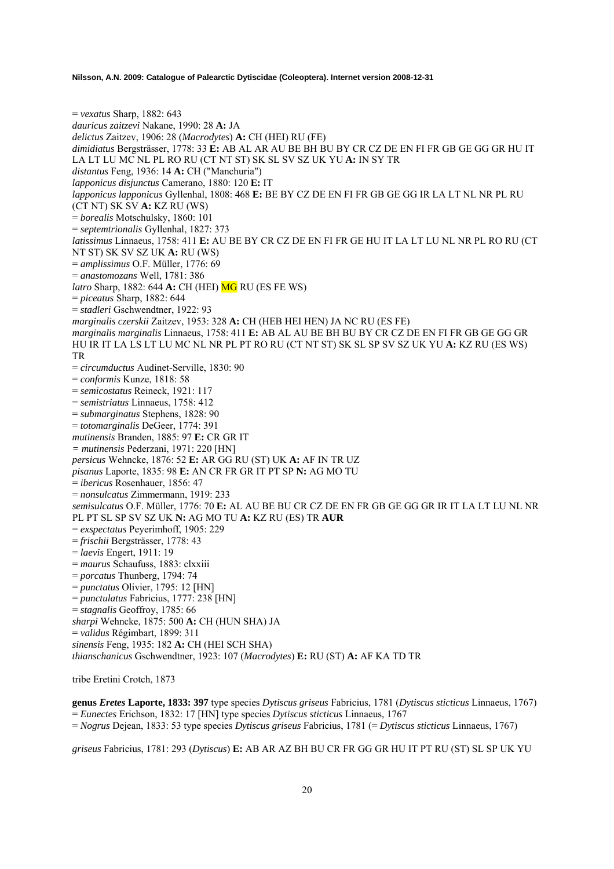= *vexatus* Sharp, 1882: 643 *dauricus zaitzevi* Nakane, 1990: 28 **A:** JA *delictus* Zaitzev, 1906: 28 (*Macrodytes*) **A:** CH (HEI) RU (FE) *dimidiatus* Bergsträsser, 1778: 33 **E:** AB AL AR AU BE BH BU BY CR CZ DE EN FI FR GB GE GG GR HU IT LA LT LU MC NL PL RO RU (CT NT ST) SK SL SV SZ UK YU **A:** IN SY TR *distantus* Feng, 1936: 14 **A:** CH ("Manchuria") *lapponicus disjunctus* Camerano, 1880: 120 **E:** IT *lapponicus lapponicus* Gyllenhal, 1808: 468 **E:** BE BY CZ DE EN FI FR GB GE GG IR LA LT NL NR PL RU (CT NT) SK SV **A:** KZ RU (WS) = *borealis* Motschulsky, 1860: 101 = *septemtrionalis* Gyllenhal, 1827: 373 *latissimus* Linnaeus, 1758: 411 **E:** AU BE BY CR CZ DE EN FI FR GE HU IT LA LT LU NL NR PL RO RU (CT NT ST) SK SV SZ UK **A:** RU (WS) = *amplissimus* O.F. Müller, 1776: 69 = *anastomozans* Well, 1781: 386 *latro* Sharp, 1882: 644 **A:** CH (HEI) **MG** RU (ES FE WS) = *piceatus* Sharp, 1882: 644 = *stadleri* Gschwendtner, 1922: 93 *marginalis czerskii* Zaitzev, 1953: 328 **A:** CH (HEB HEI HEN) JA NC RU (ES FE) *marginalis marginalis* Linnaeus, 1758: 411 **E:** AB AL AU BE BH BU BY CR CZ DE EN FI FR GB GE GG GR HU IR IT LA LS LT LU MC NL NR PL PT RO RU (CT NT ST) SK SL SP SV SZ UK YU **A:** KZ RU (ES WS) TR = *circumductus* Audinet-Serville, 1830: 90 = *conformis* Kunze, 1818: 58 = *semicostatus* Reineck, 1921: 117 = *semistriatus* Linnaeus, 1758: 412 = *submarginatus* Stephens, 1828: 90 = *totomarginalis* DeGeer, 1774: 391 *mutinensis* Branden, 1885: 97 **E:** CR GR IT *= mutinensis* Pederzani, 1971: 220 [HN] *persicus* Wehncke, 1876: 52 **E:** AR GG RU (ST) UK **A:** AF IN TR UZ *pisanus* Laporte, 1835: 98 **E:** AN CR FR GR IT PT SP **N:** AG MO TU = *ibericus* Rosenhauer, 1856: 47 = *nonsulcatus* Zimmermann, 1919: 233 *semisulcatus* O.F. Müller, 1776: 70 **E:** AL AU BE BU CR CZ DE EN FR GB GE GG GR IR IT LA LT LU NL NR PL PT SL SP SV SZ UK **N:** AG MO TU **A:** KZ RU (ES) TR **AUR**  = *exspectatus* Peyerimhoff, 1905: 229 = *frischii* Bergsträsser, 1778: 43 = *laevis* Engert, 1911: 19 = *maurus* Schaufuss, 1883: clxxiii = *porcatus* Thunberg, 1794: 74 = *punctatus* Olivier, 1795: 12 [HN] = *punctulatus* Fabricius, 1777: 238 [HN] = *stagnalis* Geoffroy, 1785: 66 *sharpi* Wehncke, 1875: 500 **A:** CH (HUN SHA) JA = *validus* Régimbart, 1899: 311 *sinensis* Feng, 1935: 182 **A:** CH (HEI SCH SHA) *thianschanicus* Gschwendtner, 1923: 107 (*Macrodytes*) **E:** RU (ST) **A:** AF KA TD TR tribe Eretini Crotch, 1873

**genus** *Eretes* **Laporte, 1833: 397** type species *Dytiscus griseus* Fabricius, 1781 (*Dytiscus sticticus* Linnaeus, 1767) = *Eunectes* Erichson, 1832: 17 [HN] type species *Dytiscus sticticus* Linnaeus, 1767

= *Nogrus* Dejean, 1833: 53 type species *Dytiscus griseus* Fabricius, 1781 (= *Dytiscus sticticus* Linnaeus, 1767)

*griseus* Fabricius, 1781: 293 (*Dytiscus*) **E:** AB AR AZ BH BU CR FR GG GR HU IT PT RU (ST) SL SP UK YU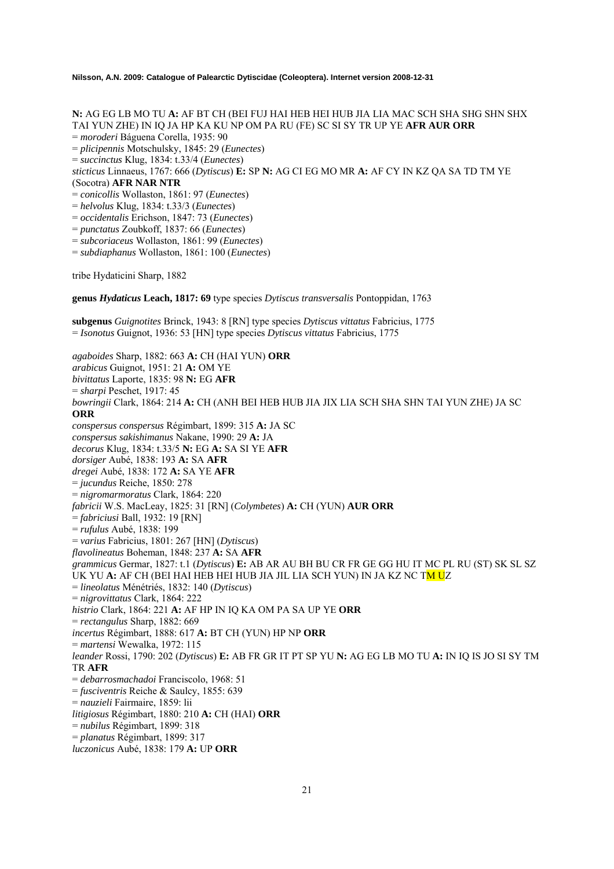**N:** AG EG LB MO TU **A:** AF BT CH (BEI FUJ HAI HEB HEI HUB JIA LIA MAC SCH SHA SHG SHN SHX TAI YUN ZHE) IN IQ JA HP KA KU NP OM PA RU (FE) SC SI SY TR UP YE **AFR AUR ORR** = *moroderi* Báguena Corella, 1935: 90 = *plicipennis* Motschulsky, 1845: 29 (*Eunectes*) = *succinctus* Klug, 1834: t.33/4 (*Eunectes*) *sticticus* Linnaeus, 1767: 666 (*Dytiscus*) **E:** SP **N:** AG CI EG MO MR **A:** AF CY IN KZ QA SA TD TM YE (Socotra) **AFR NAR NTR** = *conicollis* Wollaston, 1861: 97 (*Eunectes*) = *helvolus* Klug, 1834: t.33/3 (*Eunectes*) = *occidentalis* Erichson, 1847: 73 (*Eunectes*) = *punctatus* Zoubkoff, 1837: 66 (*Eunectes*) = *subcoriaceus* Wollaston, 1861: 99 (*Eunectes*) = *subdiaphanus* Wollaston, 1861: 100 (*Eunectes*) tribe Hydaticini Sharp, 1882 **genus** *Hydaticus* **Leach, 1817: 69** type species *Dytiscus transversalis* Pontoppidan, 1763 **subgenus** *Guignotites* Brinck, 1943: 8 [RN] type species *Dytiscus vittatus* Fabricius, 1775 = *Isonotus* Guignot, 1936: 53 [HN] type species *Dytiscus vittatus* Fabricius, 1775 *agaboides* Sharp, 1882: 663 **A:** CH (HAI YUN) **ORR**  *arabicus* Guignot, 1951: 21 **A:** OM YE *bivittatus* Laporte, 1835: 98 **N:** EG **AFR**  = *sharpi* Peschet, 1917: 45 *bowringii* Clark, 1864: 214 **A:** CH (ANH BEI HEB HUB JIA JIX LIA SCH SHA SHN TAI YUN ZHE) JA SC **ORR** *conspersus conspersus* Régimbart, 1899: 315 **A:** JA SC *conspersus sakishimanus* Nakane, 1990: 29 **A:** JA *decorus* Klug, 1834: t.33/5 **N:** EG **A:** SA SI YE **AFR** *dorsiger* Aubé, 1838: 193 **A:** SA **AFR** *dregei* Aubé, 1838: 172 **A:** SA YE **AFR** = *jucundus* Reiche, 1850: 278 = *nigromarmoratus* Clark, 1864: 220 *fabricii* W.S. MacLeay, 1825: 31 [RN] (*Colymbetes*) **A:** CH (YUN) **AUR ORR**  = *fabriciusi* Ball, 1932: 19 [RN] = *rufulus* Aubé, 1838: 199

= *varius* Fabricius, 1801: 267 [HN] (*Dytiscus*) *flavolineatus* Boheman, 1848: 237 **A:** SA **AFR** *grammicus* Germar, 1827: t.1 (*Dytiscus*) **E:** AB AR AU BH BU CR FR GE GG HU IT MC PL RU (ST) SK SL SZ UK YU **A:** AF CH (BEI HAI HEB HEI HUB JIA JIL LIA SCH YUN) IN JA KZ NC TM UZ = *lineolatus* Ménétriés, 1832: 140 (*Dytiscus*) = *nigrovittatus* Clark, 1864: 222 *histrio* Clark, 1864: 221 **A:** AF HP IN IQ KA OM PA SA UP YE **ORR** = *rectangulus* Sharp, 1882: 669 *incertus* Régimbart, 1888: 617 **A:** BT CH (YUN) HP NP **ORR** = *martensi* Wewalka, 1972: 115 *leander* Rossi, 1790: 202 (*Dytiscus*) **E:** AB FR GR IT PT SP YU **N:** AG EG LB MO TU **A:** IN IQ IS JO SI SY TM TR **AFR** = *debarrosmachadoi* Franciscolo, 1968: 51 = *fusciventris* Reiche & Saulcy, 1855: 639 = *nauzieli* Fairmaire, 1859: lii *litigiosus* Régimbart, 1880: 210 **A:** CH (HAI) **ORR** = *nubilus* Régimbart, 1899: 318 = *planatus* Régimbart, 1899: 317 *luczonicus* Aubé, 1838: 179 **A:** UP **ORR**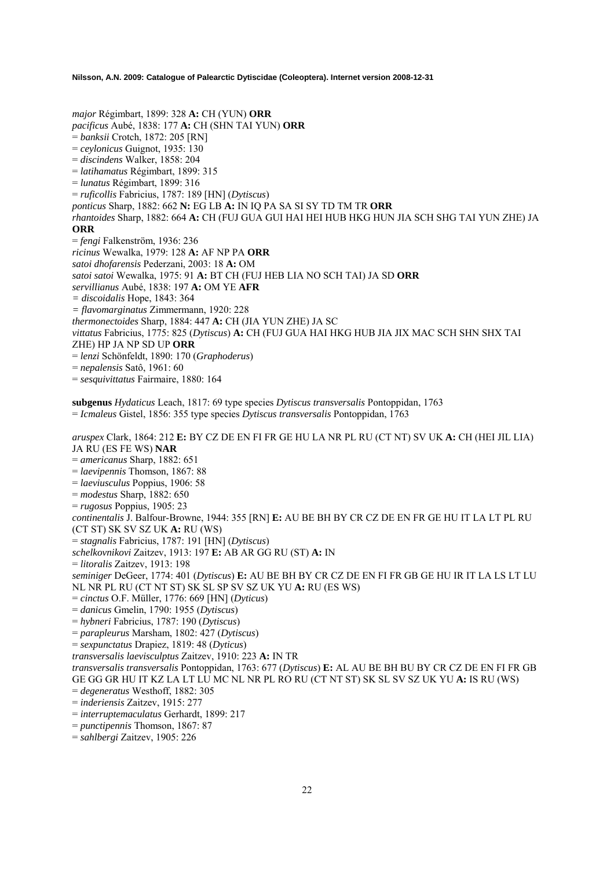*major* Régimbart, 1899: 328 **A:** CH (YUN) **ORR** *pacificus* Aubé, 1838: 177 **A:** CH (SHN TAI YUN) **ORR** = *banksii* Crotch, 1872: 205 [RN] = *ceylonicus* Guignot, 1935: 130 = *discindens* Walker, 1858: 204 = *latihamatus* Régimbart, 1899: 315 = *lunatus* Régimbart, 1899: 316 = *ruficollis* Fabricius, 1787: 189 [HN] (*Dytiscus*) *ponticus* Sharp, 1882: 662 **N:** EG LB **A:** IN IQ PA SA SI SY TD TM TR **ORR** *rhantoides* Sharp, 1882: 664 **A:** CH (FUJ GUA GUI HAI HEI HUB HKG HUN JIA SCH SHG TAI YUN ZHE) JA **ORR** = *fengi* Falkenström, 1936: 236 *ricinus* Wewalka, 1979: 128 **A:** AF NP PA **ORR** *satoi dhofarensis* Pederzani, 2003: 18 **A:** OM *satoi satoi* Wewalka, 1975: 91 **A:** BT CH (FUJ HEB LIA NO SCH TAI) JA SD **ORR**  *servillianus* Aubé, 1838: 197 **A:** OM YE **AFR** *= discoidalis* Hope, 1843: 364 *= flavomarginatus* Zimmermann, 1920: 228 *thermonectoides* Sharp, 1884: 447 **A:** CH (JIA YUN ZHE) JA SC *vittatus* Fabricius, 1775: 825 (*Dytiscus*) **A:** CH (FUJ GUA HAI HKG HUB JIA JIX MAC SCH SHN SHX TAI ZHE) HP JA NP SD UP **ORR** = *lenzi* Schönfeldt, 1890: 170 (*Graphoderus*) = *nepalensis* Satô, 1961: 60 = *sesquivittatus* Fairmaire, 1880: 164 **subgenus** *Hydaticus* Leach, 1817: 69 type species *Dytiscus transversalis* Pontoppidan, 1763 = *Icmaleus* Gistel, 1856: 355 type species *Dytiscus transversalis* Pontoppidan, 1763 *aruspex* Clark, 1864: 212 **E:** BY CZ DE EN FI FR GE HU LA NR PL RU (CT NT) SV UK **A:** CH (HEI JIL LIA) JA RU (ES FE WS) **NAR** = *americanus* Sharp, 1882: 651 = *laevipennis* Thomson, 1867: 88 = *laeviusculus* Poppius, 1906: 58 = *modestus* Sharp, 1882: 650 = *rugosus* Poppius, 1905: 23 *continentalis* J. Balfour-Browne, 1944: 355 [RN] **E:** AU BE BH BY CR CZ DE EN FR GE HU IT LA LT PL RU (CT ST) SK SV SZ UK **A:** RU (WS) = *stagnalis* Fabricius, 1787: 191 [HN] (*Dytiscus*) *schelkovnikovi* Zaitzev, 1913: 197 **E:** AB AR GG RU (ST) **A:** IN

= *litoralis* Zaitzev, 1913: 198

*seminiger* DeGeer, 1774: 401 (*Dytiscus*) **E:** AU BE BH BY CR CZ DE EN FI FR GB GE HU IR IT LA LS LT LU NL NR PL RU (CT NT ST) SK SL SP SV SZ UK YU **A:** RU (ES WS)

- = *cinctus* O.F. Müller, 1776: 669 [HN] (*Dyticus*)
- = *danicus* Gmelin, 1790: 1955 (*Dytiscus*)
- = *hybneri* Fabricius, 1787: 190 (*Dytiscus*)

= *parapleurus* Marsham, 1802: 427 (*Dytiscus*)

- = *sexpunctatus* Drapiez, 1819: 48 (*Dyticus*)
- *transversalis laevisculptus* Zaitzev, 1910: 223 **A:** IN TR

*transversalis transversalis* Pontoppidan, 1763: 677 (*Dytiscus*) **E:** AL AU BE BH BU BY CR CZ DE EN FI FR GB GE GG GR HU IT KZ LA LT LU MC NL NR PL RO RU (CT NT ST) SK SL SV SZ UK YU **A:** IS RU (WS)

- = *degeneratus* Westhoff, 1882: 305
- = *inderiensis* Zaitzev, 1915: 277
- = *interruptemaculatus* Gerhardt, 1899: 217
- = *punctipennis* Thomson, 1867: 87
- = *sahlbergi* Zaitzev, 1905: 226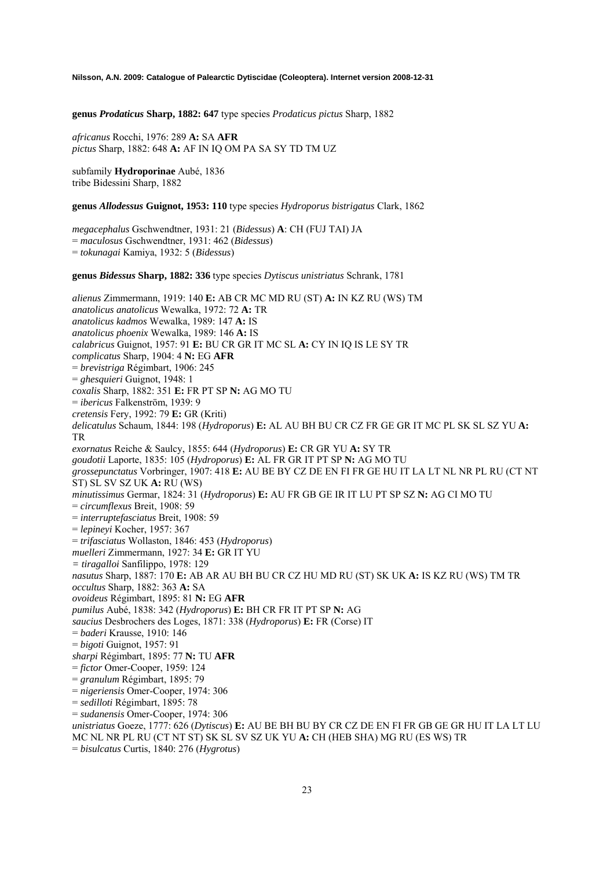**genus** *Prodaticus* **Sharp, 1882: 647** type species *Prodaticus pictus* Sharp, 1882

*africanus* Rocchi, 1976: 289 **A:** SA **AFR** *pictus* Sharp, 1882: 648 **A:** AF IN IQ OM PA SA SY TD TM UZ

subfamily **Hydroporinae** Aubé, 1836 tribe Bidessini Sharp, 1882

**genus** *Allodessus* **Guignot, 1953: 110** type species *Hydroporus bistrigatus* Clark, 1862

*megacephalus* Gschwendtner, 1931: 21 (*Bidessus*) **A**: CH (FUJ TAI) JA = *maculosus* Gschwendtner, 1931: 462 (*Bidessus*) = *tokunagai* Kamiya, 1932: 5 (*Bidessus*)

**genus** *Bidessus* **Sharp, 1882: 336** type species *Dytiscus unistriatus* Schrank, 1781

*alienus* Zimmermann, 1919: 140 **E:** AB CR MC MD RU (ST) **A:** IN KZ RU (WS) TM *anatolicus anatolicus* Wewalka, 1972: 72 **A:** TR *anatolicus kadmos* Wewalka, 1989: 147 **A:** IS *anatolicus phoenix* Wewalka, 1989: 146 **A:** IS *calabricus* Guignot, 1957: 91 **E:** BU CR GR IT MC SL **A:** CY IN IQ IS LE SY TR *complicatus* Sharp, 1904: 4 **N:** EG **AFR** = *brevistriga* Régimbart, 1906: 245 = *ghesquieri* Guignot, 1948: 1 *coxalis* Sharp, 1882: 351 **E:** FR PT SP **N:** AG MO TU = *ibericus* Falkenström, 1939: 9 *cretensis* Fery, 1992: 79 **E:** GR (Kriti) *delicatulus* Schaum, 1844: 198 (*Hydroporus*) **E:** AL AU BH BU CR CZ FR GE GR IT MC PL SK SL SZ YU **A:**  TR *exornatus* Reiche & Saulcy, 1855: 644 (*Hydroporus*) **E:** CR GR YU **A:** SY TR *goudotii* Laporte, 1835: 105 (*Hydroporus*) **E:** AL FR GR IT PT SP **N:** AG MO TU *grossepunctatus* Vorbringer, 1907: 418 **E:** AU BE BY CZ DE EN FI FR GE HU IT LA LT NL NR PL RU (CT NT ST) SL SV SZ UK **A:** RU (WS) *minutissimus* Germar, 1824: 31 (*Hydroporus*) **E:** AU FR GB GE IR IT LU PT SP SZ **N:** AG CI MO TU = *circumflexus* Breit, 1908: 59 = *interruptefasciatus* Breit, 1908: 59 = *lepineyi* Kocher, 1957: 367 = *trifasciatus* Wollaston, 1846: 453 (*Hydroporus*) *muelleri* Zimmermann, 1927: 34 **E:** GR IT YU *= tiragalloi* Sanfilippo, 1978: 129 *nasutus* Sharp, 1887: 170 **E:** AB AR AU BH BU CR CZ HU MD RU (ST) SK UK **A:** IS KZ RU (WS) TM TR *occultus* Sharp, 1882: 363 **A:** SA *ovoideus* Régimbart, 1895: 81 **N:** EG **AFR** *pumilus* Aubé, 1838: 342 (*Hydroporus*) **E:** BH CR FR IT PT SP **N:** AG *saucius* Desbrochers des Loges, 1871: 338 (*Hydroporus*) **E:** FR (Corse) IT = *baderi* Krausse, 1910: 146 = *bigoti* Guignot, 1957: 91 *sharpi* Régimbart, 1895: 77 **N:** TU **AFR** = *fictor* Omer-Cooper, 1959: 124 = *granulum* Régimbart, 1895: 79 = *nigeriensis* Omer-Cooper, 1974: 306 = *sedilloti* Régimbart, 1895: 78 = *sudanensis* Omer-Cooper, 1974: 306 *unistriatus* Goeze, 1777: 626 (*Dytiscus*) **E:** AU BE BH BU BY CR CZ DE EN FI FR GB GE GR HU IT LA LT LU MC NL NR PL RU (CT NT ST) SK SL SV SZ UK YU **A:** CH (HEB SHA) MG RU (ES WS) TR = *bisulcatus* Curtis, 1840: 276 (*Hygrotus*)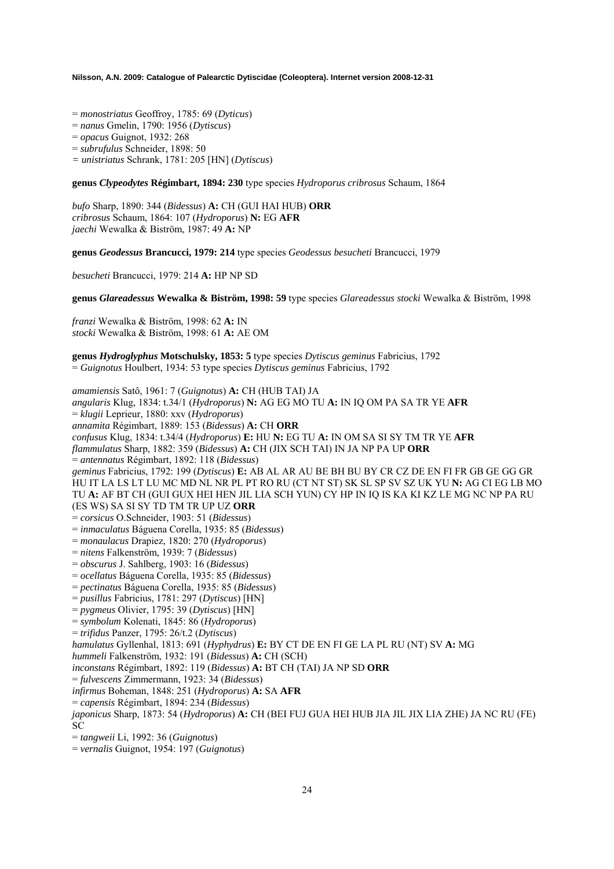- = *monostriatus* Geoffroy, 1785: 69 (*Dyticus*)
- = *nanus* Gmelin, 1790: 1956 (*Dytiscus*)
- = *opacus* Guignot, 1932: 268
- = *subrufulus* Schneider, 1898: 50
- *= unistriatus* Schrank, 1781: 205 [HN] (*Dytiscus*)

**genus** *Clypeodytes* **Régimbart, 1894: 230** type species *Hydroporus cribrosus* Schaum, 1864

*bufo* Sharp, 1890: 344 (*Bidessus*) **A:** CH (GUI HAI HUB) **ORR**  *cribrosus* Schaum, 1864: 107 (*Hydroporus*) **N:** EG **AFR**  *jaechi* Wewalka & Biström, 1987: 49 **A:** NP

**genus** *Geodessus* **Brancucci, 1979: 214** type species *Geodessus besucheti* Brancucci, 1979

*besucheti* Brancucci, 1979: 214 **A:** HP NP SD

**genus** *Glareadessus* **Wewalka & Biström, 1998: 59** type species *Glareadessus stocki* Wewalka & Biström, 1998

*franzi* Wewalka & Biström, 1998: 62 **A:** IN *stocki* Wewalka & Biström, 1998: 61 **A:** AE OM

**genus** *Hydroglyphus* **Motschulsky, 1853: 5** type species *Dytiscus geminus* Fabricius, 1792 = *Guignotus* Houlbert, 1934: 53 type species *Dytiscus geminus* Fabricius, 1792

*amamiensis* Satô, 1961: 7 (*Guignotus*) **A:** CH (HUB TAI) JA *angularis* Klug, 1834: t.34/1 (*Hydroporus*) **N:** AG EG MO TU **A:** IN IQ OM PA SA TR YE **AFR**  = *klugii* Leprieur, 1880: xxv (*Hydroporus*) *annamita* Régimbart, 1889: 153 (*Bidessus*) **A:** CH **ORR**  *confusus* Klug, 1834: t.34/4 (*Hydroporus*) **E:** HU **N:** EG TU **A:** IN OM SA SI SY TM TR YE **AFR**  *flammulatus* Sharp, 1882: 359 (*Bidessus*) **A:** CH (JIX SCH TAI) IN JA NP PA UP **ORR**  = *antennatus* Régimbart, 1892: 118 (*Bidessus*) *geminus* Fabricius, 1792: 199 (*Dytiscus*) **E:** AB AL AR AU BE BH BU BY CR CZ DE EN FI FR GB GE GG GR HU IT LA LS LT LU MC MD NL NR PL PT RO RU (CT NT ST) SK SL SP SV SZ UK YU **N:** AG CI EG LB MO TU **A:** AF BT CH (GUI GUX HEI HEN JIL LIA SCH YUN) CY HP IN IQ IS KA KI KZ LE MG NC NP PA RU (ES WS) SA SI SY TD TM TR UP UZ **ORR**  = *corsicus* O.Schneider, 1903: 51 (*Bidessus*) = *inmaculatus* Báguena Corella, 1935: 85 (*Bidessus*) = *monaulacus* Drapiez, 1820: 270 (*Hydroporus*) = *nitens* Falkenström, 1939: 7 (*Bidessus*) = *obscurus* J. Sahlberg, 1903: 16 (*Bidessus*) = *ocellatus* Báguena Corella, 1935: 85 (*Bidessus*) = *pectinatus* Báguena Corella, 1935: 85 (*Bidessus*) = *pusillus* Fabricius, 1781: 297 (*Dytiscus*) [HN] = *pygmeus* Olivier, 1795: 39 (*Dytiscus*) [HN] = *symbolum* Kolenati, 1845: 86 (*Hydroporus*) = *trifidus* Panzer, 1795: 26/t.2 (*Dytiscus*) *hamulatus* Gyllenhal, 1813: 691 (*Hyphydrus*) **E:** BY CT DE EN FI GE LA PL RU (NT) SV **A:** MG *hummeli* Falkenström, 1932: 191 (*Bidessus*) **A:** CH (SCH) *inconstans* Régimbart, 1892: 119 (*Bidessus*) **A:** BT CH (TAI) JA NP SD **ORR**  = *fulvescens* Zimmermann, 1923: 34 (*Bidessus*) *infirmus* Boheman, 1848: 251 (*Hydroporus*) **A:** SA **AFR**  = *capensis* Régimbart, 1894: 234 (*Bidessus*) *japonicus* Sharp, 1873: 54 (*Hydroporus*) **A:** CH (BEI FUJ GUA HEI HUB JIA JIL JIX LIA ZHE) JA NC RU (FE) SC = *tangweii* Li, 1992: 36 (*Guignotus*)

= *vernalis* Guignot, 1954: 197 (*Guignotus*)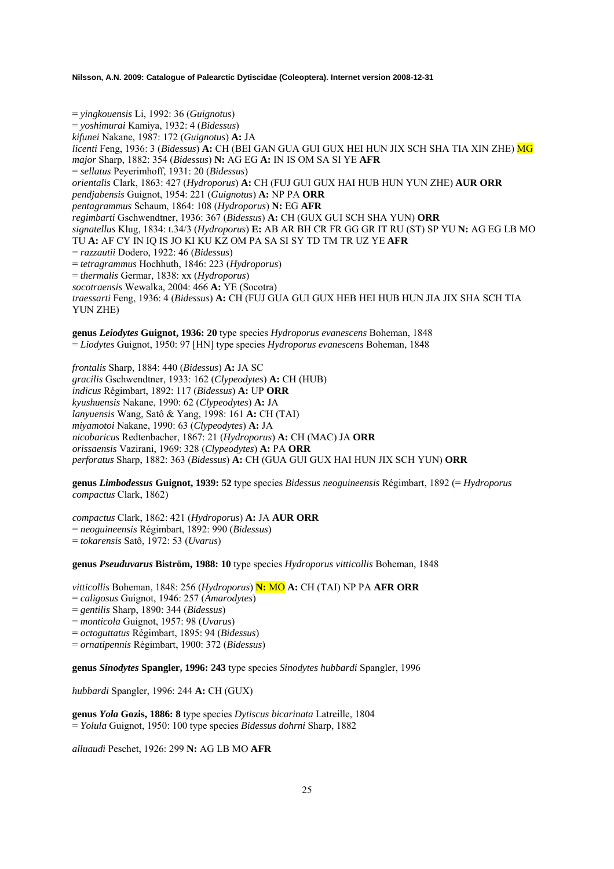= *yingkouensis* Li, 1992: 36 (*Guignotus*) = *yoshimurai* Kamiya, 1932: 4 (*Bidessus*) *kifunei* Nakane, 1987: 172 (*Guignotus*) **A:** JA *licenti* Feng, 1936: 3 (*Bidessus*) **A:** CH (BEI GAN GUA GUI GUX HEI HUN JIX SCH SHA TIA XIN ZHE) MG *major* Sharp, 1882: 354 (*Bidessus*) **N:** AG EG **A:** IN IS OM SA SI YE **AFR**  = *sellatus* Peyerimhoff, 1931: 20 (*Bidessus*) *orientalis* Clark, 1863: 427 (*Hydroporus*) **A:** CH (FUJ GUI GUX HAI HUB HUN YUN ZHE) **AUR ORR**  *pendjabensis* Guignot, 1954: 221 (*Guignotus*) **A:** NP PA **ORR**  *pentagrammus* Schaum, 1864: 108 (*Hydroporus*) **N:** EG **AFR**  *regimbarti* Gschwendtner, 1936: 367 (*Bidessus*) **A:** CH (GUX GUI SCH SHA YUN) **ORR**  *signatellus* Klug, 1834: t.34/3 (*Hydroporus*) **E:** AB AR BH CR FR GG GR IT RU (ST) SP YU **N:** AG EG LB MO TU **A:** AF CY IN IQ IS JO KI KU KZ OM PA SA SI SY TD TM TR UZ YE **AFR**  = *razzautii* Dodero, 1922: 46 (*Bidessus*) = *tetragrammus* Hochhuth, 1846: 223 (*Hydroporus*) = *thermalis* Germar, 1838: xx (*Hydroporus*) *socotraensis* Wewalka, 2004: 466 **A:** YE (Socotra) *traessarti* Feng, 1936: 4 (*Bidessus*) **A:** CH (FUJ GUA GUI GUX HEB HEI HUB HUN JIA JIX SHA SCH TIA YUN ZHE)

**genus** *Leiodytes* **Guignot, 1936: 20** type species *Hydroporus evanescens* Boheman, 1848 = *Liodytes* Guignot, 1950: 97 [HN] type species *Hydroporus evanescens* Boheman, 1848

*frontalis* Sharp, 1884: 440 (*Bidessus*) **A:** JA SC *gracilis* Gschwendtner, 1933: 162 (*Clypeodytes*) **A:** CH (HUB) *indicus* Régimbart, 1892: 117 (*Bidessus*) **A:** UP **ORR**  *kyushuensis* Nakane, 1990: 62 (*Clypeodytes*) **A:** JA *lanyuensis* Wang, Satô & Yang, 1998: 161 **A:** CH (TAI) *miyamotoi* Nakane, 1990: 63 (*Clypeodytes*) **A:** JA *nicobaricus* Redtenbacher, 1867: 21 (*Hydroporus*) **A:** CH (MAC) JA **ORR**  *orissaensis* Vazirani, 1969: 328 (*Clypeodytes*) **A:** PA **ORR**  *perforatus* Sharp, 1882: 363 (*Bidessus*) **A:** CH (GUA GUI GUX HAI HUN JIX SCH YUN) **ORR** 

**genus** *Limbodessus* **Guignot, 1939: 52** type species *Bidessus neoguineensis* Régimbart, 1892 (= *Hydroporus compactus* Clark, 1862)

*compactus* Clark, 1862: 421 (*Hydroporus*) **A:** JA **AUR ORR**  = *neoguineensis* Régimbart, 1892: 990 (*Bidessus*) = *tokarensis* Satô, 1972: 53 (*Uvarus*)

**genus** *Pseuduvarus* **Biström, 1988: 10** type species *Hydroporus vitticollis* Boheman, 1848

*vitticollis* Boheman, 1848: 256 (*Hydroporus*) **N:** MO **A:** CH (TAI) NP PA **AFR ORR**  = *caligosus* Guignot, 1946: 257 (*Amarodytes*) = *gentilis* Sharp, 1890: 344 (*Bidessus*) = *monticola* Guignot, 1957: 98 (*Uvarus*) = *octoguttatus* Régimbart, 1895: 94 (*Bidessus*) = *ornatipennis* Régimbart, 1900: 372 (*Bidessus*)

**genus** *Sinodytes* **Spangler, 1996: 243** type species *Sinodytes hubbardi* Spangler, 1996

*hubbardi* Spangler, 1996: 244 **A:** CH (GUX)

**genus** *Yola* **Gozis, 1886: 8** type species *Dytiscus bicarinata* Latreille, 1804 = *Yolula* Guignot, 1950: 100 type species *Bidessus dohrni* Sharp, 1882

*alluaudi* Peschet, 1926: 299 **N:** AG LB MO **AFR**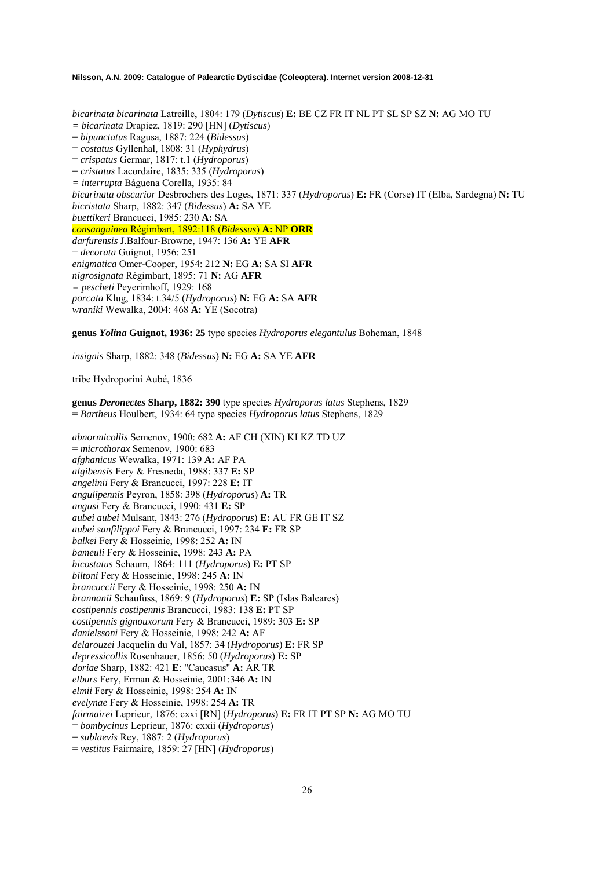*bicarinata bicarinata* Latreille, 1804: 179 (*Dytiscus*) **E:** BE CZ FR IT NL PT SL SP SZ **N:** AG MO TU *= bicarinata* Drapiez, 1819: 290 [HN] (*Dytiscus*) = *bipunctatus* Ragusa, 1887: 224 (*Bidessus*) = *costatus* Gyllenhal, 1808: 31 (*Hyphydrus*) = *crispatus* Germar, 1817: t.1 (*Hydroporus*) = *cristatus* Lacordaire, 1835: 335 (*Hydroporus*) *= interrupta* Báguena Corella, 1935: 84 *bicarinata obscurior* Desbrochers des Loges, 1871: 337 (*Hydroporus*) **E:** FR (Corse) IT (Elba, Sardegna) **N:** TU *bicristata* Sharp, 1882: 347 (*Bidessus*) **A:** SA YE *buettikeri* Brancucci, 1985: 230 **A:** SA *consanguinea* Régimbart, 1892:118 (*Bidessus*) **A:** NP **ORR** *darfurensis* J.Balfour-Browne, 1947: 136 **A:** YE **AFR**  = *decorata* Guignot, 1956: 251 *enigmatica* Omer-Cooper, 1954: 212 **N:** EG **A:** SA SI **AFR**  *nigrosignata* Régimbart, 1895: 71 **N:** AG **AFR**  *= pescheti* Peyerimhoff, 1929: 168 *porcata* Klug, 1834: t.34/5 (*Hydroporus*) **N:** EG **A:** SA **AFR**  *wraniki* Wewalka, 2004: 468 **A:** YE (Socotra)

**genus** *Yolina* **Guignot, 1936: 25** type species *Hydroporus elegantulus* Boheman, 1848

*insignis* Sharp, 1882: 348 (*Bidessus*) **N:** EG **A:** SA YE **AFR** 

tribe Hydroporini Aubé, 1836

**genus** *Deronectes* **Sharp, 1882: 390** type species *Hydroporus latus* Stephens, 1829 = *Bartheus* Houlbert, 1934: 64 type species *Hydroporus latus* Stephens, 1829

*abnormicollis* Semenov, 1900: 682 **A:** AF CH (XIN) KI KZ TD UZ = *microthorax* Semenov, 1900: 683 *afghanicus* Wewalka, 1971: 139 **A:** AF PA *algibensis* Fery & Fresneda, 1988: 337 **E:** SP *angelinii* Fery & Brancucci, 1997: 228 **E:** IT *angulipennis* Peyron, 1858: 398 (*Hydroporus*) **A:** TR *angusi* Fery & Brancucci, 1990: 431 **E:** SP *aubei aubei* Mulsant, 1843: 276 (*Hydroporus*) **E:** AU FR GE IT SZ *aubei sanfilippoi* Fery & Brancucci, 1997: 234 **E:** FR SP *balkei* Fery & Hosseinie, 1998: 252 **A:** IN *bameuli* Fery & Hosseinie, 1998: 243 **A:** PA *bicostatus* Schaum, 1864: 111 (*Hydroporus*) **E:** PT SP *biltoni* Fery & Hosseinie, 1998: 245 **A:** IN *brancuccii* Fery & Hosseinie, 1998: 250 **A:** IN *brannanii* Schaufuss, 1869: 9 (*Hydroporus*) **E:** SP (Islas Baleares) *costipennis costipennis* Brancucci, 1983: 138 **E:** PT SP *costipennis gignouxorum* Fery & Brancucci, 1989: 303 **E:** SP *danielssoni* Fery & Hosseinie, 1998: 242 **A:** AF *delarouzei* Jacquelin du Val, 1857: 34 (*Hydroporus*) **E:** FR SP *depressicollis* Rosenhauer, 1856: 50 (*Hydroporus*) **E:** SP *doriae* Sharp, 1882: 421 **E**: "Caucasus" **A:** AR TR *elburs* Fery, Erman & Hosseinie, 2001:346 **A:** IN *elmii* Fery & Hosseinie, 1998: 254 **A:** IN *evelynae* Fery & Hosseinie, 1998: 254 **A:** TR *fairmairei* Leprieur, 1876: cxxi [RN] (*Hydroporus*) **E:** FR IT PT SP **N:** AG MO TU = *bombycinus* Leprieur, 1876: cxxii (*Hydroporus*) = *sublaevis* Rey, 1887: 2 (*Hydroporus*) = *vestitus* Fairmaire, 1859: 27 [HN] (*Hydroporus*)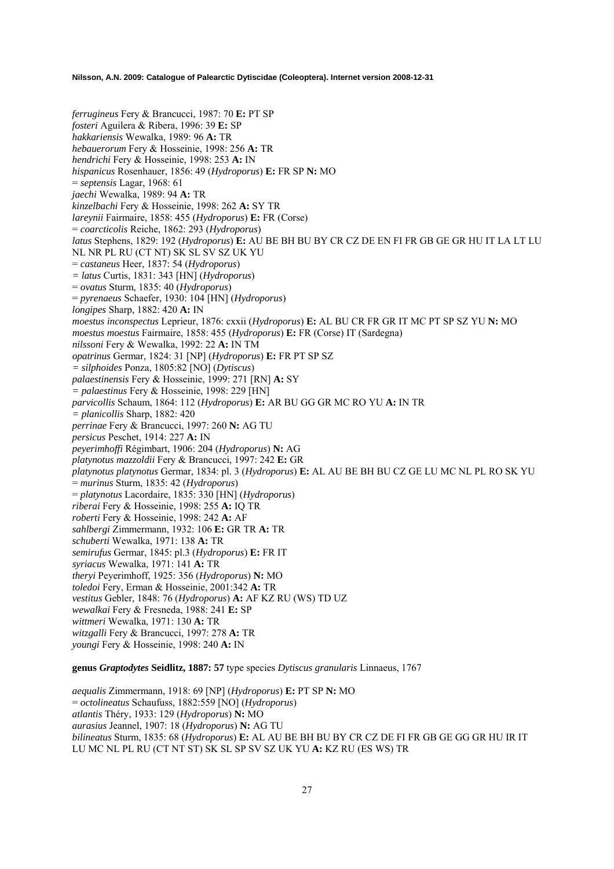*ferrugineus* Fery & Brancucci, 1987: 70 **E:** PT SP *fosteri* Aguilera & Ribera, 1996: 39 **E:** SP *hakkariensis* Wewalka, 1989: 96 **A:** TR *hebauerorum* Fery & Hosseinie, 1998: 256 **A:** TR *hendrichi* Fery & Hosseinie, 1998: 253 **A:** IN *hispanicus* Rosenhauer, 1856: 49 (*Hydroporus*) **E:** FR SP **N:** MO = *septensis* Lagar, 1968: 61 *jaechi* Wewalka, 1989: 94 **A:** TR *kinzelbachi* Fery & Hosseinie, 1998: 262 **A:** SY TR *lareynii* Fairmaire, 1858: 455 (*Hydroporus*) **E:** FR (Corse) = *coarcticolis* Reiche, 1862: 293 (*Hydroporus*) *latus* Stephens, 1829: 192 (*Hydroporus*) **E:** AU BE BH BU BY CR CZ DE EN FI FR GB GE GR HU IT LA LT LU NL NR PL RU (CT NT) SK SL SV SZ UK YU = *castaneus* Heer, 1837: 54 (*Hydroporus*) *= latus* Curtis, 1831: 343 [HN] (*Hydroporus*) = *ovatus* Sturm, 1835: 40 (*Hydroporus*) = *pyrenaeus* Schaefer, 1930: 104 [HN] (*Hydroporus*) *longipes* Sharp, 1882: 420 **A:** IN *moestus inconspectus* Leprieur, 1876: cxxii (*Hydroporus*) **E:** AL BU CR FR GR IT MC PT SP SZ YU **N:** MO *moestus moestus* Fairmaire, 1858: 455 (*Hydroporus*) **E:** FR (Corse) IT (Sardegna) *nilssoni* Fery & Wewalka, 1992: 22 **A:** IN TM *opatrinus* Germar, 1824: 31 [NP] (*Hydroporus*) **E:** FR PT SP SZ *= silphoides* Ponza, 1805:82 [NO] (*Dytiscus*) *palaestinensis* Fery & Hosseinie, 1999: 271 [RN] **A:** SY *= palaestinus* Fery & Hosseinie, 1998: 229 [HN] *parvicollis* Schaum, 1864: 112 (*Hydroporus*) **E:** AR BU GG GR MC RO YU **A:** IN TR *= planicollis* Sharp, 1882: 420 *perrinae* Fery & Brancucci, 1997: 260 **N:** AG TU *persicus* Peschet, 1914: 227 **A:** IN *peyerimhoffi* Régimbart, 1906: 204 (*Hydroporus*) **N:** AG *platynotus mazzoldii* Fery & Brancucci, 1997: 242 **E:** GR *platynotus platynotus* Germar, 1834: pl. 3 (*Hydroporus*) **E:** AL AU BE BH BU CZ GE LU MC NL PL RO SK YU = *murinus* Sturm, 1835: 42 (*Hydroporus*) = *platynotus* Lacordaire, 1835: 330 [HN] (*Hydroporus*) *riberai* Fery & Hosseinie, 1998: 255 **A:** IQ TR *roberti* Fery & Hosseinie, 1998: 242 **A:** AF *sahlbergi* Zimmermann, 1932: 106 **E:** GR TR **A:** TR *schuberti* Wewalka, 1971: 138 **A:** TR *semirufus* Germar, 1845: pl.3 (*Hydroporus*) **E:** FR IT *syriacus* Wewalka, 1971: 141 **A:** TR *theryi* Peyerimhoff, 1925: 356 (*Hydroporus*) **N:** MO *toledoi* Fery, Erman & Hosseinie, 2001:342 **A:** TR *vestitus* Gebler, 1848: 76 (*Hydroporus*) **A:** AF KZ RU (WS) TD UZ *wewalkai* Fery & Fresneda, 1988: 241 **E:** SP *wittmeri* Wewalka, 1971: 130 **A:** TR *witzgalli* Fery & Brancucci, 1997: 278 **A:** TR *youngi* Fery & Hosseinie, 1998: 240 **A:** IN

**genus** *Graptodytes* **Seidlitz, 1887: 57** type species *Dytiscus granularis* Linnaeus, 1767

*aequalis* Zimmermann, 1918: 69 [NP] (*Hydroporus*) **E:** PT SP **N:** MO = *octolineatus* Schaufuss, 1882:559 [NO] (*Hydroporus*) *atlantis* Théry, 1933: 129 (*Hydroporus*) **N:** MO *aurasius* Jeannel, 1907: 18 (*Hydroporus*) **N:** AG TU *bilineatus* Sturm, 1835: 68 (*Hydroporus*) **E:** AL AU BE BH BU BY CR CZ DE FI FR GB GE GG GR HU IR IT LU MC NL PL RU (CT NT ST) SK SL SP SV SZ UK YU **A:** KZ RU (ES WS) TR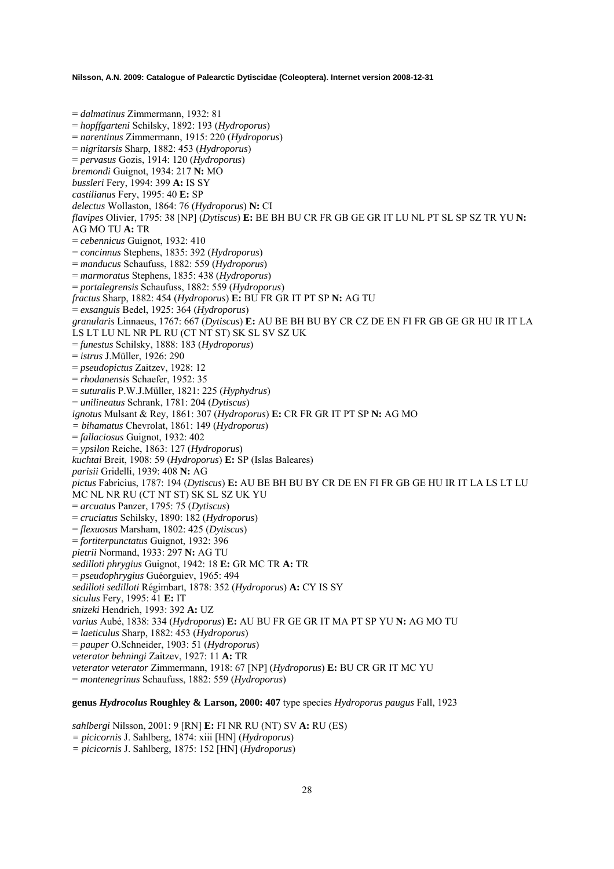= *dalmatinus* Zimmermann, 1932: 81 = *hopffgarteni* Schilsky, 1892: 193 (*Hydroporus*) = *narentinus* Zimmermann, 1915: 220 (*Hydroporus*) = *nigritarsis* Sharp, 1882: 453 (*Hydroporus*) = *pervasus* Gozis, 1914: 120 (*Hydroporus*) *bremondi* Guignot, 1934: 217 **N:** MO *bussleri* Fery, 1994: 399 **A:** IS SY *castilianus* Fery, 1995: 40 **E:** SP *delectus* Wollaston, 1864: 76 (*Hydroporus*) **N:** CI *flavipes* Olivier, 1795: 38 [NP] (*Dytiscus*) **E:** BE BH BU CR FR GB GE GR IT LU NL PT SL SP SZ TR YU **N:**  AG MO TU **A:** TR = *cebennicus* Guignot, 1932: 410 = *concinnus* Stephens, 1835: 392 (*Hydroporus*) = *manducus* Schaufuss, 1882: 559 (*Hydroporus*) = *marmoratus* Stephens, 1835: 438 (*Hydroporus*) = *portalegrensis* Schaufuss, 1882: 559 (*Hydroporus*) *fractus* Sharp, 1882: 454 (*Hydroporus*) **E:** BU FR GR IT PT SP **N:** AG TU = *exsanguis* Bedel, 1925: 364 (*Hydroporus*) *granularis* Linnaeus, 1767: 667 (*Dytiscus*) **E:** AU BE BH BU BY CR CZ DE EN FI FR GB GE GR HU IR IT LA LS LT LU NL NR PL RU (CT NT ST) SK SL SV SZ UK = *funestus* Schilsky, 1888: 183 (*Hydroporus*) = *istrus* J.Müller, 1926: 290 = *pseudopictus* Zaitzev, 1928: 12 = *rhodanensis* Schaefer, 1952: 35 = *suturalis* P.W.J.Müller, 1821: 225 (*Hyphydrus*) = *unilineatus* Schrank, 1781: 204 (*Dytiscus*) *ignotus* Mulsant & Rey, 1861: 307 (*Hydroporus*) **E:** CR FR GR IT PT SP **N:** AG MO *= bihamatus* Chevrolat, 1861: 149 (*Hydroporus*) = *fallaciosus* Guignot, 1932: 402 = *ypsilon* Reiche, 1863: 127 (*Hydroporus*) *kuchtai* Breit, 1908: 59 (*Hydroporus*) **E:** SP (Islas Baleares) *parisii* Gridelli, 1939: 408 **N:** AG *pictus* Fabricius, 1787: 194 (*Dytiscus*) **E:** AU BE BH BU BY CR DE EN FI FR GB GE HU IR IT LA LS LT LU MC NL NR RU (CT NT ST) SK SL SZ UK YU = *arcuatus* Panzer, 1795: 75 (*Dytiscus*) = *cruciatus* Schilsky, 1890: 182 (*Hydroporus*) = *flexuosus* Marsham, 1802: 425 (*Dytiscus*) = *fortiterpunctatus* Guignot, 1932: 396 *pietrii* Normand, 1933: 297 **N:** AG TU *sedilloti phrygius* Guignot, 1942: 18 **E:** GR MC TR **A:** TR = *pseudophrygius* Guéorguiev, 1965: 494 *sedilloti sedilloti* Régimbart, 1878: 352 (*Hydroporus*) **A:** CY IS SY *siculus* Fery, 1995: 41 **E:** IT *snizeki* Hendrich, 1993: 392 **A:** UZ *varius* Aubé, 1838: 334 (*Hydroporus*) **E:** AU BU FR GE GR IT MA PT SP YU **N:** AG MO TU = *laeticulus* Sharp, 1882: 453 (*Hydroporus*) = *pauper* O.Schneider, 1903: 51 (*Hydroporus*) *veterator behningi* Zaitzev, 1927: 11 **A:** TR *veterator veterator* Zimmermann, 1918: 67 [NP] (*Hydroporus*) **E:** BU CR GR IT MC YU = *montenegrinus* Schaufuss, 1882: 559 (*Hydroporus*)

# **genus** *Hydrocolus* **Roughley & Larson, 2000: 407** type species *Hydroporus paugus* Fall, 1923

*sahlbergi* Nilsson, 2001: 9 [RN] **E:** FI NR RU (NT) SV **A:** RU (ES) *= picicornis* J. Sahlberg, 1874: xiii [HN] (*Hydroporus*) *= picicornis* J. Sahlberg, 1875: 152 [HN] (*Hydroporus*)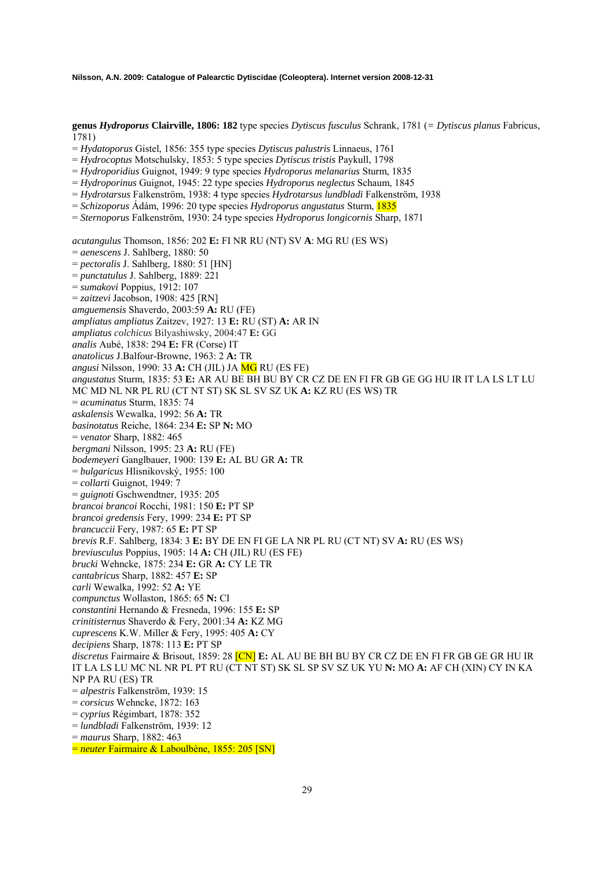**genus** *Hydroporus* **Clairville, 1806: 182** type species *Dytiscus fusculus* Schrank, 1781 (*= Dytiscus planus* Fabricus, 1781)

- = *Hydatoporus* Gistel, 1856: 355 type species *Dytiscus palustris* Linnaeus, 1761
- = *Hydrocoptus* Motschulsky, 1853: 5 type species *Dytiscus tristis* Paykull, 1798
- = *Hydroporidius* Guignot, 1949: 9 type species *Hydroporus melanarius* Sturm, 1835
- = *Hydroporinus* Guignot, 1945: 22 type species *Hydroporus neglectus* Schaum, 1845
- = *Hydrotarsus* Falkenström, 1938: 4 type species *Hydrotarsus lundbladi* Falkenström, 1938
- = *Schizoporus* Ádám, 1996: 20 type species *Hydroporus angustatus* Sturm, 1835
- = *Sternoporus* Falkenström, 1930: 24 type species *Hydroporus longicornis* Sharp, 1871

*acutangulus* Thomson, 1856: 202 **E:** FI NR RU (NT) SV **A**: MG RU (ES WS)

- = *aenescens* J. Sahlberg, 1880: 50
- = *pectoralis* J. Sahlberg, 1880: 51 [HN]
- = *punctatulus* J. Sahlberg, 1889: 221
- = *sumakovi* Poppius, 1912: 107
- = *zaitzevi* Jacobson, 1908: 425 [RN]
- *amguemensis* Shaverdo, 2003:59 **A:** RU (FE)
- *ampliatus ampliatus* Zaitzev, 1927: 13 **E:** RU (ST) **A:** AR IN
- *ampliatus colchicus* Bilyashiwsky, 2004:47 **E:** GG
- *analis* Aubé, 1838: 294 **E:** FR (Corse) IT
- *anatolicus* J.Balfour-Browne, 1963: 2 **A:** TR
- *angusi* Nilsson, 1990: 33 **A:** CH (JIL) JA MG RU (ES FE)
- *angustatus* Sturm, 1835: 53 **E:** AR AU BE BH BU BY CR CZ DE EN FI FR GB GE GG HU IR IT LA LS LT LU
- MC MD NL NR PL RU (CT NT ST) SK SL SV SZ UK **A:** KZ RU (ES WS) TR
- = *acuminatus* Sturm, 1835: 74
- 
- *askalensis* Wewalka, 1992: 56 **A:** TR
- *basinotatus* Reiche, 1864: 234 **E:** SP **N:** MO
- = *venator* Sharp, 1882: 465
- *bergmani* Nilsson, 1995: 23 **A:** RU (FE)
- *bodemeyeri* Ganglbauer, 1900: 139 **E:** AL BU GR **A:** TR
- = *bulgaricus* Hlisnikovský, 1955: 100
- = *collarti* Guignot, 1949: 7
- = *guignoti* Gschwendtner, 1935: 205
- *brancoi brancoi* Rocchi, 1981: 150 **E:** PT SP
- *brancoi gredensis* Fery, 1999: 234 **E:** PT SP
- *brancuccii* Fery, 1987: 65 **E:** PT SP
- *brevis* R.F. Sahlberg, 1834: 3 **E:** BY DE EN FI GE LA NR PL RU (CT NT) SV **A:** RU (ES WS)
- *breviusculus* Poppius, 1905: 14 **A:** CH (JIL) RU (ES FE)
- *brucki* Wehncke, 1875: 234 **E:** GR **A:** CY LE TR
- *cantabricus* Sharp, 1882: 457 **E:** SP
- *carli* Wewalka, 1992: 52 **A:** YE
- *compunctus* Wollaston, 1865: 65 **N:** CI
- *constantini* Hernando & Fresneda, 1996: 155 **E:** SP
- 
- *crinitisternus* Shaverdo & Fery, 2001:34 **A:** KZ MG
- *cuprescens* K.W. Miller & Fery, 1995: 405 **A:** CY
- *decipiens* Sharp, 1878: 113 **E:** PT SP
- *discretus* Fairmaire & Brisout, 1859: 28 [CN] **E:** AL AU BE BH BU BY CR CZ DE EN FI FR GB GE GR HU IR IT LA LS LU MC NL NR PL PT RU (CT NT ST) SK SL SP SV SZ UK YU **N:** MO **A:** AF CH (XIN) CY IN KA NP PA RU (ES) TR
- 
- = *alpestris* Falkenström, 1939: 15
- = *corsicus* Wehncke, 1872: 163
- = *cyprius* Régimbart, 1878: 352
- = *lundbladi* Falkenström, 1939: 12
- = *maurus* Sharp, 1882: 463
- = *neuter* Fairmaire & Laboulbène, 1855: 205 [SN]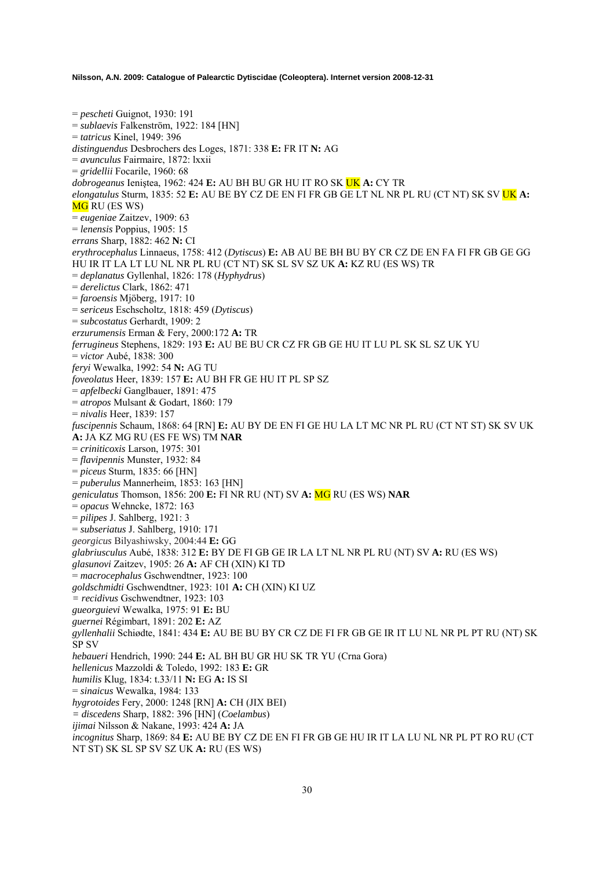= *pescheti* Guignot, 1930: 191 = *sublaevis* Falkenström, 1922: 184 [HN] = *tatricus* Kinel, 1949: 396 *distinguendus* Desbrochers des Loges, 1871: 338 **E:** FR IT **N:** AG = *avunculus* Fairmaire, 1872: lxxii = *gridellii* Focarile, 1960: 68 *dobrogeanus* Ieniştea, 1962: 424 **E:** AU BH BU GR HU IT RO SK UK **A:** CY TR *elongatulus* Sturm, 1835: 52 **E:** AU BE BY CZ DE EN FI FR GB GE LT NL NR PL RU (CT NT) SK SV UK **A: MG** RU (ES WS) = *eugeniae* Zaitzev, 1909: 63 = *lenensis* Poppius, 1905: 15 *errans* Sharp, 1882: 462 **N:** CI *erythrocephalus* Linnaeus, 1758: 412 (*Dytiscus*) **E:** AB AU BE BH BU BY CR CZ DE EN FA FI FR GB GE GG HU IR IT LA LT LU NL NR PL RU (CT NT) SK SL SV SZ UK **A:** KZ RU (ES WS) TR = *deplanatus* Gyllenhal, 1826: 178 (*Hyphydrus*) = *derelictus* Clark, 1862: 471 = *faroensis* Mjöberg, 1917: 10 = *sericeus* Eschscholtz, 1818: 459 (*Dytiscus*) = *subcostatus* Gerhardt, 1909: 2 *erzurumensis* Erman & Fery, 2000:172 **A:** TR *ferrugineus* Stephens, 1829: 193 **E:** AU BE BU CR CZ FR GB GE HU IT LU PL SK SL SZ UK YU = *victor* Aubé, 1838: 300 *feryi* Wewalka, 1992: 54 **N:** AG TU *foveolatus* Heer, 1839: 157 **E:** AU BH FR GE HU IT PL SP SZ = *apfelbecki* Ganglbauer, 1891: 475 = *atropos* Mulsant & Godart, 1860: 179 = *nivalis* Heer, 1839: 157 *fuscipennis* Schaum, 1868: 64 [RN] **E:** AU BY DE EN FI GE HU LA LT MC NR PL RU (CT NT ST) SK SV UK **A:** JA KZ MG RU (ES FE WS) TM **NAR**  = *criniticoxis* Larson, 1975: 301 = *flavipennis* Munster, 1932: 84 = *piceus* Sturm, 1835: 66 [HN] = *puberulus* Mannerheim, 1853: 163 [HN] *geniculatus* Thomson, 1856: 200 **E:** FI NR RU (NT) SV **A:** MG RU (ES WS) **NAR**  = *opacus* Wehncke, 1872: 163 = *pilipes* J. Sahlberg, 1921: 3 = *subseriatus* J. Sahlberg, 1910: 171 *georgicus* Bilyashiwsky, 2004:44 **E:** GG *glabriusculus* Aubé, 1838: 312 **E:** BY DE FI GB GE IR LA LT NL NR PL RU (NT) SV **A:** RU (ES WS) *glasunovi* Zaitzev, 1905: 26 **A:** AF CH (XIN) KI TD = *macrocephalus* Gschwendtner, 1923: 100 *goldschmidti* Gschwendtner, 1923: 101 **A:** CH (XIN) KI UZ *= recidivus* Gschwendtner, 1923: 103 *gueorguievi* Wewalka, 1975: 91 **E:** BU *guernei* Régimbart, 1891: 202 **E:** AZ *gyllenhalii* Schiødte, 1841: 434 **E:** AU BE BU BY CR CZ DE FI FR GB GE IR IT LU NL NR PL PT RU (NT) SK SP SV *hebaueri* Hendrich, 1990: 244 **E:** AL BH BU GR HU SK TR YU (Crna Gora) *hellenicus* Mazzoldi & Toledo, 1992: 183 **E:** GR *humilis* Klug, 1834: t.33/11 **N:** EG **A:** IS SI = *sinaicus* Wewalka, 1984: 133 *hygrotoides* Fery, 2000: 1248 [RN] **A:** CH (JIX BEI) *= discedens* Sharp, 1882: 396 [HN] (*Coelambus*) *ijimai* Nilsson & Nakane, 1993: 424 **A:** JA *incognitus* Sharp, 1869: 84 **E:** AU BE BY CZ DE EN FI FR GB GE HU IR IT LA LU NL NR PL PT RO RU (CT NT ST) SK SL SP SV SZ UK **A:** RU (ES WS)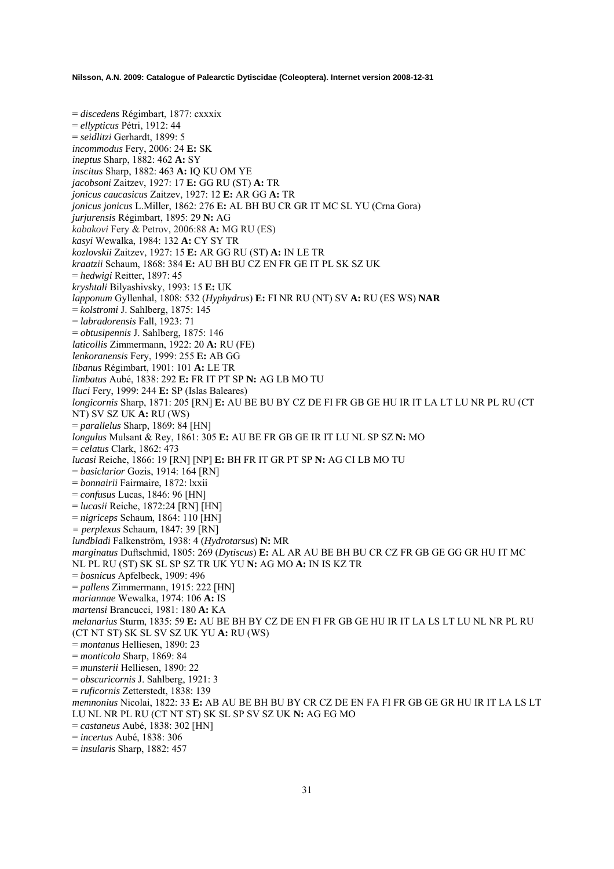= *discedens* Régimbart, 1877: cxxxix = *ellypticus* Pétri, 1912: 44 = *seidlitzi* Gerhardt, 1899: 5 *incommodus* Fery, 2006: 24 **E:** SK *ineptus* Sharp, 1882: 462 **A:** SY *inscitus* Sharp, 1882: 463 **A:** IQ KU OM YE *jacobsoni* Zaitzev, 1927: 17 **E:** GG RU (ST) **A:** TR *jonicus caucasicus* Zaitzev, 1927: 12 **E:** AR GG **A:** TR *jonicus jonicus* L.Miller, 1862: 276 **E:** AL BH BU CR GR IT MC SL YU (Crna Gora) *jurjurensis* Régimbart, 1895: 29 **N:** AG *kabakovi* Fery & Petrov, 2006:88 **A:** MG RU (ES) *kasyi* Wewalka, 1984: 132 **A:** CY SY TR *kozlovskii* Zaitzev, 1927: 15 **E:** AR GG RU (ST) **A:** IN LE TR *kraatzii* Schaum, 1868: 384 **E:** AU BH BU CZ EN FR GE IT PL SK SZ UK = *hedwigi* Reitter, 1897: 45 *kryshtali* Bilyashivsky, 1993: 15 **E:** UK *lapponum* Gyllenhal, 1808: 532 (*Hyphydrus*) **E:** FI NR RU (NT) SV **A:** RU (ES WS) **NAR**  = *kolstromi* J. Sahlberg, 1875: 145 = *labradorensis* Fall, 1923: 71 = *obtusipennis* J. Sahlberg, 1875: 146 *laticollis* Zimmermann, 1922: 20 **A:** RU (FE) *lenkoranensis* Fery, 1999: 255 **E:** AB GG *libanus* Régimbart, 1901: 101 **A:** LE TR *limbatus* Aubé, 1838: 292 **E:** FR IT PT SP **N:** AG LB MO TU *lluci* Fery, 1999: 244 **E:** SP (Islas Baleares) *longicornis* Sharp, 1871: 205 [RN] **E:** AU BE BU BY CZ DE FI FR GB GE HU IR IT LA LT LU NR PL RU (CT NT) SV SZ UK **A:** RU (WS) = *parallelus* Sharp, 1869: 84 [HN] *longulus* Mulsant & Rey, 1861: 305 **E:** AU BE FR GB GE IR IT LU NL SP SZ **N:** MO = *celatus* Clark, 1862: 473 *lucasi* Reiche, 1866: 19 [RN] [NP] **E:** BH FR IT GR PT SP **N:** AG CI LB MO TU = *basiclarior* Gozis, 1914: 164 [RN] = *bonnairii* Fairmaire, 1872: lxxii = *confusus* Lucas, 1846: 96 [HN] = *lucasii* Reiche, 1872:24 [RN] [HN] = *nigriceps* Schaum, 1864: 110 [HN] *= perplexus* Schaum, 1847: 39 [RN] *lundbladi* Falkenström, 1938: 4 (*Hydrotarsus*) **N:** MR *marginatus* Duftschmid, 1805: 269 (*Dytiscus*) **E:** AL AR AU BE BH BU CR CZ FR GB GE GG GR HU IT MC NL PL RU (ST) SK SL SP SZ TR UK YU **N:** AG MO **A:** IN IS KZ TR = *bosnicus* Apfelbeck, 1909: 496 = *pallens* Zimmermann, 1915: 222 [HN] *mariannae* Wewalka, 1974: 106 **A:** IS *martensi* Brancucci, 1981: 180 **A:** KA *melanarius* Sturm, 1835: 59 **E:** AU BE BH BY CZ DE EN FI FR GB GE HU IR IT LA LS LT LU NL NR PL RU (CT NT ST) SK SL SV SZ UK YU **A:** RU (WS) = *montanus* Helliesen, 1890: 23 = *monticola* Sharp, 1869: 84 = *munsterii* Helliesen, 1890: 22 = *obscuricornis* J. Sahlberg, 1921: 3 = *ruficornis* Zetterstedt, 1838: 139 *memnonius* Nicolai, 1822: 33 **E:** AB AU BE BH BU BY CR CZ DE EN FA FI FR GB GE GR HU IR IT LA LS LT LU NL NR PL RU (CT NT ST) SK SL SP SV SZ UK **N:** AG EG MO = *castaneus* Aubé, 1838: 302 [HN] = *incertus* Aubé, 1838: 306 = *insularis* Sharp, 1882: 457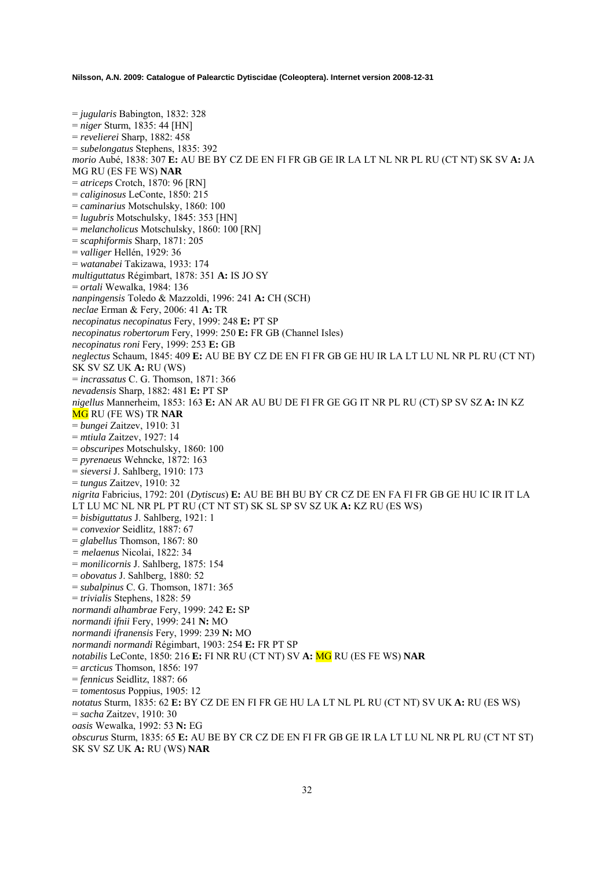= *jugularis* Babington, 1832: 328 = *niger* Sturm, 1835: 44 [HN] = *revelierei* Sharp, 1882: 458 = *subelongatus* Stephens, 1835: 392 *morio* Aubé, 1838: 307 **E:** AU BE BY CZ DE EN FI FR GB GE IR LA LT NL NR PL RU (CT NT) SK SV **A:** JA MG RU (ES FE WS) **NAR**  = *atriceps* Crotch, 1870: 96 [RN] = *caliginosus* LeConte, 1850: 215 = *caminarius* Motschulsky, 1860: 100 = *lugubris* Motschulsky, 1845: 353 [HN] = *melancholicus* Motschulsky, 1860: 100 [RN] = *scaphiformis* Sharp, 1871: 205 = *valliger* Hellén, 1929: 36 = *watanabei* Takizawa, 1933: 174 *multiguttatus* Régimbart, 1878: 351 **A:** IS JO SY = *ortali* Wewalka, 1984: 136 *nanpingensis* Toledo & Mazzoldi, 1996: 241 **A:** CH (SCH) *neclae* Erman & Fery, 2006: 41 **A:** TR *necopinatus necopinatus* Fery, 1999: 248 **E:** PT SP *necopinatus robertorum* Fery, 1999: 250 **E:** FR GB (Channel Isles) *necopinatus roni* Fery, 1999: 253 **E:** GB *neglectus* Schaum, 1845: 409 **E:** AU BE BY CZ DE EN FI FR GB GE HU IR LA LT LU NL NR PL RU (CT NT) SK SV SZ UK **A:** RU (WS) = *incrassatus* C. G. Thomson, 1871: 366 *nevadensis* Sharp, 1882: 481 **E:** PT SP *nigellus* Mannerheim, 1853: 163 **E:** AN AR AU BU DE FI FR GE GG IT NR PL RU (CT) SP SV SZ **A:** IN KZ MG RU (FE WS) TR **NAR**  = *bungei* Zaitzev, 1910: 31 = *mtiula* Zaitzev, 1927: 14 = *obscuripes* Motschulsky, 1860: 100 = *pyrenaeus* Wehncke, 1872: 163 = *sieversi* J. Sahlberg, 1910: 173 = *tungus* Zaitzev, 1910: 32 *nigrita* Fabricius, 1792: 201 (*Dytiscus*) **E:** AU BE BH BU BY CR CZ DE EN FA FI FR GB GE HU IC IR IT LA LT LU MC NL NR PL PT RU (CT NT ST) SK SL SP SV SZ UK **A:** KZ RU (ES WS) = *bisbiguttatus* J. Sahlberg, 1921: 1 = *convexior* Seidlitz, 1887: 67 = *glabellus* Thomson, 1867: 80 *= melaenus* Nicolai, 1822: 34 = *monilicornis* J. Sahlberg, 1875: 154 = *obovatus* J. Sahlberg, 1880: 52 = *subalpinus* C. G. Thomson, 1871: 365 = *trivialis* Stephens, 1828: 59 *normandi alhambrae* Fery, 1999: 242 **E:** SP *normandi ifnii* Fery, 1999: 241 **N:** MO *normandi ifranensis* Fery, 1999: 239 **N:** MO *normandi normandi* Régimbart, 1903: 254 **E:** FR PT SP *notabilis* LeConte, 1850: 216 **E:** FI NR RU (CT NT) SV **A:** MG RU (ES FE WS) **NAR**  = *arcticus* Thomson, 1856: 197 = *fennicus* Seidlitz, 1887: 66 = *tomentosus* Poppius, 1905: 12 *notatus* Sturm, 1835: 62 **E:** BY CZ DE EN FI FR GE HU LA LT NL PL RU (CT NT) SV UK **A:** RU (ES WS) = *sacha* Zaitzev, 1910: 30 *oasis* Wewalka, 1992: 53 **N:** EG *obscurus* Sturm, 1835: 65 **E:** AU BE BY CR CZ DE EN FI FR GB GE IR LA LT LU NL NR PL RU (CT NT ST) SK SV SZ UK **A:** RU (WS) **NAR**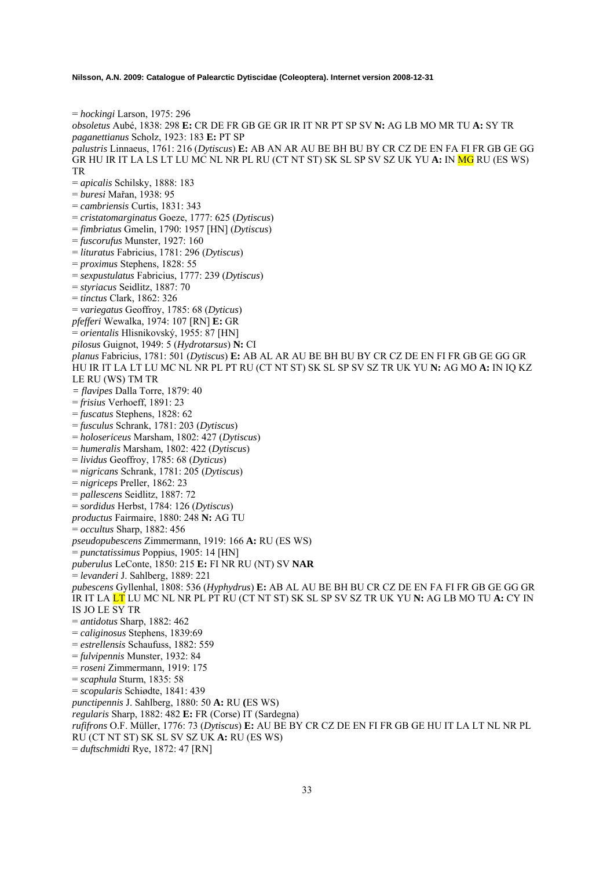= *hockingi* Larson, 1975: 296 *obsoletus* Aubé, 1838: 298 **E:** CR DE FR GB GE GR IR IT NR PT SP SV **N:** AG LB MO MR TU **A:** SY TR *paganettianus* Scholz, 1923: 183 **E:** PT SP *palustris* Linnaeus, 1761: 216 (*Dytiscus*) **E:** AB AN AR AU BE BH BU BY CR CZ DE EN FA FI FR GB GE GG GR HU IR IT LA LS LT LU MC NL NR PL RU (CT NT ST) SK SL SP SV SZ UK YU **A:** IN MG RU (ES WS) TR = *apicalis* Schilsky, 1888: 183 = *buresi* Mařan, 1938: 95 = *cambriensis* Curtis, 1831: 343 = *cristatomarginatus* Goeze, 1777: 625 (*Dytiscus*) = *fimbriatus* Gmelin, 1790: 1957 [HN] (*Dytiscus*) = *fuscorufus* Munster, 1927: 160 = *lituratus* Fabricius, 1781: 296 (*Dytiscus*) = *proximus* Stephens, 1828: 55 = *sexpustulatus* Fabricius, 1777: 239 (*Dytiscus*) = *styriacus* Seidlitz, 1887: 70 = *tinctus* Clark, 1862: 326 = *variegatus* Geoffroy, 1785: 68 (*Dyticus*) *pfefferi* Wewalka, 1974: 107 [RN] **E:** GR = *orientalis* Hlisnikovský, 1955: 87 [HN] *pilosus* Guignot, 1949: 5 (*Hydrotarsus*) **N:** CI *planus* Fabricius, 1781: 501 (*Dytiscus*) **E:** AB AL AR AU BE BH BU BY CR CZ DE EN FI FR GB GE GG GR HU IR IT LA LT LU MC NL NR PL PT RU (CT NT ST) SK SL SP SV SZ TR UK YU **N:** AG MO **A:** IN IQ KZ LE RU (WS) TM TR *= flavipes* Dalla Torre, 1879: 40 = *frisius* Verhoeff, 1891: 23 = *fuscatus* Stephens, 1828: 62 = *fusculus* Schrank, 1781: 203 (*Dytiscus*) = *holosericeus* Marsham, 1802: 427 (*Dytiscus*) = *humeralis* Marsham, 1802: 422 (*Dytiscus*) = *lividus* Geoffroy, 1785: 68 (*Dyticus*) = *nigricans* Schrank, 1781: 205 (*Dytiscus*) = *nigriceps* Preller, 1862: 23 = *pallescens* Seidlitz, 1887: 72 = *sordidus* Herbst, 1784: 126 (*Dytiscus*) *productus* Fairmaire, 1880: 248 **N:** AG TU = *occultus* Sharp, 1882: 456 *pseudopubescens* Zimmermann, 1919: 166 **A:** RU (ES WS) = *punctatissimus* Poppius, 1905: 14 [HN] *puberulus* LeConte, 1850: 215 **E:** FI NR RU (NT) SV **NAR**  = *levanderi* J. Sahlberg, 1889: 221 *pubescens* Gyllenhal, 1808: 536 (*Hyphydrus*) **E:** AB AL AU BE BH BU CR CZ DE EN FA FI FR GB GE GG GR IR IT LA LT LU MC NL NR PL PT RU (CT NT ST) SK SL SP SV SZ TR UK YU **N:** AG LB MO TU **A:** CY IN IS JO LE SY TR = *antidotus* Sharp, 1882: 462 = *caliginosus* Stephens, 1839:69 = *estrellensis* Schaufuss, 1882: 559 = *fulvipennis* Munster, 1932: 84 = *roseni* Zimmermann, 1919: 175 = *scaphula* Sturm, 1835: 58 = *scopularis* Schiødte, 1841: 439 *punctipennis* J. Sahlberg, 1880: 50 **A:** RU **(**ES WS) *regularis* Sharp, 1882: 482 **E:** FR (Corse) IT (Sardegna) *rufifrons* O.F. Müller, 1776: 73 (*Dytiscus*) **E:** AU BE BY CR CZ DE EN FI FR GB GE HU IT LA LT NL NR PL RU (CT NT ST) SK SL SV SZ UK **A:** RU (ES WS) = *duftschmidti* Rye, 1872: 47 [RN]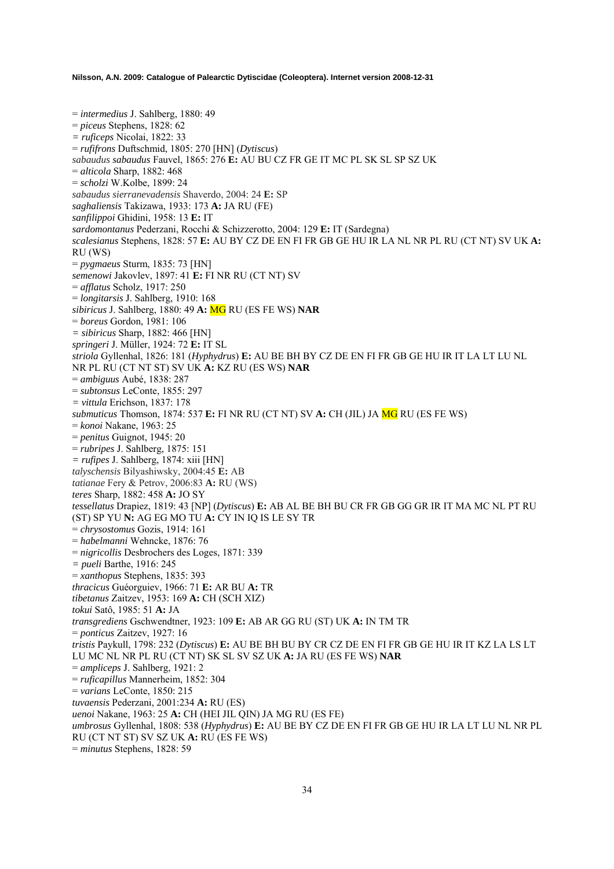= *intermedius* J. Sahlberg, 1880: 49 = *piceus* Stephens, 1828: 62 *= ruficeps* Nicolai, 1822: 33 = *rufifrons* Duftschmid, 1805: 270 [HN] (*Dytiscus*) *sabaudus sabaudus* Fauvel, 1865: 276 **E:** AU BU CZ FR GE IT MC PL SK SL SP SZ UK = *alticola* Sharp, 1882: 468 = *scholzi* W.Kolbe, 1899: 24 *sabaudus sierranevadensis* Shaverdo, 2004: 24 **E:** SP *saghaliensis* Takizawa, 1933: 173 **A:** JA RU (FE) *sanfilippoi* Ghidini, 1958: 13 **E:** IT *sardomontanus* Pederzani, Rocchi & Schizzerotto, 2004: 129 **E:** IT (Sardegna) *scalesianus* Stephens, 1828: 57 **E:** AU BY CZ DE EN FI FR GB GE HU IR LA NL NR PL RU (CT NT) SV UK **A:** RU (WS) = *pygmaeus* Sturm, 1835: 73 [HN] *semenowi* Jakovlev, 1897: 41 **E:** FI NR RU (CT NT) SV = *afflatus* Scholz, 1917: 250 = *longitarsis* J. Sahlberg, 1910: 168 *sibiricus* J. Sahlberg, 1880: 49 **A:** MG RU (ES FE WS) **NAR**  = *boreus* Gordon, 1981: 106 *= sibiricus* Sharp, 1882: 466 [HN] *springeri* J. Müller, 1924: 72 **E:** IT SL *striola* Gyllenhal, 1826: 181 (*Hyphydrus*) **E:** AU BE BH BY CZ DE EN FI FR GB GE HU IR IT LA LT LU NL NR PL RU (CT NT ST) SV UK **A:** KZ RU (ES WS) **NAR**  = *ambiguus* Aubé, 1838: 287 = *subtonsus* LeConte, 1855: 297 *= vittula* Erichson, 1837: 178 *submuticus* Thomson, 1874: 537 **E:** FI NR RU (CT NT) SV **A:** CH (JIL) JA MG RU (ES FE WS) = *konoi* Nakane, 1963: 25 = *penitus* Guignot, 1945: 20 = *rubripes* J. Sahlberg, 1875: 151 *= rufipes* J. Sahlberg, 1874: xiii [HN] *talyschensis* Bilyashiwsky, 2004:45 **E:** AB *tatianae* Fery & Petrov, 2006:83 **A:** RU (WS) *teres* Sharp, 1882: 458 **A:** JO SY *tessellatus* Drapiez, 1819: 43 [NP] (*Dytiscus*) **E:** AB AL BE BH BU CR FR GB GG GR IR IT MA MC NL PT RU (ST) SP YU **N:** AG EG MO TU **A:** CY IN IQ IS LE SY TR = *chrysostomus* Gozis, 1914: 161 = *habelmanni* Wehncke, 1876: 76 = *nigricollis* Desbrochers des Loges, 1871: 339 *= pueli* Barthe, 1916: 245 = *xanthopus* Stephens, 1835: 393 *thracicus* Guéorguiev, 1966: 71 **E:** AR BU **A:** TR *tibetanus* Zaitzev, 1953: 169 **A:** CH (SCH XIZ) *tokui* Satô, 1985: 51 **A:** JA *transgrediens* Gschwendtner, 1923: 109 **E:** AB AR GG RU (ST) UK **A:** IN TM TR = *ponticus* Zaitzev, 1927: 16 *tristis* Paykull, 1798: 232 (*Dytiscus*) **E:** AU BE BH BU BY CR CZ DE EN FI FR GB GE HU IR IT KZ LA LS LT LU MC NL NR PL RU (CT NT) SK SL SV SZ UK **A:** JA RU (ES FE WS) **NAR**  = *ampliceps* J. Sahlberg, 1921: 2 = *ruficapillus* Mannerheim, 1852: 304 = *varians* LeConte, 1850: 215 *tuvaensis* Pederzani, 2001:234 **A:** RU (ES) *uenoi* Nakane, 1963: 25 **A:** CH (HEI JIL QIN) JA MG RU (ES FE) *umbrosus* Gyllenhal, 1808: 538 (*Hyphydrus*) **E:** AU BE BY CZ DE EN FI FR GB GE HU IR LA LT LU NL NR PL RU (CT NT ST) SV SZ UK **A:** RU (ES FE WS) = *minutus* Stephens, 1828: 59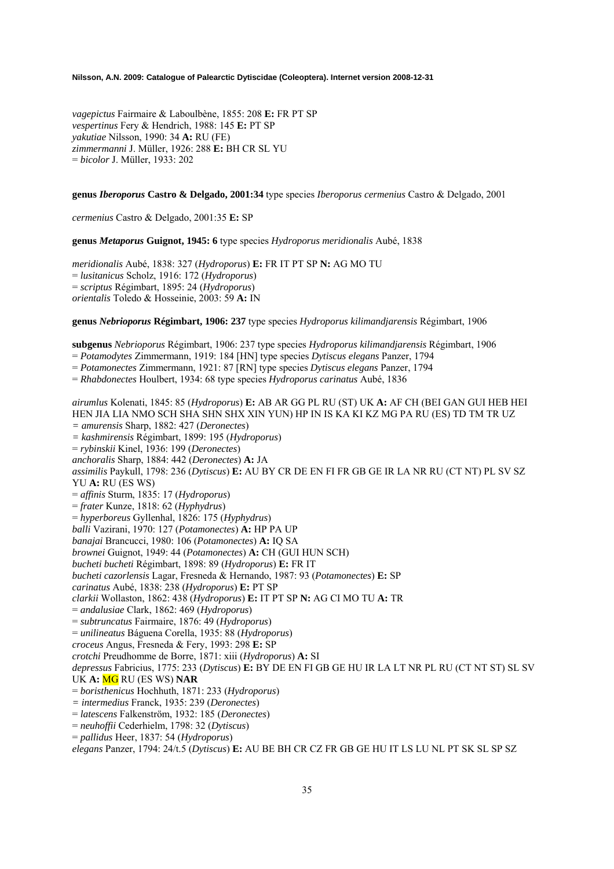*vagepictus* Fairmaire & Laboulbène, 1855: 208 **E:** FR PT SP *vespertinus* Fery & Hendrich, 1988: 145 **E:** PT SP *yakutiae* Nilsson, 1990: 34 **A:** RU (FE) *zimmermanni* J. Müller, 1926: 288 **E:** BH CR SL YU = *bicolor* J. Müller, 1933: 202

#### **genus** *Iberoporus* **Castro & Delgado, 2001:34** type species *Iberoporus cermenius* Castro & Delgado, 2001

*cermenius* Castro & Delgado, 2001:35 **E:** SP

**genus** *Metaporus* **Guignot, 1945: 6** type species *Hydroporus meridionalis* Aubé, 1838

*meridionalis* Aubé, 1838: 327 (*Hydroporus*) **E:** FR IT PT SP **N:** AG MO TU = *lusitanicus* Scholz, 1916: 172 (*Hydroporus*) = *scriptus* Régimbart, 1895: 24 (*Hydroporus*) *orientalis* Toledo & Hosseinie, 2003: 59 **A:** IN

**genus** *Nebrioporus* **Régimbart, 1906: 237** type species *Hydroporus kilimandjarensis* Régimbart, 1906

**subgenus** *Nebrioporus* Régimbart, 1906: 237 type species *Hydroporus kilimandjarensis* Régimbart, 1906

= *Potamodytes* Zimmermann, 1919: 184 [HN] type species *Dytiscus elegans* Panzer, 1794

= *Potamonectes* Zimmermann, 1921: 87 [RN] type species *Dytiscus elegans* Panzer, 1794

= *Rhabdonectes* Houlbert, 1934: 68 type species *Hydroporus carinatus* Aubé, 1836

*airumlus* Kolenati, 1845: 85 (*Hydroporus*) **E:** AB AR GG PL RU (ST) UK **A:** AF CH (BEI GAN GUI HEB HEI HEN JIA LIA NMO SCH SHA SHN SHX XIN YUN) HP IN IS KA KI KZ MG PA RU (ES) TD TM TR UZ *= amurensis* Sharp, 1882: 427 (*Deronectes*) *= kashmirensis* Régimbart, 1899: 195 (*Hydroporus*) = *rybinskii* Kinel, 1936: 199 (*Deronectes*) *anchoralis* Sharp, 1884: 442 (*Deronectes*) **A:** JA *assimilis* Paykull, 1798: 236 (*Dytiscus*) **E:** AU BY CR DE EN FI FR GB GE IR LA NR RU (CT NT) PL SV SZ YU **A:** RU (ES WS) = *affinis* Sturm, 1835: 17 (*Hydroporus*) = *frater* Kunze, 1818: 62 (*Hyphydrus*) = *hyperboreus* Gyllenhal, 1826: 175 (*Hyphydrus*) *balli* Vazirani, 1970: 127 (*Potamonectes*) **A:** HP PA UP *banajai* Brancucci, 1980: 106 (*Potamonectes*) **A:** IQ SA *brownei* Guignot, 1949: 44 (*Potamonectes*) **A:** CH (GUI HUN SCH) *bucheti bucheti* Régimbart, 1898: 89 (*Hydroporus*) **E:** FR IT *bucheti cazorlensis* Lagar, Fresneda & Hernando, 1987: 93 (*Potamonectes*) **E:** SP *carinatus* Aubé, 1838: 238 (*Hydroporus*) **E:** PT SP *clarkii* Wollaston, 1862: 438 (*Hydroporus*) **E:** IT PT SP **N:** AG CI MO TU **A:** TR = *andalusiae* Clark, 1862: 469 (*Hydroporus*) = *subtruncatus* Fairmaire, 1876: 49 (*Hydroporus*) = *unilineatus* Báguena Corella, 1935: 88 (*Hydroporus*) *croceus* Angus, Fresneda & Fery, 1993: 298 **E:** SP *crotchi* Preudhomme de Borre, 1871: xiii (*Hydroporus*) **A:** SI *depressus* Fabricius, 1775: 233 (*Dytiscus*) **E:** BY DE EN FI GB GE HU IR LA LT NR PL RU (CT NT ST) SL SV UK **A:** MG RU (ES WS) **NAR**  = *boristhenicus* Hochhuth, 1871: 233 (*Hydroporus*) *= intermedius* Franck, 1935: 239 (*Deronectes*) = *latescens* Falkenström, 1932: 185 (*Deronectes*) = *neuhoffii* Cederhielm, 1798: 32 (*Dytiscus*)

= *pallidus* Heer, 1837: 54 (*Hydroporus*)

*elegans* Panzer, 1794: 24/t.5 (*Dytiscus*) **E:** AU BE BH CR CZ FR GB GE HU IT LS LU NL PT SK SL SP SZ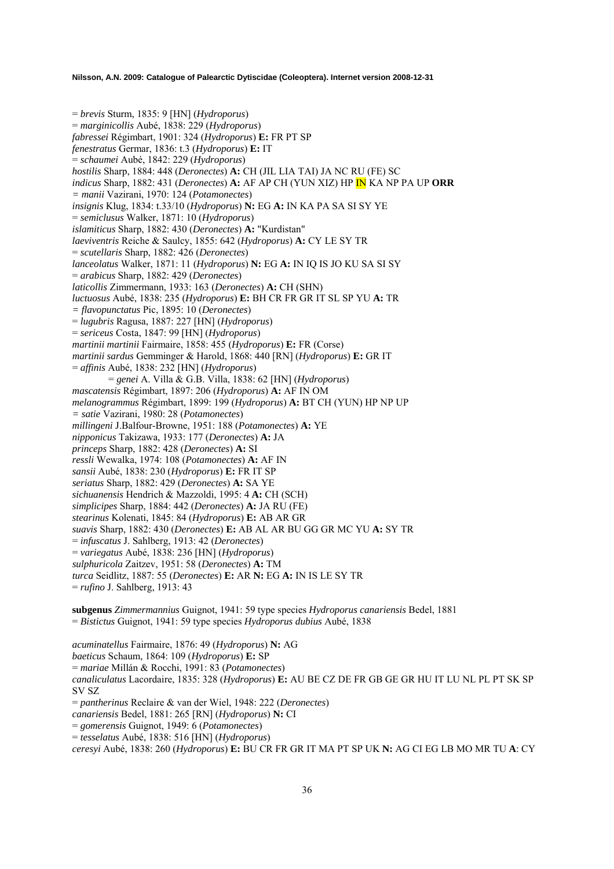= *brevis* Sturm, 1835: 9 [HN] (*Hydroporus*) = *marginicollis* Aubé, 1838: 229 (*Hydroporus*) *fabressei* Régimbart, 1901: 324 (*Hydroporus*) **E:** FR PT SP *fenestratus* Germar, 1836: t.3 (*Hydroporus*) **E:** IT = *schaumei* Aubé, 1842: 229 (*Hydroporus*) *hostilis* Sharp, 1884: 448 (*Deronectes*) **A:** CH (JIL LIA TAI) JA NC RU (FE) SC *indicus* Sharp, 1882: 431 (*Deronectes*) **A:** AF AP CH (YUN XIZ) HP IN KA NP PA UP **ORR**  *= manii* Vazirani, 1970: 124 (*Potamonectes*) *insignis* Klug, 1834: t.33/10 (*Hydroporus*) **N:** EG **A:** IN KA PA SA SI SY YE = *semiclusus* Walker, 1871: 10 (*Hydroporus*) *islamiticus* Sharp, 1882: 430 (*Deronectes*) **A:** "Kurdistan" *laeviventris* Reiche & Saulcy, 1855: 642 (*Hydroporus*) **A:** CY LE SY TR = *scutellaris* Sharp, 1882: 426 (*Deronectes*) *lanceolatus* Walker, 1871: 11 (*Hydroporus*) **N:** EG **A:** IN IQ IS JO KU SA SI SY = *arabicus* Sharp, 1882: 429 (*Deronectes*) *laticollis* Zimmermann, 1933: 163 (*Deronectes*) **A:** CH (SHN) *luctuosus* Aubé, 1838: 235 (*Hydroporus*) **E:** BH CR FR GR IT SL SP YU **A:** TR *= flavopunctatus* Pic, 1895: 10 (*Deronectes*) = *lugubris* Ragusa, 1887: 227 [HN] (*Hydroporus*) = *sericeus* Costa, 1847: 99 [HN] (*Hydroporus*) *martinii martinii* Fairmaire, 1858: 455 (*Hydroporus*) **E:** FR (Corse) *martinii sardus* Gemminger & Harold, 1868: 440 [RN] (*Hydroporus*) **E:** GR IT = *affinis* Aubé, 1838: 232 [HN] (*Hydroporus*) = *genei* A. Villa & G.B. Villa, 1838: 62 [HN] (*Hydroporus*) *mascatensis* Régimbart, 1897: 206 (*Hydroporus*) **A:** AF IN OM *melanogrammus* Régimbart, 1899: 199 (*Hydroporus*) **A:** BT CH (YUN) HP NP UP *= satie* Vazirani, 1980: 28 (*Potamonectes*) *millingeni* J.Balfour-Browne, 1951: 188 (*Potamonectes*) **A:** YE *nipponicus* Takizawa, 1933: 177 (*Deronectes*) **A:** JA *princeps* Sharp, 1882: 428 (*Deronectes*) **A:** SI *ressli* Wewalka, 1974: 108 (*Potamonectes*) **A:** AF IN *sansii* Aubé, 1838: 230 (*Hydroporus*) **E:** FR IT SP *seriatus* Sharp, 1882: 429 (*Deronectes*) **A:** SA YE *sichuanensis* Hendrich & Mazzoldi, 1995: 4 **A:** CH (SCH) *simplicipes* Sharp, 1884: 442 (*Deronectes*) **A:** JA RU (FE) *stearinus* Kolenati, 1845: 84 (*Hydroporus*) **E:** AB AR GR *suavis* Sharp, 1882: 430 (*Deronectes*) **E:** AB AL AR BU GG GR MC YU **A:** SY TR = *infuscatus* J. Sahlberg, 1913: 42 (*Deronectes*) = *variegatus* Aubé, 1838: 236 [HN] (*Hydroporus*) *sulphuricola* Zaitzev, 1951: 58 (*Deronectes*) **A:** TM *turca* Seidlitz, 1887: 55 (*Deronectes*) **E:** AR **N:** EG **A:** IN IS LE SY TR = *rufino* J. Sahlberg, 1913: 43 **subgenus** *Zimmermannius* Guignot, 1941: 59 type species *Hydroporus canariensis* Bedel, 1881 = *Bistictus* Guignot, 1941: 59 type species *Hydroporus dubius* Aubé, 1838 *acuminatellus* Fairmaire, 1876: 49 (*Hydroporus*) **N:** AG *baeticus* Schaum, 1864: 109 (*Hydroporus*) **E:** SP

= *mariae* Millán & Rocchi, 1991: 83 (*Potamonectes*) *canaliculatus* Lacordaire, 1835: 328 (*Hydroporus*) **E:** AU BE CZ DE FR GB GE GR HU IT LU NL PL PT SK SP SV SZ = *pantherinus* Reclaire & van der Wiel, 1948: 222 (*Deronectes*) *canariensis* Bedel, 1881: 265 [RN] (*Hydroporus*) **N:** CI = *gomerensis* Guignot, 1949: 6 (*Potamonectes*) = *tesselatus* Aubé, 1838: 516 [HN] (*Hydroporus*)

*ceresyi* Aubé, 1838: 260 (*Hydroporus*) **E:** BU CR FR GR IT MA PT SP UK **N:** AG CI EG LB MO MR TU **A**: CY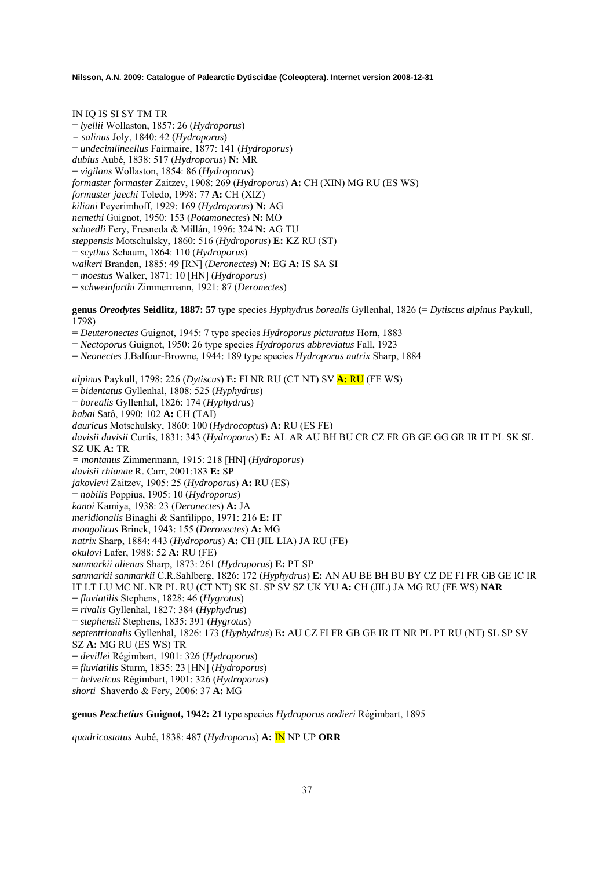IN IQ IS SI SY TM TR = *lyellii* Wollaston, 1857: 26 (*Hydroporus*) *= salinus* Joly, 1840: 42 (*Hydroporus*) = *undecimlineellus* Fairmaire, 1877: 141 (*Hydroporus*) *dubius* Aubé, 1838: 517 (*Hydroporus*) **N:** MR = *vigilans* Wollaston, 1854: 86 (*Hydroporus*) *formaster formaster* Zaitzev, 1908: 269 (*Hydroporus*) **A:** CH (XIN) MG RU (ES WS) *formaster jaechi* Toledo, 1998: 77 **A:** CH (XIZ) *kiliani* Peyerimhoff, 1929: 169 (*Hydroporus*) **N:** AG *nemethi* Guignot, 1950: 153 (*Potamonectes*) **N:** MO *schoedli* Fery, Fresneda & Millán, 1996: 324 **N:** AG TU *steppensis* Motschulsky, 1860: 516 (*Hydroporus*) **E:** KZ RU (ST) = *scythus* Schaum, 1864: 110 (*Hydroporus*) *walkeri* Branden, 1885: 49 [RN] (*Deronectes*) **N:** EG **A:** IS SA SI = *moestus* Walker, 1871: 10 [HN] (*Hydroporus*) = *schweinfurthi* Zimmermann, 1921: 87 (*Deronectes*)

**genus** *Oreodytes* **Seidlitz, 1887: 57** type species *Hyphydrus borealis* Gyllenhal, 1826 (= *Dytiscus alpinus* Paykull, 1798)

= *Deuteronectes* Guignot, 1945: 7 type species *Hydroporus picturatus* Horn, 1883

= *Nectoporus* Guignot, 1950: 26 type species *Hydroporus abbreviatus* Fall, 1923

= *Neonectes* J.Balfour-Browne, 1944: 189 type species *Hydroporus natrix* Sharp, 1884

*alpinus* Paykull, 1798: 226 (*Dytiscus*) **E:** FI NR RU (CT NT) SV **A:** RU (FE WS) = *bidentatus* Gyllenhal, 1808: 525 (*Hyphydrus*) = *borealis* Gyllenhal, 1826: 174 (*Hyphydrus*) *babai* Satô, 1990: 102 **A:** CH (TAI) *dauricus* Motschulsky, 1860: 100 (*Hydrocoptus*) **A:** RU (ES FE) *davisii davisii* Curtis, 1831: 343 (*Hydroporus*) **E:** AL AR AU BH BU CR CZ FR GB GE GG GR IR IT PL SK SL SZ UK **A:** TR *= montanus* Zimmermann, 1915: 218 [HN] (*Hydroporus*) *davisii rhianae* R. Carr, 2001:183 **E:** SP *jakovlevi* Zaitzev, 1905: 25 (*Hydroporus*) **A:** RU (ES) = *nobilis* Poppius, 1905: 10 (*Hydroporus*) *kanoi* Kamiya, 1938: 23 (*Deronectes*) **A:** JA *meridionalis* Binaghi & Sanfilippo, 1971: 216 **E:** IT *mongolicus* Brinck, 1943: 155 (*Deronectes*) **A:** MG *natrix* Sharp, 1884: 443 (*Hydroporus*) **A:** CH (JIL LIA) JA RU (FE) *okulovi* Lafer, 1988: 52 **A:** RU (FE) *sanmarkii alienus* Sharp, 1873: 261 (*Hydroporus*) **E:** PT SP *sanmarkii sanmarkii* C.R.Sahlberg, 1826: 172 (*Hyphydrus*) **E:** AN AU BE BH BU BY CZ DE FI FR GB GE IC IR IT LT LU MC NL NR PL RU (CT NT) SK SL SP SV SZ UK YU **A:** CH (JIL) JA MG RU (FE WS) **NAR**  = *fluviatilis* Stephens, 1828: 46 (*Hygrotus*) = *rivalis* Gyllenhal, 1827: 384 (*Hyphydrus*) = *stephensii* Stephens, 1835: 391 (*Hygrotus*) *septentrionalis* Gyllenhal, 1826: 173 (*Hyphydrus*) **E:** AU CZ FI FR GB GE IR IT NR PL PT RU (NT) SL SP SV SZ **A:** MG RU (ES WS) TR = *devillei* Régimbart, 1901: 326 (*Hydroporus*) = *fluviatilis* Sturm, 1835: 23 [HN] (*Hydroporus*) = *helveticus* Régimbart, 1901: 326 (*Hydroporus*) *shorti* Shaverdo & Fery, 2006: 37 **A:** MG

### **genus** *Peschetius* **Guignot, 1942: 21** type species *Hydroporus nodieri* Régimbart, 1895

*quadricostatus* Aubé, 1838: 487 (*Hydroporus*) **A:** IN NP UP **ORR**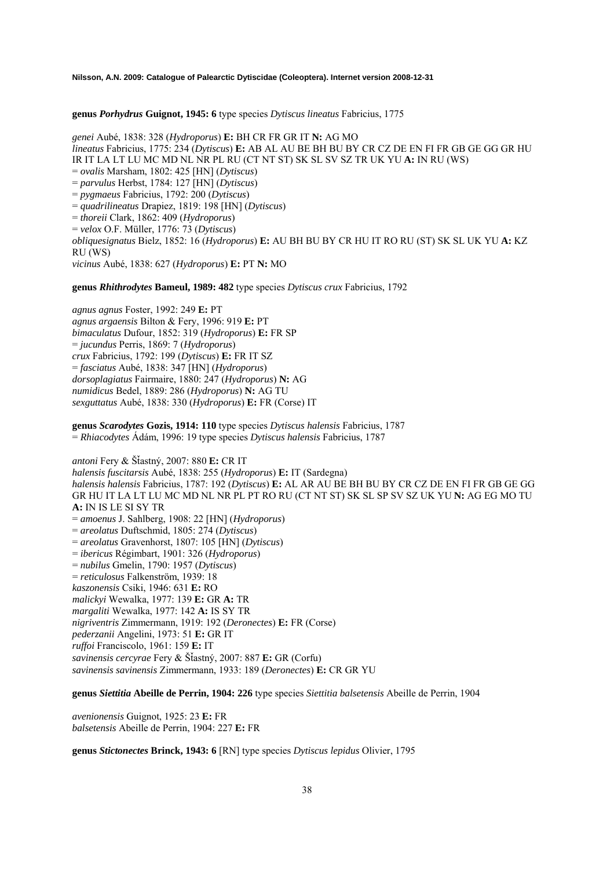**genus** *Porhydrus* **Guignot, 1945: 6** type species *Dytiscus lineatus* Fabricius, 1775

*genei* Aubé, 1838: 328 (*Hydroporus*) **E:** BH CR FR GR IT **N:** AG MO *lineatus* Fabricius, 1775: 234 (*Dytiscus*) **E:** AB AL AU BE BH BU BY CR CZ DE EN FI FR GB GE GG GR HU IR IT LA LT LU MC MD NL NR PL RU (CT NT ST) SK SL SV SZ TR UK YU **A:** IN RU (WS) = *ovalis* Marsham, 1802: 425 [HN] (*Dytiscus*) = *parvulus* Herbst, 1784: 127 [HN] (*Dytiscus*) = *pygmaeus* Fabricius, 1792: 200 (*Dytiscus*) = *quadrilineatus* Drapiez, 1819: 198 [HN] (*Dytiscus*) = *thoreii* Clark, 1862: 409 (*Hydroporus*) = *velox* O.F. Müller, 1776: 73 (*Dytiscus*) *obliquesignatus* Bielz, 1852: 16 (*Hydroporus*) **E:** AU BH BU BY CR HU IT RO RU (ST) SK SL UK YU **A:** KZ RU (WS) *vicinus* Aubé, 1838: 627 (*Hydroporus*) **E:** PT **N:** MO

**genus** *Rhithrodytes* **Bameul, 1989: 482** type species *Dytiscus crux* Fabricius, 1792

*agnus agnus* Foster, 1992: 249 **E:** PT *agnus argaensis* Bilton & Fery, 1996: 919 **E:** PT *bimaculatus* Dufour, 1852: 319 (*Hydroporus*) **E:** FR SP = *jucundus* Perris, 1869: 7 (*Hydroporus*) *crux* Fabricius, 1792: 199 (*Dytiscus*) **E:** FR IT SZ = *fasciatus* Aubé, 1838: 347 [HN] (*Hydroporus*) *dorsoplagiatus* Fairmaire, 1880: 247 (*Hydroporus*) **N:** AG *numidicus* Bedel, 1889: 286 (*Hydroporus*) **N:** AG TU *sexguttatus* Aubé, 1838: 330 (*Hydroporus*) **E:** FR (Corse) IT

**genus** *Scarodytes* **Gozis, 1914: 110** type species *Dytiscus halensis* Fabricius, 1787 = *Rhiacodytes* Ádám, 1996: 19 type species *Dytiscus halensis* Fabricius, 1787

*antoni* Fery & ŠÄastný, 2007: 880 **E:** CR IT *halensis fuscitarsis* Aubé, 1838: 255 (*Hydroporus*) **E:** IT (Sardegna) *halensis halensis* Fabricius, 1787: 192 (*Dytiscus*) **E:** AL AR AU BE BH BU BY CR CZ DE EN FI FR GB GE GG GR HU IT LA LT LU MC MD NL NR PL PT RO RU (CT NT ST) SK SL SP SV SZ UK YU **N:** AG EG MO TU **A:** IN IS LE SI SY TR = *amoenus* J. Sahlberg, 1908: 22 [HN] (*Hydroporus*) = *areolatus* Duftschmid, 1805: 274 (*Dytiscus*) = *areolatus* Gravenhorst, 1807: 105 [HN] (*Dytiscus*) = *ibericus* Régimbart, 1901: 326 (*Hydroporus*) = *nubilus* Gmelin, 1790: 1957 (*Dytiscus*) = *reticulosus* Falkenström, 1939: 18 *kaszonensis* Csiki, 1946: 631 **E:** RO *malickyi* Wewalka, 1977: 139 **E:** GR **A:** TR *margaliti* Wewalka, 1977: 142 **A:** IS SY TR *nigriventris* Zimmermann, 1919: 192 (*Deronectes*) **E:** FR (Corse) *pederzanii* Angelini, 1973: 51 **E:** GR IT *ruffoi* Franciscolo, 1961: 159 **E:** IT *savinensis cercyrae* Fery & ŠÄastný, 2007: 887 **E:** GR (Corfu) *savinensis savinensis* Zimmermann, 1933: 189 (*Deronectes*) **E:** CR GR YU

**genus** *Siettitia* **Abeille de Perrin, 1904: 226** type species *Siettitia balsetensis* Abeille de Perrin, 1904

*avenionensis* Guignot, 1925: 23 **E:** FR *balsetensis* Abeille de Perrin, 1904: 227 **E:** FR

**genus** *Stictonectes* **Brinck, 1943: 6** [RN] type species *Dytiscus lepidus* Olivier, 1795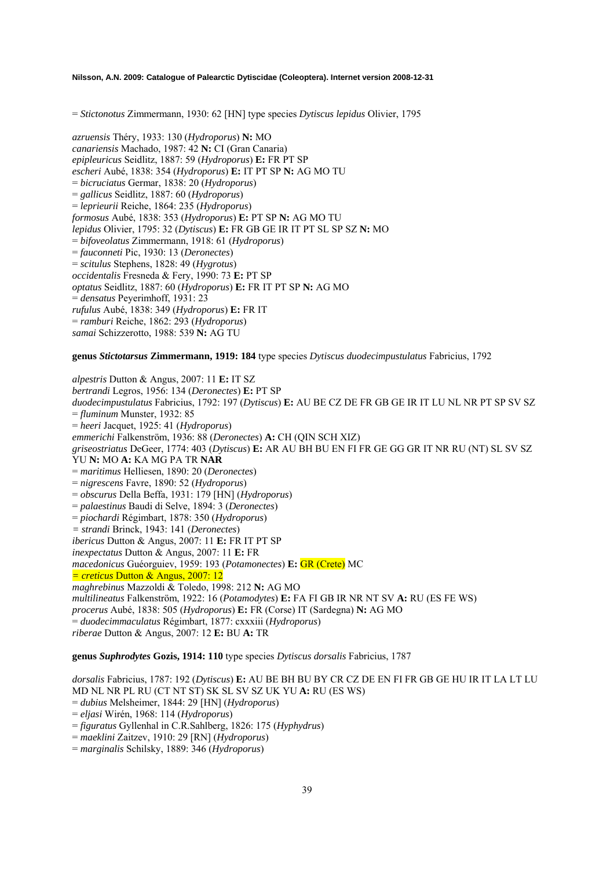= *Stictonotus* Zimmermann, 1930: 62 [HN] type species *Dytiscus lepidus* Olivier, 1795

*azruensis* Théry, 1933: 130 (*Hydroporus*) **N:** MO *canariensis* Machado, 1987: 42 **N:** CI (Gran Canaria) *epipleuricus* Seidlitz, 1887: 59 (*Hydroporus*) **E:** FR PT SP *escheri* Aubé, 1838: 354 (*Hydroporus*) **E:** IT PT SP **N:** AG MO TU = *bicruciatus* Germar, 1838: 20 (*Hydroporus*) = *gallicus* Seidlitz, 1887: 60 (*Hydroporus*) = *leprieurii* Reiche, 1864: 235 (*Hydroporus*) *formosus* Aubé, 1838: 353 (*Hydroporus*) **E:** PT SP **N:** AG MO TU *lepidus* Olivier, 1795: 32 (*Dytiscus*) **E:** FR GB GE IR IT PT SL SP SZ **N:** MO = *bifoveolatus* Zimmermann, 1918: 61 (*Hydroporus*) = *fauconneti* Pic, 1930: 13 (*Deronectes*) = *scitulus* Stephens, 1828: 49 (*Hygrotus*) *occidentalis* Fresneda & Fery, 1990: 73 **E:** PT SP *optatus* Seidlitz, 1887: 60 (*Hydroporus*) **E:** FR IT PT SP **N:** AG MO = *densatus* Peyerimhoff, 1931: 23 *rufulus* Aubé, 1838: 349 (*Hydroporus*) **E:** FR IT = *ramburi* Reiche, 1862: 293 (*Hydroporus*) *samai* Schizzerotto, 1988: 539 **N:** AG TU

#### **genus** *Stictotarsus* **Zimmermann, 1919: 184** type species *Dytiscus duodecimpustulatus* Fabricius, 1792

*alpestris* Dutton & Angus, 2007: 11 **E:** IT SZ *bertrandi* Legros, 1956: 134 (*Deronectes*) **E:** PT SP *duodecimpustulatus* Fabricius, 1792: 197 (*Dytiscus*) **E:** AU BE CZ DE FR GB GE IR IT LU NL NR PT SP SV SZ = *fluminum* Munster, 1932: 85 = *heeri* Jacquet, 1925: 41 (*Hydroporus*) *emmerichi* Falkenström, 1936: 88 (*Deronectes*) **A:** CH (QIN SCH XIZ) *griseostriatus* DeGeer, 1774: 403 (*Dytiscus*) **E:** AR AU BH BU EN FI FR GE GG GR IT NR RU (NT) SL SV SZ YU **N:** MO **A:** KA MG PA TR **NAR** = *maritimus* Helliesen, 1890: 20 (*Deronectes*) = *nigrescens* Favre, 1890: 52 (*Hydroporus*) = *obscurus* Della Beffa, 1931: 179 [HN] (*Hydroporus*) = *palaestinus* Baudi di Selve, 1894: 3 (*Deronectes*) = *piochardi* Régimbart, 1878: 350 (*Hydroporus*) *= strandi* Brinck, 1943: 141 (*Deronectes*) *ibericus* Dutton & Angus, 2007: 11 **E:** FR IT PT SP *inexpectatus* Dutton & Angus, 2007: 11 **E:** FR *macedonicus* Guéorguiev, 1959: 193 (*Potamonectes*) **E:** GR (Crete) MC *= creticus* Dutton & Angus, 2007: 12 *maghrebinus* Mazzoldi & Toledo, 1998: 212 **N:** AG MO *multilineatus* Falkenström, 1922: 16 (*Potamodytes*) **E:** FA FI GB IR NR NT SV **A:** RU (ES FE WS) *procerus* Aubé, 1838: 505 (*Hydroporus*) **E:** FR (Corse) IT (Sardegna) **N:** AG MO = *duodecimmaculatus* Régimbart, 1877: cxxxiii (*Hydroporus*) *riberae* Dutton & Angus, 2007: 12 **E:** BU **A:** TR

**genus** *Suphrodytes* **Gozis, 1914: 110** type species *Dytiscus dorsalis* Fabricius, 1787

*dorsalis* Fabricius, 1787: 192 (*Dytiscus*) **E:** AU BE BH BU BY CR CZ DE EN FI FR GB GE HU IR IT LA LT LU MD NL NR PL RU (CT NT ST) SK SL SV SZ UK YU **A:** RU (ES WS) = *dubius* Melsheimer, 1844: 29 [HN] (*Hydroporus*) = *eljasi* Wirén, 1968: 114 (*Hydroporus*) = *figuratus* Gyllenhal in C.R.Sahlberg, 1826: 175 (*Hyphydrus*)

= *maeklini* Zaitzev, 1910: 29 [RN] (*Hydroporus*)

= *marginalis* Schilsky, 1889: 346 (*Hydroporus*)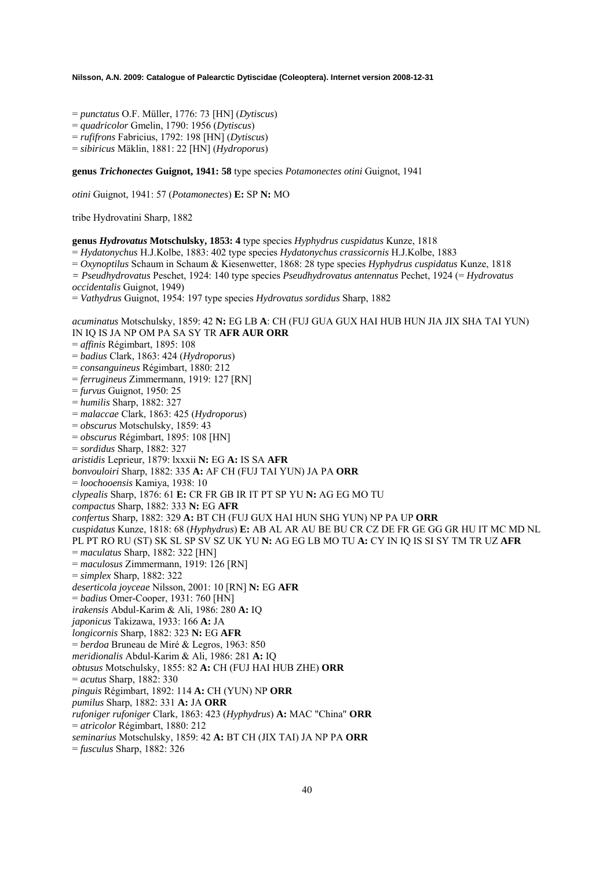- = *punctatus* O.F. Müller, 1776: 73 [HN] (*Dytiscus*)
- = *quadricolor* Gmelin, 1790: 1956 (*Dytiscus*)
- = *rufifrons* Fabricius, 1792: 198 [HN] (*Dytiscus*)

= *sibiricus* Mäklin, 1881: 22 [HN] (*Hydroporus*)

**genus** *Trichonectes* **Guignot, 1941: 58** type species *Potamonectes otini* Guignot, 1941

*otini* Guignot, 1941: 57 (*Potamonectes*) **E:** SP **N:** MO

tribe Hydrovatini Sharp, 1882

**genus** *Hydrovatus* **Motschulsky, 1853: 4** type species *Hyphydrus cuspidatus* Kunze, 1818

= *Hydatonychus* H.J.Kolbe, 1883: 402 type species *Hydatonychus crassicornis* H.J.Kolbe, 1883

= *Oxynoptilus* Schaum in Schaum & Kiesenwetter, 1868: 28 type species *Hyphydrus cuspidatus* Kunze, 1818

*= Pseudhydrovatus* Peschet, 1924: 140 type species *Pseudhydrovatus antennatus* Pechet, 1924 (= *Hydrovatus* 

*occidentalis* Guignot, 1949)

= *Vathydrus* Guignot, 1954: 197 type species *Hydrovatus sordidus* Sharp, 1882

*acuminatus* Motschulsky, 1859: 42 **N:** EG LB **A**: CH (FUJ GUA GUX HAI HUB HUN JIA JIX SHA TAI YUN) IN IQ IS JA NP OM PA SA SY TR **AFR AUR ORR** 

- = *affinis* Régimbart, 1895: 108
- = *badius* Clark, 1863: 424 (*Hydroporus*)

= *consanguineus* Régimbart, 1880: 212

- = *ferrugineus* Zimmermann, 1919: 127 [RN]
- = *furvus* Guignot, 1950: 25
- = *humilis* Sharp, 1882: 327
- = *malaccae* Clark, 1863: 425 (*Hydroporus*)
- = *obscurus* Motschulsky, 1859: 43
- = *obscurus* Régimbart, 1895: 108 [HN]
- = *sordidus* Sharp, 1882: 327
- *aristidis* Leprieur, 1879: lxxxii **N:** EG **A:** IS SA **AFR**
- *bonvouloiri* Sharp, 1882: 335 **A:** AF CH (FUJ TAI YUN) JA PA **ORR**
- = *loochooensis* Kamiya, 1938: 10
- *clypealis* Sharp, 1876: 61 **E:** CR FR GB IR IT PT SP YU **N:** AG EG MO TU
- *compactus* Sharp, 1882: 333 **N:** EG **AFR**
- *confertus* Sharp, 1882: 329 **A:** BT CH (FUJ GUX HAI HUN SHG YUN) NP PA UP **ORR**

*cuspidatus* Kunze, 1818: 68 (*Hyphydrus*) **E:** AB AL AR AU BE BU CR CZ DE FR GE GG GR HU IT MC MD NL

- PL PT RO RU (ST) SK SL SP SV SZ UK YU **N:** AG EG LB MO TU **A:** CY IN IQ IS SI SY TM TR UZ **AFR**
- = *maculatus* Sharp, 1882: 322 [HN]
- = *maculosus* Zimmermann, 1919: 126 [RN]
- = *simplex* Sharp, 1882: 322
- *deserticola joyceae* Nilsson, 2001: 10 [RN] **N:** EG **AFR**
- = *badius* Omer-Cooper, 1931: 760 [HN]
- *irakensis* Abdul-Karim & Ali, 1986: 280 **A:** IQ
- *japonicus* Takizawa, 1933: 166 **A:** JA
- *longicornis* Sharp, 1882: 323 **N:** EG **AFR**
- = *berdoa* Bruneau de Miré & Legros, 1963: 850
- *meridionalis* Abdul-Karim & Ali, 1986: 281 **A:** IQ
- *obtusus* Motschulsky, 1855: 82 **A:** CH (FUJ HAI HUB ZHE) **ORR**
- = *acutus* Sharp, 1882: 330
- *pinguis* Régimbart, 1892: 114 **A:** CH (YUN) NP **ORR**
- *pumilus* Sharp, 1882: 331 **A:** JA **ORR**
- *rufoniger rufoniger* Clark, 1863: 423 (*Hyphydrus*) **A:** MAC "China" **ORR**
- = *atricolor* Régimbart, 1880: 212
- *seminarius* Motschulsky, 1859: 42 **A:** BT CH (JIX TAI) JA NP PA **ORR**
- = *fusculus* Sharp, 1882: 326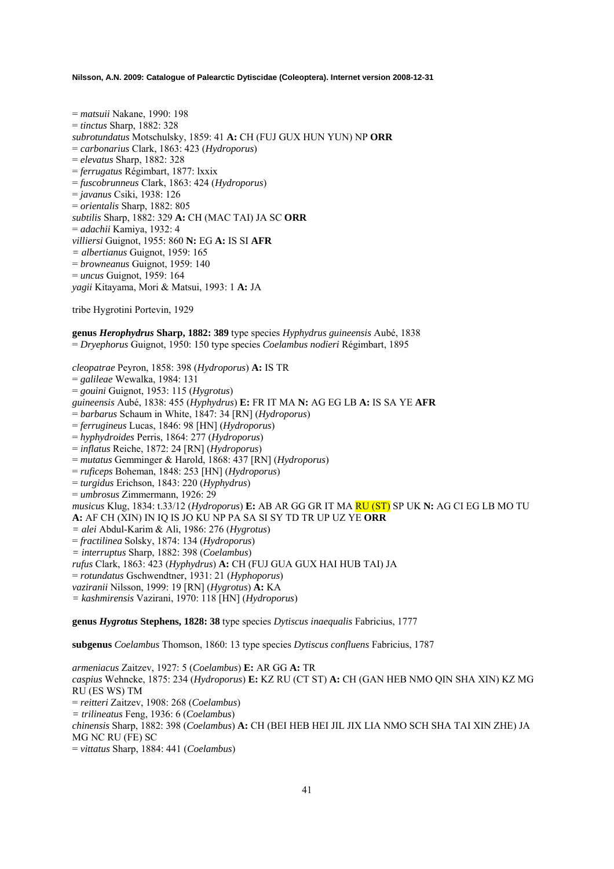= *matsuii* Nakane, 1990: 198 = *tinctus* Sharp, 1882: 328 *subrotundatus* Motschulsky, 1859: 41 **A:** CH (FUJ GUX HUN YUN) NP **ORR**  = *carbonarius* Clark, 1863: 423 (*Hydroporus*) = *elevatus* Sharp, 1882: 328 = *ferrugatus* Régimbart, 1877: lxxix = *fuscobrunneus* Clark, 1863: 424 (*Hydroporus*) = *javanus* Csiki, 1938: 126 = *orientalis* Sharp, 1882: 805 *subtilis* Sharp, 1882: 329 **A:** CH (MAC TAI) JA SC **ORR**  = *adachii* Kamiya, 1932: 4 *villiersi* Guignot, 1955: 860 **N:** EG **A:** IS SI **AFR**  *= albertianus* Guignot, 1959: 165 = *browneanus* Guignot, 1959: 140 = *uncus* Guignot, 1959: 164 *yagii* Kitayama, Mori & Matsui, 1993: 1 **A:** JA

tribe Hygrotini Portevin, 1929

**genus** *Herophydrus* **Sharp, 1882: 389** type species *Hyphydrus guineensis* Aubé, 1838 = *Dryephorus* Guignot, 1950: 150 type species *Coelambus nodieri* Régimbart, 1895

*cleopatrae* Peyron, 1858: 398 (*Hydroporus*) **A:** IS TR = *galileae* Wewalka, 1984: 131 = *gouini* Guignot, 1953: 115 (*Hygrotus*) *guineensis* Aubé, 1838: 455 (*Hyphydrus*) **E:** FR IT MA **N:** AG EG LB **A:** IS SA YE **AFR**  = *barbarus* Schaum in White, 1847: 34 [RN] (*Hydroporus*) = *ferrugineus* Lucas, 1846: 98 [HN] (*Hydroporus*) = *hyphydroides* Perris, 1864: 277 (*Hydroporus*) = *inflatus* Reiche, 1872: 24 [RN] (*Hydroporus*) = *mutatus* Gemminger & Harold, 1868: 437 [RN] (*Hydroporus*) = *ruficeps* Boheman, 1848: 253 [HN] (*Hydroporus*) = *turgidus* Erichson, 1843: 220 (*Hyphydrus*) = *umbrosus* Zimmermann, 1926: 29 *musicus* Klug, 1834: t.33/12 (*Hydroporus*) **E:** AB AR GG GR IT MA RU (ST) SP UK **N:** AG CI EG LB MO TU **A:** AF CH (XIN) IN IQ IS JO KU NP PA SA SI SY TD TR UP UZ YE **ORR**  *= alei* Abdul-Karim & Ali, 1986: 276 (*Hygrotus*) = *fractilinea* Solsky, 1874: 134 (*Hydroporus*) *= interruptus* Sharp, 1882: 398 (*Coelambus*) *rufus* Clark, 1863: 423 (*Hyphydrus*) **A:** CH (FUJ GUA GUX HAI HUB TAI) JA = *rotundatus* Gschwendtner, 1931: 21 (*Hyphoporus*) *vaziranii* Nilsson, 1999: 19 [RN] (*Hygrotus*) **A:** KA *= kashmirensis* Vazirani, 1970: 118 [HN] (*Hydroporus*)

**genus** *Hygrotus* **Stephens, 1828: 38** type species *Dytiscus inaequalis* Fabricius, 1777

**subgenus** *Coelambus* Thomson, 1860: 13 type species *Dytiscus confluens* Fabricius, 1787

*armeniacus* Zaitzev, 1927: 5 (*Coelambus*) **E:** AR GG **A:** TR *caspius* Wehncke, 1875: 234 (*Hydroporus*) **E:** KZ RU (CT ST) **A:** CH (GAN HEB NMO QIN SHA XIN) KZ MG RU (ES WS) TM = *reitteri* Zaitzev, 1908: 268 (*Coelambus*) *= trilineatus* Feng, 1936: 6 (*Coelambus*) *chinensis* Sharp, 1882: 398 (*Coelambus*) **A:** CH (BEI HEB HEI JIL JIX LIA NMO SCH SHA TAI XIN ZHE) JA MG NC RU (FE) SC = *vittatus* Sharp, 1884: 441 (*Coelambus*)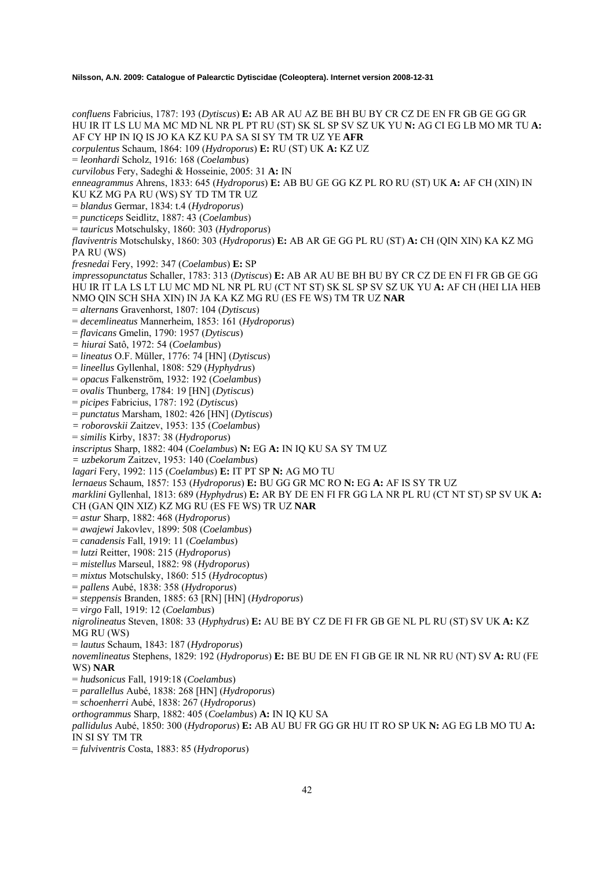*confluens* Fabricius, 1787: 193 (*Dytiscus*) **E:** AB AR AU AZ BE BH BU BY CR CZ DE EN FR GB GE GG GR HU IR IT LS LU MA MC MD NL NR PL PT RU (ST) SK SL SP SV SZ UK YU **N:** AG CI EG LB MO MR TU **A:**  AF CY HP IN IQ IS JO KA KZ KU PA SA SI SY TM TR UZ YE **AFR** *corpulentus* Schaum, 1864: 109 (*Hydroporus*) **E:** RU (ST) UK **A:** KZ UZ = *leonhardi* Scholz, 1916: 168 (*Coelambus*) *curvilobus* Fery, Sadeghi & Hosseinie, 2005: 31 **A:** IN *enneagrammus* Ahrens, 1833: 645 (*Hydroporus*) **E:** AB BU GE GG KZ PL RO RU (ST) UK **A:** AF CH (XIN) IN KU KZ MG PA RU (WS) SY TD TM TR UZ = *blandus* Germar, 1834: t.4 (*Hydroporus*) = *puncticeps* Seidlitz, 1887: 43 (*Coelambus*) = *tauricus* Motschulsky, 1860: 303 (*Hydroporus*) *flaviventris* Motschulsky, 1860: 303 (*Hydroporus*) **E:** AB AR GE GG PL RU (ST) **A:** CH (QIN XIN) KA KZ MG PA RU (WS) *fresnedai* Fery, 1992: 347 (*Coelambus*) **E:** SP *impressopunctatus* Schaller, 1783: 313 (*Dytiscus*) **E:** AB AR AU BE BH BU BY CR CZ DE EN FI FR GB GE GG HU IR IT LA LS LT LU MC MD NL NR PL RU (CT NT ST) SK SL SP SV SZ UK YU **A:** AF CH (HEI LIA HEB NMO QIN SCH SHA XIN) IN JA KA KZ MG RU (ES FE WS) TM TR UZ **NAR**  = *alternans* Gravenhorst, 1807: 104 (*Dytiscus*) = *decemlineatus* Mannerheim, 1853: 161 (*Hydroporus*) = *flavicans* Gmelin, 1790: 1957 (*Dytiscus*) *= hiurai* Satô, 1972: 54 (*Coelambus*) = *lineatus* O.F. Müller, 1776: 74 [HN] (*Dytiscus*) = *lineellus* Gyllenhal, 1808: 529 (*Hyphydrus*) = *opacus* Falkenström, 1932: 192 (*Coelambus*) = *ovalis* Thunberg, 1784: 19 [HN] (*Dytiscus*) = *picipes* Fabricius, 1787: 192 (*Dytiscus*) = *punctatus* Marsham, 1802: 426 [HN] (*Dytiscus*) *= roborovskii* Zaitzev, 1953: 135 (*Coelambus*) = *similis* Kirby, 1837: 38 (*Hydroporus*) *inscriptus* Sharp, 1882: 404 (*Coelambus*) **N:** EG **A:** IN IQ KU SA SY TM UZ *= uzbekorum* Zaitzev, 1953: 140 (*Coelambus*) *lagari* Fery, 1992: 115 (*Coelambus*) **E:** IT PT SP **N:** AG MO TU *lernaeus* Schaum, 1857: 153 (*Hydroporus*) **E:** BU GG GR MC RO **N:** EG **A:** AF IS SY TR UZ *marklini* Gyllenhal, 1813: 689 (*Hyphydrus*) **E:** AR BY DE EN FI FR GG LA NR PL RU (CT NT ST) SP SV UK **A:**  CH (GAN QIN XIZ) KZ MG RU (ES FE WS) TR UZ **NAR**  = *astur* Sharp, 1882: 468 (*Hydroporus*) = *awajewi* Jakovlev, 1899: 508 (*Coelambus*) = *canadensis* Fall, 1919: 11 (*Coelambus*) = *lutzi* Reitter, 1908: 215 (*Hydroporus*) = *mistellus* Marseul, 1882: 98 (*Hydroporus*) = *mixtus* Motschulsky, 1860: 515 (*Hydrocoptus*) = *pallens* Aubé, 1838: 358 (*Hydroporus*) = *steppensis* Branden, 1885: 63 [RN] [HN] (*Hydroporus*) = *virgo* Fall, 1919: 12 (*Coelambus*) *nigrolineatus* Steven, 1808: 33 (*Hyphydrus*) **E:** AU BE BY CZ DE FI FR GB GE NL PL RU (ST) SV UK **A:** KZ MG RU (WS) = *lautus* Schaum, 1843: 187 (*Hydroporus*) *novemlineatus* Stephens, 1829: 192 (*Hydroporus*) **E:** BE BU DE EN FI GB GE IR NL NR RU (NT) SV **A:** RU (FE WS) **NAR**  = *hudsonicus* Fall, 1919:18 (*Coelambus*) = *parallellus* Aubé, 1838: 268 [HN] (*Hydroporus*) = *schoenherri* Aubé, 1838: 267 (*Hydroporus*) *orthogrammus* Sharp, 1882: 405 (*Coelambus*) **A:** IN IQ KU SA *pallidulus* Aubé, 1850: 300 (*Hydroporus*) **E:** AB AU BU FR GG GR HU IT RO SP UK **N:** AG EG LB MO TU **A:**  IN SI SY TM TR = *fulviventris* Costa, 1883: 85 (*Hydroporus*)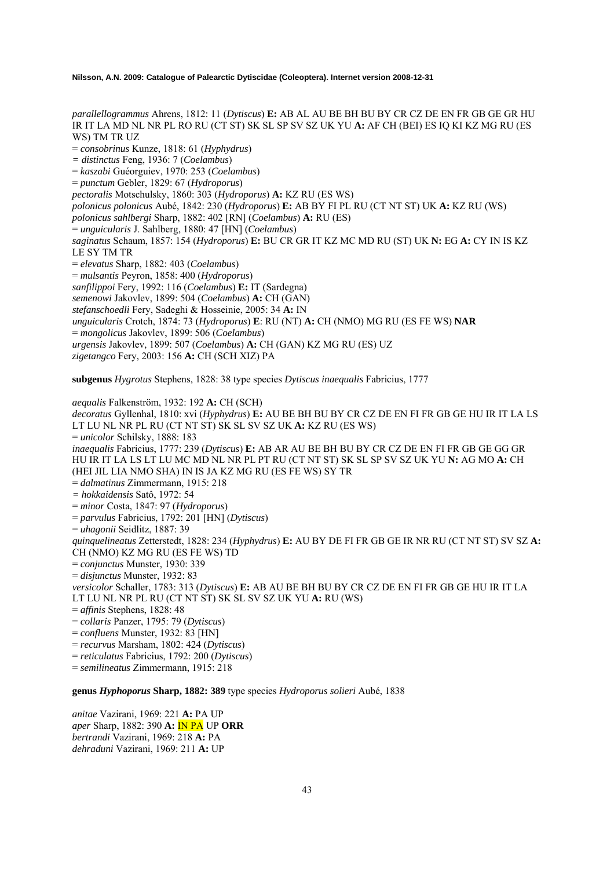*parallellogrammus* Ahrens, 1812: 11 (*Dytiscus*) **E:** AB AL AU BE BH BU BY CR CZ DE EN FR GB GE GR HU IR IT LA MD NL NR PL RO RU (CT ST) SK SL SP SV SZ UK YU **A:** AF CH (BEI) ES IQ KI KZ MG RU (ES WS) TM TR UZ

= *consobrinus* Kunze, 1818: 61 (*Hyphydrus*)

*= distinctus* Feng, 1936: 7 (*Coelambus*)

= *kaszabi* Guéorguiev, 1970: 253 (*Coelambus*)

= *punctum* Gebler, 1829: 67 (*Hydroporus*)

*pectoralis* Motschulsky, 1860: 303 (*Hydroporus*) **A:** KZ RU (ES WS)

*polonicus polonicus* Aubé, 1842: 230 (*Hydroporus*) **E:** AB BY FI PL RU (CT NT ST) UK **A:** KZ RU (WS)

*polonicus sahlbergi* Sharp, 1882: 402 [RN] (*Coelambus*) **A:** RU (ES)

= *unguicularis* J. Sahlberg, 1880: 47 [HN] (*Coelambus*)

*saginatus* Schaum, 1857: 154 (*Hydroporus*) **E:** BU CR GR IT KZ MC MD RU (ST) UK **N:** EG **A:** CY IN IS KZ LE SY TM TR

= *elevatus* Sharp, 1882: 403 (*Coelambus*)

= *mulsantis* Peyron, 1858: 400 (*Hydroporus*)

*sanfilippoi* Fery, 1992: 116 (*Coelambus*) **E:** IT (Sardegna)

*semenowi* Jakovlev, 1899: 504 (*Coelambus*) **A:** CH (GAN)

*stefanschoedli* Fery, Sadeghi & Hosseinie, 2005: 34 **A:** IN

*unguicularis* Crotch, 1874: 73 (*Hydroporus*) **E**: RU (NT) **A:** CH (NMO) MG RU (ES FE WS) **NAR** 

= *mongolicus* Jakovlev, 1899: 506 (*Coelambus*)

*urgensis* Jakovlev, 1899: 507 (*Coelambus*) **A:** CH (GAN) KZ MG RU (ES) UZ

*zigetangco* Fery, 2003: 156 **A:** CH (SCH XIZ) PA

**subgenus** *Hygrotus* Stephens, 1828: 38 type species *Dytiscus inaequalis* Fabricius, 1777

*aequalis* Falkenström, 1932: 192 **A:** CH (SCH) *decoratus* Gyllenhal, 1810: xvi (*Hyphydrus*) **E:** AU BE BH BU BY CR CZ DE EN FI FR GB GE HU IR IT LA LS LT LU NL NR PL RU (CT NT ST) SK SL SV SZ UK **A:** KZ RU (ES WS) = *unicolor* Schilsky, 1888: 183 *inaequalis* Fabricius, 1777: 239 (*Dytiscus*) **E:** AB AR AU BE BH BU BY CR CZ DE EN FI FR GB GE GG GR HU IR IT LA LS LT LU MC MD NL NR PL PT RU (CT NT ST) SK SL SP SV SZ UK YU **N:** AG MO **A:** CH (HEI JIL LIA NMO SHA) IN IS JA KZ MG RU (ES FE WS) SY TR = *dalmatinus* Zimmermann, 1915: 218 *= hokkaidensis* Satô, 1972: 54 = *minor* Costa, 1847: 97 (*Hydroporus*) = *parvulus* Fabricius, 1792: 201 [HN] (*Dytiscus*) = *uhagonii* Seidlitz, 1887: 39 *quinquelineatus* Zetterstedt, 1828: 234 (*Hyphydrus*) **E:** AU BY DE FI FR GB GE IR NR RU (CT NT ST) SV SZ **A:**  CH (NMO) KZ MG RU (ES FE WS) TD = *conjunctus* Munster, 1930: 339 = *disjunctus* Munster, 1932: 83 *versicolor* Schaller, 1783: 313 (*Dytiscus*) **E:** AB AU BE BH BU BY CR CZ DE EN FI FR GB GE HU IR IT LA LT LU NL NR PL RU (CT NT ST) SK SL SV SZ UK YU **A:** RU (WS) = *affinis* Stephens, 1828: 48 = *collaris* Panzer, 1795: 79 (*Dytiscus*) = *confluens* Munster, 1932: 83 [HN] = *recurvus* Marsham, 1802: 424 (*Dytiscus*) = *reticulatus* Fabricius, 1792: 200 (*Dytiscus*)

= *semilineatus* Zimmermann, 1915: 218

**genus** *Hyphoporus* **Sharp, 1882: 389** type species *Hydroporus solieri* Aubé, 1838

*anitae* Vazirani, 1969: 221 **A:** PA UP *aper* Sharp, 1882: 390 **A:** IN PA UP **ORR**  *bertrandi* Vazirani, 1969: 218 **A:** PA *dehraduni* Vazirani, 1969: 211 **A:** UP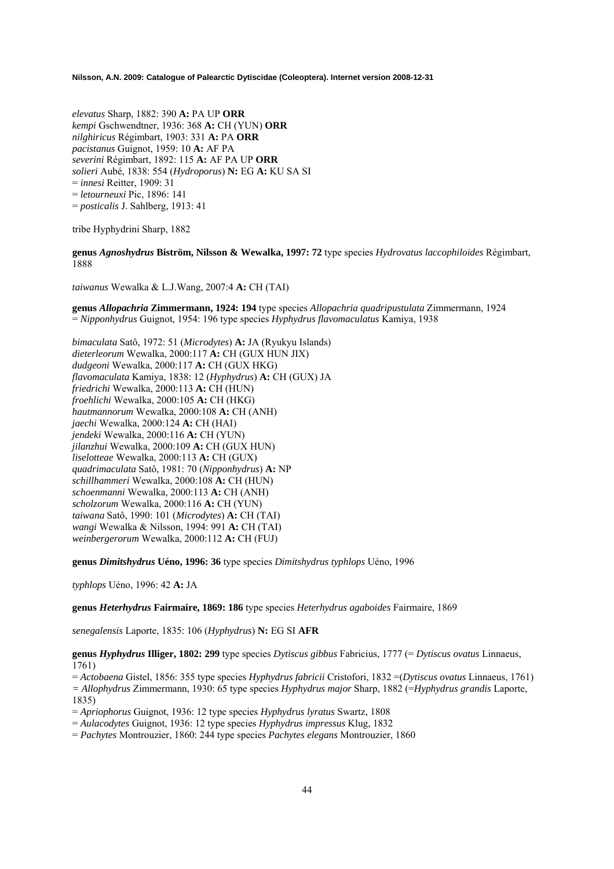*elevatus* Sharp, 1882: 390 **A:** PA UP **ORR**  *kempi* Gschwendtner, 1936: 368 **A:** CH (YUN) **ORR**  *nilghiricus* Régimbart, 1903: 331 **A:** PA **ORR**  *pacistanus* Guignot, 1959: 10 **A:** AF PA *severini* Régimbart, 1892: 115 **A:** AF PA UP **ORR**  *solieri* Aubé, 1838: 554 (*Hydroporus*) **N:** EG **A:** KU SA SI = *innesi* Reitter, 1909: 31 = *letourneuxi* Pic, 1896: 141 = *posticalis* J. Sahlberg, 1913: 41

tribe Hyphydrini Sharp, 1882

**genus** *Agnoshydrus* **Biström, Nilsson & Wewalka, 1997: 72** type species *Hydrovatus laccophiloides* Régimbart, 1888

*taiwanus* Wewalka & L.J.Wang, 2007:4 **A:** CH (TAI)

**genus** *Allopachria* **Zimmermann, 1924: 194** type species *Allopachria quadripustulata* Zimmermann, 1924 = *Nipponhydrus* Guignot, 1954: 196 type species *Hyphydrus flavomaculatus* Kamiya, 1938

*bimaculata* Satô, 1972: 51 (*Microdytes*) **A:** JA (Ryukyu Islands) *dieterleorum* Wewalka, 2000:117 **A:** CH (GUX HUN JIX) *dudgeoni* Wewalka, 2000:117 **A:** CH (GUX HKG) *flavomaculata* Kamiya, 1838: 12 (*Hyphydrus*) **A:** CH (GUX) JA *friedrichi* Wewalka, 2000:113 **A:** CH (HUN) *froehlichi* Wewalka, 2000:105 **A:** CH (HKG) *hautmannorum* Wewalka, 2000:108 **A:** CH (ANH) *jaechi* Wewalka, 2000:124 **A:** CH (HAI) *jendeki* Wewalka, 2000:116 **A:** CH (YUN) *jilanzhui* Wewalka, 2000:109 **A:** CH (GUX HUN) *liselotteae* Wewalka, 2000:113 **A:** CH (GUX) *quadrimaculata* Satô, 1981: 70 (*Nipponhydrus*) **A:** NP *schillhammeri* Wewalka, 2000:108 **A:** CH (HUN) *schoenmanni* Wewalka, 2000:113 **A:** CH (ANH) *scholzorum* Wewalka, 2000:116 **A:** CH (YUN) *taiwana* Satô, 1990: 101 (*Microdytes*) **A:** CH (TAI) *wangi* Wewalka & Nilsson, 1994: 991 **A:** CH (TAI) *weinbergerorum* Wewalka, 2000:112 **A:** CH (FUJ)

**genus** *Dimitshydrus* **Uéno, 1996: 36** type species *Dimitshydrus typhlops* Uéno, 1996

*typhlops* Uéno, 1996: 42 **A:** JA

**genus** *Heterhydrus* **Fairmaire, 1869: 186** type species *Heterhydrus agaboides* Fairmaire, 1869

*senegalensis* Laporte, 1835: 106 (*Hyphydrus*) **N:** EG SI **AFR**

**genus** *Hyphydrus* **Illiger, 1802: 299** type species *Dytiscus gibbus* Fabricius, 1777 (= *Dytiscus ovatus* Linnaeus, 1761)

= *Actobaena* Gistel, 1856: 355 type species *Hyphydrus fabricii* Cristofori, 1832 =(*Dytiscus ovatus* Linnaeus, 1761) *= Allophydrus* Zimmermann, 1930: 65 type species *Hyphydrus major* Sharp, 1882 (=*Hyphydrus grandis* Laporte, 1835)

= *Apriophorus* Guignot, 1936: 12 type species *Hyphydrus lyratus* Swartz, 1808

= *Aulacodytes* Guignot, 1936: 12 type species *Hyphydrus impressus* Klug, 1832

= *Pachytes* Montrouzier, 1860: 244 type species *Pachytes elegans* Montrouzier, 1860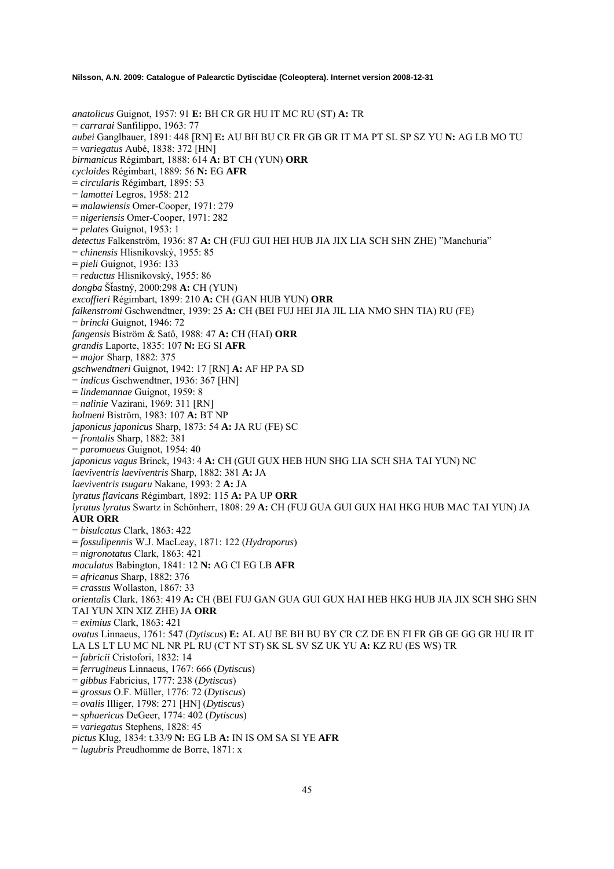*anatolicus* Guignot, 1957: 91 **E:** BH CR GR HU IT MC RU (ST) **A:** TR = *carrarai* Sanfilippo, 1963: 77 *aubei* Ganglbauer, 1891: 448 [RN] **E:** AU BH BU CR FR GB GR IT MA PT SL SP SZ YU **N:** AG LB MO TU = *variegatus* Aubé, 1838: 372 [HN] *birmanicus* Régimbart, 1888: 614 **A:** BT CH (YUN) **ORR** *cycloides* Régimbart, 1889: 56 **N:** EG **AFR** = *circularis* Régimbart, 1895: 53 = *lamottei* Legros, 1958: 212 = *malawiensis* Omer-Cooper, 1971: 279 = *nigeriensis* Omer-Cooper, 1971: 282 = *pelates* Guignot, 1953: 1 *detectus* Falkenström, 1936: 87 **A:** CH (FUJ GUI HEI HUB JIA JIX LIA SCH SHN ZHE) "Manchuria" = *chinensis* Hlisnikovský, 1955: 85 = *pieli* Guignot, 1936: 133 = *reductus* Hlisnikovský, 1955: 86 *dongba* ŠÄastný, 2000:298 **A:** CH (YUN) *excoffieri* Régimbart, 1899: 210 **A:** CH (GAN HUB YUN) **ORR** *falkenstromi* Gschwendtner, 1939: 25 **A:** CH (BEI FUJ HEI JIA JIL LIA NMO SHN TIA) RU (FE) = *brincki* Guignot, 1946: 72 *fangensis* Biström & Satô, 1988: 47 **A:** CH (HAI) **ORR** *grandis* Laporte, 1835: 107 **N:** EG SI **AFR** = *major* Sharp, 1882: 375 *gschwendtneri* Guignot, 1942: 17 [RN] **A:** AF HP PA SD = *indicus* Gschwendtner, 1936: 367 [HN] = *lindemannae* Guignot, 1959: 8 = *nalinie* Vazirani, 1969: 311 [RN] *holmeni* Biström, 1983: 107 **A:** BT NP *japonicus japonicus* Sharp, 1873: 54 **A:** JA RU (FE) SC = *frontalis* Sharp, 1882: 381 = *paromoeus* Guignot, 1954: 40 *japonicus vagus* Brinck, 1943: 4 **A:** CH (GUI GUX HEB HUN SHG LIA SCH SHA TAI YUN) NC *laeviventris laeviventris* Sharp, 1882: 381 **A:** JA *laeviventris tsugaru* Nakane, 1993: 2 **A:** JA *lyratus flavicans* Régimbart, 1892: 115 **A:** PA UP **ORR** *lyratus lyratus* Swartz in Schönherr, 1808: 29 **A:** CH (FUJ GUA GUI GUX HAI HKG HUB MAC TAI YUN) JA **AUR ORR** = *bisulcatus* Clark, 1863: 422 = *fossulipennis* W.J. MacLeay, 1871: 122 (*Hydroporus*) = *nigronotatus* Clark, 1863: 421 *maculatus* Babington, 1841: 12 **N:** AG CI EG LB **AFR** = *africanus* Sharp, 1882: 376 = *crassus* Wollaston, 1867: 33 *orientalis* Clark, 1863: 419 **A:** CH (BEI FUJ GAN GUA GUI GUX HAI HEB HKG HUB JIA JIX SCH SHG SHN TAI YUN XIN XIZ ZHE) JA **ORR** = *eximius* Clark, 1863: 421 *ovatus* Linnaeus, 1761: 547 (*Dytiscus*) **E:** AL AU BE BH BU BY CR CZ DE EN FI FR GB GE GG GR HU IR IT LA LS LT LU MC NL NR PL RU (CT NT ST) SK SL SV SZ UK YU **A:** KZ RU (ES WS) TR = *fabricii* Cristofori, 1832: 14 = *ferrugineus* Linnaeus, 1767: 666 (*Dytiscus*) = *gibbus* Fabricius, 1777: 238 (*Dytiscus*) = *grossus* O.F. Müller, 1776: 72 (*Dytiscus*) = *ovalis* Illiger, 1798: 271 [HN] (*Dytiscus*) = *sphaericus* DeGeer, 1774: 402 (*Dytiscus*) = *variegatus* Stephens, 1828: 45 *pictus* Klug, 1834: t.33/9 **N:** EG LB **A:** IN IS OM SA SI YE **AFR**

= *lugubris* Preudhomme de Borre, 1871: x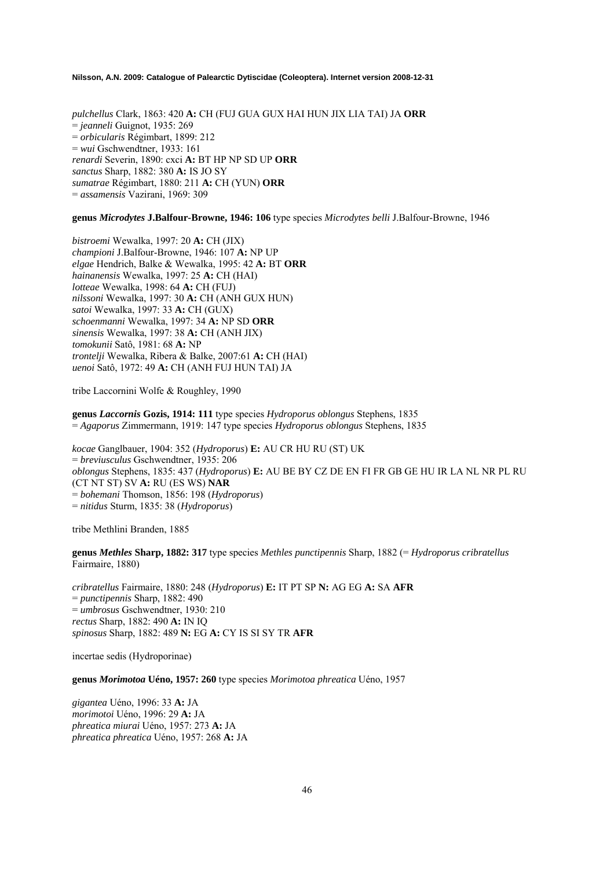*pulchellus* Clark, 1863: 420 **A:** CH (FUJ GUA GUX HAI HUN JIX LIA TAI) JA **ORR** = *jeanneli* Guignot, 1935: 269 = *orbicularis* Régimbart, 1899: 212 = *wui* Gschwendtner, 1933: 161 *renardi* Severin, 1890: cxci **A:** BT HP NP SD UP **ORR** *sanctus* Sharp, 1882: 380 **A:** IS JO SY *sumatrae* Régimbart, 1880: 211 **A:** CH (YUN) **ORR** = *assamensis* Vazirani, 1969: 309

### **genus** *Microdytes* **J.Balfour-Browne, 1946: 106** type species *Microdytes belli* J.Balfour-Browne, 1946

*bistroemi* Wewalka, 1997: 20 **A:** CH (JIX) *championi* J.Balfour-Browne, 1946: 107 **A:** NP UP *elgae* Hendrich, Balke & Wewalka, 1995: 42 **A:** BT **ORR** *hainanensis* Wewalka, 1997: 25 **A:** CH (HAI) *lotteae* Wewalka, 1998: 64 **A:** CH (FUJ) *nilssoni* Wewalka, 1997: 30 **A:** CH (ANH GUX HUN) *satoi* Wewalka, 1997: 33 **A:** CH (GUX) *schoenmanni* Wewalka, 1997: 34 **A:** NP SD **ORR** *sinensis* Wewalka, 1997: 38 **A:** CH (ANH JIX) *tomokunii* Satô, 1981: 68 **A:** NP *trontelji* Wewalka, Ribera & Balke, 2007:61 **A:** CH (HAI) *uenoi* Satô, 1972: 49 **A:** CH (ANH FUJ HUN TAI) JA

tribe Laccornini Wolfe & Roughley, 1990

**genus** *Laccornis* **Gozis, 1914: 111** type species *Hydroporus oblongus* Stephens, 1835 = *Agaporus* Zimmermann, 1919: 147 type species *Hydroporus oblongus* Stephens, 1835

*kocae* Ganglbauer, 1904: 352 (*Hydroporus*) **E:** AU CR HU RU (ST) UK = *breviusculus* Gschwendtner, 1935: 206 *oblongus* Stephens, 1835: 437 (*Hydroporus*) **E:** AU BE BY CZ DE EN FI FR GB GE HU IR LA NL NR PL RU (CT NT ST) SV **A:** RU (ES WS) **NAR**  = *bohemani* Thomson, 1856: 198 (*Hydroporus*) = *nitidus* Sturm, 1835: 38 (*Hydroporus*)

tribe Methlini Branden, 1885

**genus** *Methles* **Sharp, 1882: 317** type species *Methles punctipennis* Sharp, 1882 (= *Hydroporus cribratellus* Fairmaire, 1880)

*cribratellus* Fairmaire, 1880: 248 (*Hydroporus*) **E:** IT PT SP **N:** AG EG **A:** SA **AFR**  = *punctipennis* Sharp, 1882: 490 = *umbrosus* Gschwendtner, 1930: 210 *rectus* Sharp, 1882: 490 **A:** IN IQ *spinosus* Sharp, 1882: 489 **N:** EG **A:** CY IS SI SY TR **AFR**

incertae sedis (Hydroporinae)

**genus** *Morimotoa* **Uéno, 1957: 260** type species *Morimotoa phreatica* Uéno, 1957

*gigantea* Uéno, 1996: 33 **A:** JA *morimotoi* Uéno, 1996: 29 **A:** JA *phreatica miurai* Uéno, 1957: 273 **A:** JA *phreatica phreatica* Uéno, 1957: 268 **A:** JA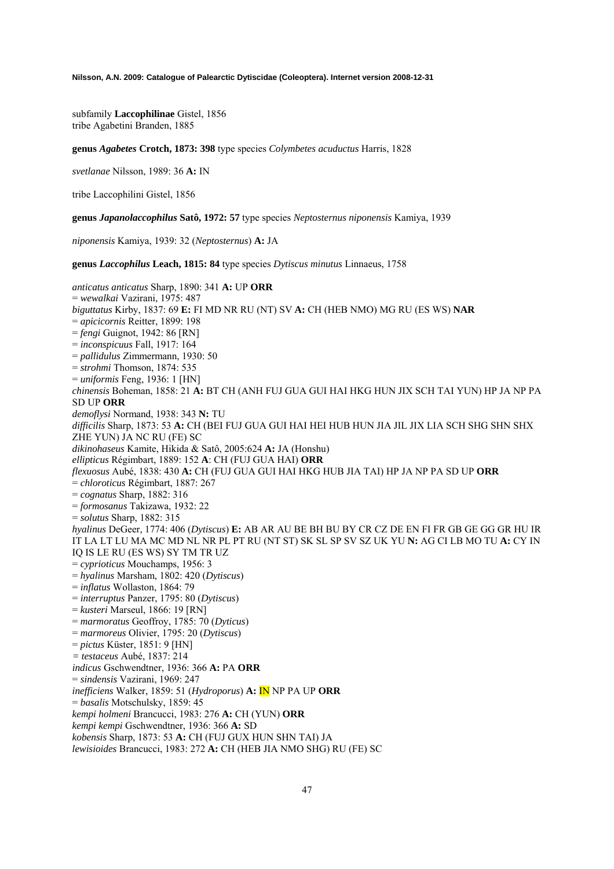subfamily **Laccophilinae** Gistel, 1856 tribe Agabetini Branden, 1885

**genus** *Agabetes* **Crotch, 1873: 398** type species *Colymbetes acuductus* Harris, 1828

*svetlanae* Nilsson, 1989: 36 **A:** IN

tribe Laccophilini Gistel, 1856

**genus** *Japanolaccophilus* **Satô, 1972: 57** type species *Neptosternus niponensis* Kamiya, 1939

*niponensis* Kamiya, 1939: 32 (*Neptosternus*) **A:** JA

**genus** *Laccophilus* **Leach, 1815: 84** type species *Dytiscus minutus* Linnaeus, 1758

*anticatus anticatus* Sharp, 1890: 341 **A:** UP **ORR**  = *wewalkai* Vazirani, 1975: 487 *biguttatus* Kirby, 1837: 69 **E:** FI MD NR RU (NT) SV **A:** CH (HEB NMO) MG RU (ES WS) **NAR**  = *apicicornis* Reitter, 1899: 198 = *fengi* Guignot, 1942: 86 [RN] = *inconspicuus* Fall, 1917: 164 = *pallidulus* Zimmermann, 1930: 50 = *strohmi* Thomson, 1874: 535 = *uniformis* Feng, 1936: 1 [HN] *chinensis* Boheman, 1858: 21 **A:** BT CH (ANH FUJ GUA GUI HAI HKG HUN JIX SCH TAI YUN) HP JA NP PA SD UP **ORR**  *demoflysi* Normand, 1938: 343 **N:** TU *difficilis* Sharp, 1873: 53 **A:** CH (BEI FUJ GUA GUI HAI HEI HUB HUN JIA JIL JIX LIA SCH SHG SHN SHX ZHE YUN) JA NC RU (FE) SC *dikinohaseus* Kamite, Hikida & Satô, 2005:624 **A:** JA (Honshu) *ellipticus* Régimbart, 1889: 152 **A**: CH (FUJ GUA HAI) **ORR**  *flexuosus* Aubé, 1838: 430 **A:** CH (FUJ GUA GUI HAI HKG HUB JIA TAI) HP JA NP PA SD UP **ORR**  = *chloroticus* Régimbart, 1887: 267 = *cognatus* Sharp, 1882: 316 = *formosanus* Takizawa, 1932: 22 = *solutus* Sharp, 1882: 315 *hyalinus* DeGeer, 1774: 406 (*Dytiscus*) **E:** AB AR AU BE BH BU BY CR CZ DE EN FI FR GB GE GG GR HU IR IT LA LT LU MA MC MD NL NR PL PT RU (NT ST) SK SL SP SV SZ UK YU **N:** AG CI LB MO TU **A:** CY IN IQ IS LE RU (ES WS) SY TM TR UZ = *cyprioticus* Mouchamps, 1956: 3 = *hyalinus* Marsham, 1802: 420 (*Dytiscus*) = *inflatus* Wollaston, 1864: 79 = *interruptus* Panzer, 1795: 80 (*Dytiscus*) = *kusteri* Marseul, 1866: 19 [RN] = *marmoratus* Geoffroy, 1785: 70 (*Dyticus*) = *marmoreus* Olivier, 1795: 20 (*Dytiscus*) = *pictus* Küster, 1851: 9 [HN] *= testaceus* Aubé, 1837: 214 *indicus* Gschwendtner, 1936: 366 **A:** PA **ORR**  = *sindensis* Vazirani, 1969: 247 *inefficiens* Walker, 1859: 51 (*Hydroporus*) **A:** IN NP PA UP **ORR**  = *basalis* Motschulsky, 1859: 45 *kempi holmeni* Brancucci, 1983: 276 **A:** CH (YUN) **ORR**  *kempi kempi* Gschwendtner, 1936: 366 **A:** SD *kobensis* Sharp, 1873: 53 **A:** CH (FUJ GUX HUN SHN TAI) JA

*lewisioides* Brancucci, 1983: 272 **A:** CH (HEB JIA NMO SHG) RU (FE) SC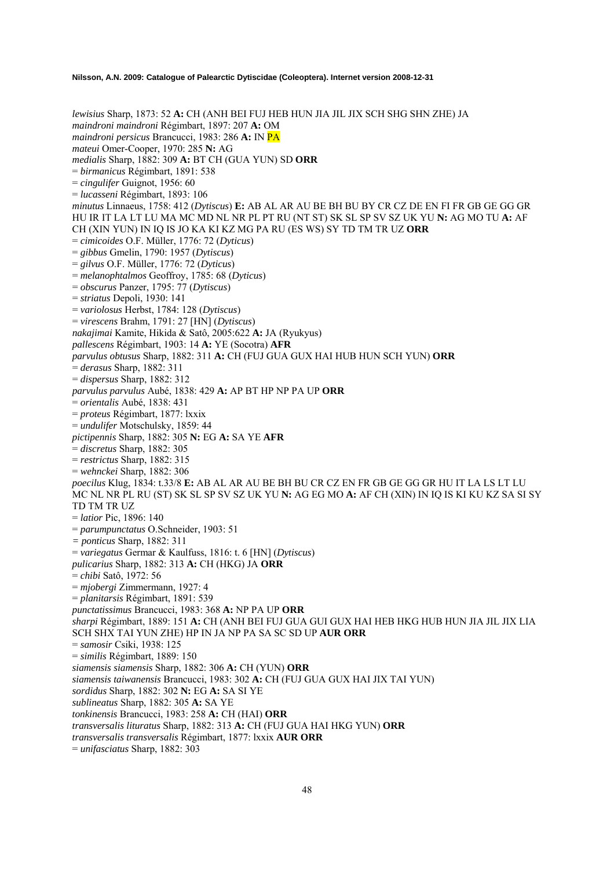*lewisius* Sharp, 1873: 52 **A:** CH (ANH BEI FUJ HEB HUN JIA JIL JIX SCH SHG SHN ZHE) JA *maindroni maindroni* Régimbart, 1897: 207 **A:** OM *maindroni persicus* Brancucci, 1983: 286 **A:** IN PA *mateui* Omer-Cooper, 1970: 285 **N:** AG *medialis* Sharp, 1882: 309 **A:** BT CH (GUA YUN) SD **ORR**  = *birmanicus* Régimbart, 1891: 538 = *cingulifer* Guignot, 1956: 60 = *lucasseni* Régimbart, 1893: 106 *minutus* Linnaeus, 1758: 412 (*Dytiscus*) **E:** AB AL AR AU BE BH BU BY CR CZ DE EN FI FR GB GE GG GR HU IR IT LA LT LU MA MC MD NL NR PL PT RU (NT ST) SK SL SP SV SZ UK YU **N:** AG MO TU **A:** AF CH (XIN YUN) IN IQ IS JO KA KI KZ MG PA RU (ES WS) SY TD TM TR UZ **ORR**  = *cimicoides* O.F. Müller, 1776: 72 (*Dyticus*) = *gibbus* Gmelin, 1790: 1957 (*Dytiscus*) = *gilvus* O.F. Müller, 1776: 72 (*Dyticus*) = *melanophtalmos* Geoffroy, 1785: 68 (*Dyticus*) = *obscurus* Panzer, 1795: 77 (*Dytiscus*) = *striatus* Depoli, 1930: 141 = *variolosus* Herbst, 1784: 128 (*Dytiscus*) = *virescens* Brahm, 1791: 27 [HN] (*Dytiscus*) *nakajimai* Kamite, Hikida & Satô, 2005:622 **A:** JA (Ryukyus) *pallescens* Régimbart, 1903: 14 **A:** YE (Socotra) **AFR** *parvulus obtusus* Sharp, 1882: 311 **A:** CH (FUJ GUA GUX HAI HUB HUN SCH YUN) **ORR** = *derasus* Sharp, 1882: 311 = *dispersus* Sharp, 1882: 312 *parvulus parvulus* Aubé, 1838: 429 **A:** AP BT HP NP PA UP **ORR** = *orientalis* Aubé, 1838: 431 = *proteus* Régimbart, 1877: lxxix = *undulifer* Motschulsky, 1859: 44 *pictipennis* Sharp, 1882: 305 **N:** EG **A:** SA YE **AFR** = *discretus* Sharp, 1882: 305 = *restrictus* Sharp, 1882: 315 = *wehnckei* Sharp, 1882: 306 *poecilus* Klug, 1834: t.33/8 **E:** AB AL AR AU BE BH BU CR CZ EN FR GB GE GG GR HU IT LA LS LT LU MC NL NR PL RU (ST) SK SL SP SV SZ UK YU **N:** AG EG MO **A:** AF CH (XIN) IN IQ IS KI KU KZ SA SI SY TD TM TR UZ = *latior* Pic, 1896: 140 = *parumpunctatus* O.Schneider, 1903: 51 *= ponticus* Sharp, 1882: 311 = *variegatus* Germar & Kaulfuss, 1816: t. 6 [HN] (*Dytiscus*) *pulicarius* Sharp, 1882: 313 **A:** CH (HKG) JA **ORR** = *chibi* Satô, 1972: 56 = *mjobergi* Zimmermann, 1927: 4 = *planitarsis* Régimbart, 1891: 539 *punctatissimus* Brancucci, 1983: 368 **A:** NP PA UP **ORR** *sharpi* Régimbart, 1889: 151 **A:** CH (ANH BEI FUJ GUA GUI GUX HAI HEB HKG HUB HUN JIA JIL JIX LIA SCH SHX TAI YUN ZHE) HP IN JA NP PA SA SC SD UP **AUR ORR** = *samosir* Csiki, 1938: 125 = *similis* Régimbart, 1889: 150 *siamensis siamensis* Sharp, 1882: 306 **A:** CH (YUN) **ORR** *siamensis taiwanensis* Brancucci, 1983: 302 **A:** CH (FUJ GUA GUX HAI JIX TAI YUN) *sordidus* Sharp, 1882: 302 **N:** EG **A:** SA SI YE *sublineatus* Sharp, 1882: 305 **A:** SA YE *tonkinensis* Brancucci, 1983: 258 **A:** CH (HAI) **ORR** *transversalis lituratus* Sharp, 1882: 313 **A:** CH (FUJ GUA HAI HKG YUN) **ORR**  *transversalis transversalis* Régimbart, 1877: lxxix **AUR ORR** 

= *unifasciatus* Sharp, 1882: 303